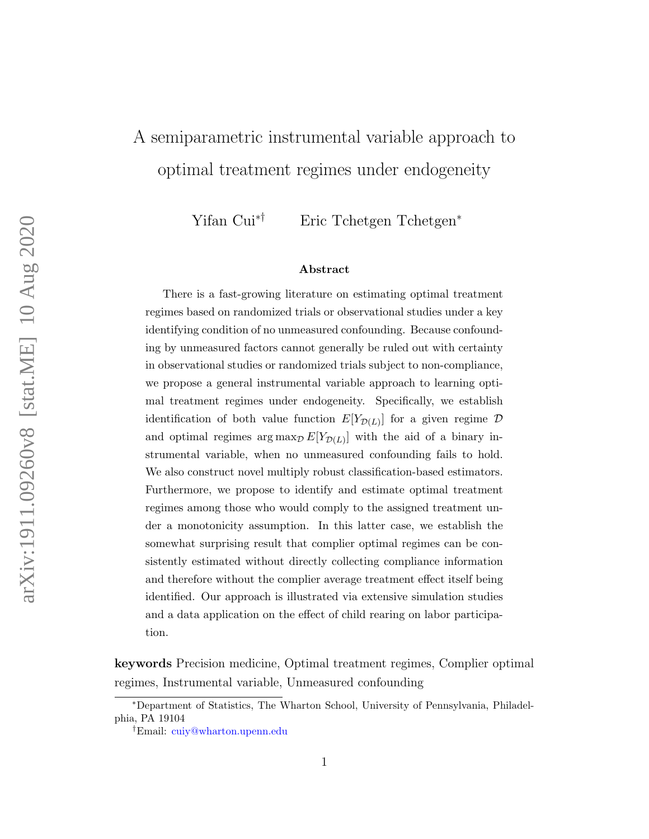# A semiparametric instrumental variable approach to optimal treatment regimes under endogeneity

Yifan Cui∗† Eric Tchetgen Tchetgen<sup>∗</sup>

#### Abstract

There is a fast-growing literature on estimating optimal treatment regimes based on randomized trials or observational studies under a key identifying condition of no unmeasured confounding. Because confounding by unmeasured factors cannot generally be ruled out with certainty in observational studies or randomized trials subject to non-compliance, we propose a general instrumental variable approach to learning optimal treatment regimes under endogeneity. Specifically, we establish identification of both value function  $E[Y_{\mathcal{D}(L)}]$  for a given regime  $\mathcal{D}$ and optimal regimes  $\arg \max_{\mathcal{D}} E[Y_{\mathcal{D}(L)}]$  with the aid of a binary instrumental variable, when no unmeasured confounding fails to hold. We also construct novel multiply robust classification-based estimators. Furthermore, we propose to identify and estimate optimal treatment regimes among those who would comply to the assigned treatment under a monotonicity assumption. In this latter case, we establish the somewhat surprising result that complier optimal regimes can be consistently estimated without directly collecting compliance information and therefore without the complier average treatment effect itself being identified. Our approach is illustrated via extensive simulation studies and a data application on the effect of child rearing on labor participation.

keywords Precision medicine, Optimal treatment regimes, Complier optimal regimes, Instrumental variable, Unmeasured confounding

<sup>∗</sup>Department of Statistics, The Wharton School, University of Pennsylvania, Philadelphia, PA 19104

<sup>†</sup>Email: [cuiy@wharton.upenn.edu](mailto:cuiy@wharton.upenn.edu)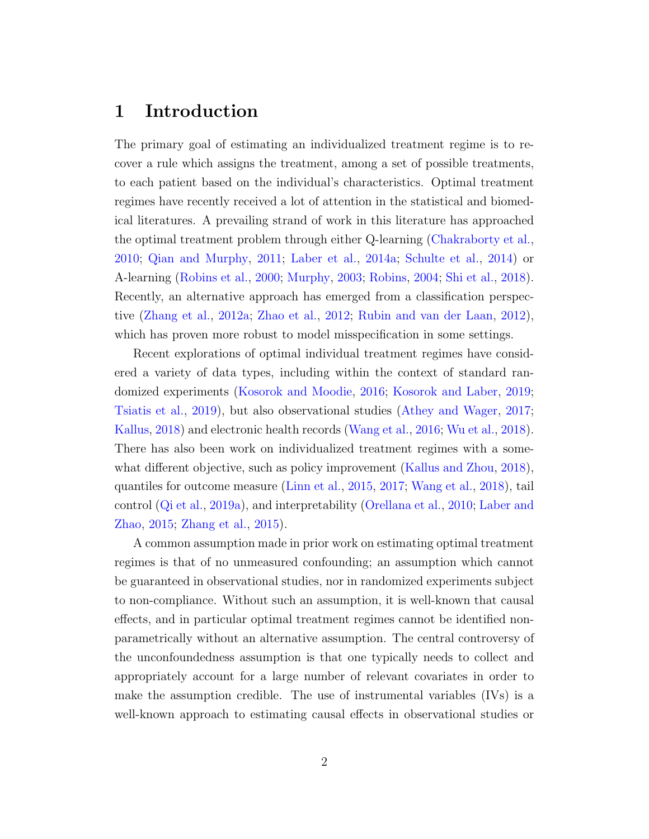### 1 Introduction

The primary goal of estimating an individualized treatment regime is to recover a rule which assigns the treatment, among a set of possible treatments, to each patient based on the individual's characteristics. Optimal treatment regimes have recently received a lot of attention in the statistical and biomedical literatures. A prevailing strand of work in this literature has approached the optimal treatment problem through either Q-learning [\(Chakraborty et al.,](#page-51-0) [2010;](#page-51-0) [Qian and Murphy,](#page-53-0) [2011;](#page-53-0) [Laber et al.,](#page-52-0) [2014a;](#page-52-0) [Schulte et al.,](#page-54-0) [2014\)](#page-54-0) or A-learning [\(Robins et al.,](#page-54-1) [2000;](#page-54-1) [Murphy,](#page-53-1) [2003;](#page-53-1) [Robins,](#page-54-2) [2004;](#page-54-2) [Shi et al.,](#page-54-3) [2018\)](#page-54-3). Recently, an alternative approach has emerged from a classification perspective [\(Zhang et al.,](#page-56-0) [2012a;](#page-56-0) [Zhao et al.,](#page-57-0) [2012;](#page-57-0) [Rubin and van der Laan,](#page-54-4) [2012\)](#page-54-4), which has proven more robust to model misspecification in some settings.

Recent explorations of optimal individual treatment regimes have considered a variety of data types, including within the context of standard randomized experiments [\(Kosorok and Moodie,](#page-52-1) [2016;](#page-52-1) [Kosorok and Laber,](#page-52-2) [2019;](#page-52-2) [Tsiatis et al.,](#page-55-0) [2019\)](#page-55-0), but also observational studies [\(Athey and Wager,](#page-50-0) [2017;](#page-50-0) [Kallus,](#page-52-3) [2018\)](#page-52-3) and electronic health records [\(Wang et al.,](#page-56-1) [2016;](#page-56-1) [Wu et al.,](#page-56-2) [2018\)](#page-56-2). There has also been work on individualized treatment regimes with a somewhat different objective, such as policy improvement [\(Kallus and Zhou,](#page-52-4) [2018\)](#page-52-4), quantiles for outcome measure [\(Linn et al.,](#page-52-5) [2015,](#page-52-5) [2017;](#page-52-6) [Wang et al.,](#page-56-3) [2018\)](#page-56-3), tail control [\(Qi et al.,](#page-53-2) [2019a\)](#page-53-2), and interpretability [\(Orellana et al.,](#page-53-3) [2010;](#page-53-3) [Laber and](#page-52-7) [Zhao,](#page-52-7) [2015;](#page-52-7) [Zhang et al.,](#page-56-4) [2015\)](#page-56-4).

A common assumption made in prior work on estimating optimal treatment regimes is that of no unmeasured confounding; an assumption which cannot be guaranteed in observational studies, nor in randomized experiments subject to non-compliance. Without such an assumption, it is well-known that causal effects, and in particular optimal treatment regimes cannot be identified nonparametrically without an alternative assumption. The central controversy of the unconfoundedness assumption is that one typically needs to collect and appropriately account for a large number of relevant covariates in order to make the assumption credible. The use of instrumental variables (IVs) is a well-known approach to estimating causal effects in observational studies or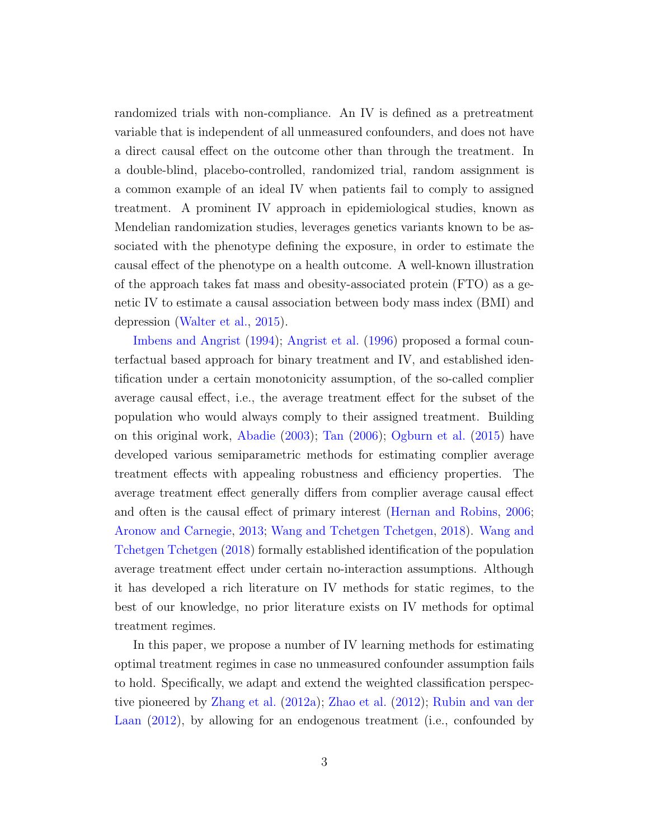randomized trials with non-compliance. An IV is defined as a pretreatment variable that is independent of all unmeasured confounders, and does not have a direct causal effect on the outcome other than through the treatment. In a double-blind, placebo-controlled, randomized trial, random assignment is a common example of an ideal IV when patients fail to comply to assigned treatment. A prominent IV approach in epidemiological studies, known as Mendelian randomization studies, leverages genetics variants known to be associated with the phenotype defining the exposure, in order to estimate the causal effect of the phenotype on a health outcome. A well-known illustration of the approach takes fat mass and obesity-associated protein (FTO) as a genetic IV to estimate a causal association between body mass index (BMI) and depression [\(Walter et al.,](#page-55-1) [2015\)](#page-55-1).

[Imbens and Angrist](#page-51-1) [\(1994\)](#page-51-1); [Angrist et al.](#page-50-1) [\(1996\)](#page-50-1) proposed a formal counterfactual based approach for binary treatment and IV, and established identification under a certain monotonicity assumption, of the so-called complier average causal effect, i.e., the average treatment effect for the subset of the population who would always comply to their assigned treatment. Building on this original work, [Abadie](#page-50-2) [\(2003\)](#page-50-2); [Tan](#page-55-2) [\(2006\)](#page-55-2); [Ogburn et al.](#page-53-4) [\(2015\)](#page-53-4) have developed various semiparametric methods for estimating complier average treatment effects with appealing robustness and efficiency properties. The average treatment effect generally differs from complier average causal effect and often is the causal effect of primary interest [\(Hernan and Robins,](#page-51-2) [2006;](#page-51-2) [Aronow and Carnegie,](#page-50-3) [2013;](#page-50-3) [Wang and Tchetgen Tchetgen,](#page-55-3) [2018\)](#page-55-3). [Wang and](#page-55-3) [Tchetgen Tchetgen](#page-55-3) [\(2018\)](#page-55-3) formally established identification of the population average treatment effect under certain no-interaction assumptions. Although it has developed a rich literature on IV methods for static regimes, to the best of our knowledge, no prior literature exists on IV methods for optimal treatment regimes.

In this paper, we propose a number of IV learning methods for estimating optimal treatment regimes in case no unmeasured confounder assumption fails to hold. Specifically, we adapt and extend the weighted classification perspective pioneered by [Zhang et al.](#page-56-0) [\(2012a\)](#page-56-0); [Zhao et al.](#page-57-0) [\(2012\)](#page-57-0); [Rubin and van der](#page-54-4) [Laan](#page-54-4)  $(2012)$ , by allowing for an endogenous treatment (i.e., confounded by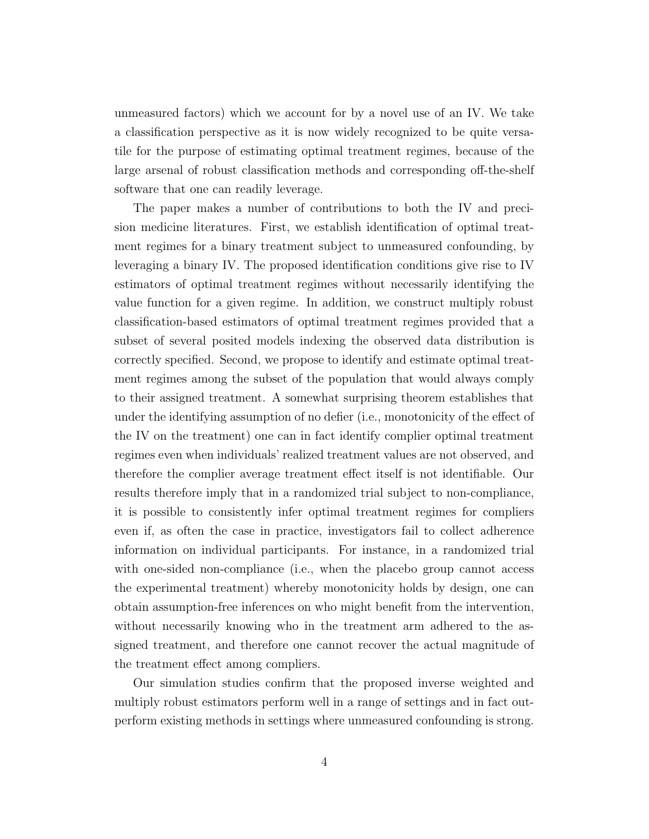unmeasured factors) which we account for by a novel use of an IV. We take a classification perspective as it is now widely recognized to be quite versatile for the purpose of estimating optimal treatment regimes, because of the large arsenal of robust classification methods and corresponding off-the-shelf software that one can readily leverage.

The paper makes a number of contributions to both the IV and precision medicine literatures. First, we establish identification of optimal treatment regimes for a binary treatment subject to unmeasured confounding, by leveraging a binary IV. The proposed identification conditions give rise to IV estimators of optimal treatment regimes without necessarily identifying the value function for a given regime. In addition, we construct multiply robust classification-based estimators of optimal treatment regimes provided that a subset of several posited models indexing the observed data distribution is correctly specified. Second, we propose to identify and estimate optimal treatment regimes among the subset of the population that would always comply to their assigned treatment. A somewhat surprising theorem establishes that under the identifying assumption of no defier (i.e., monotonicity of the effect of the IV on the treatment) one can in fact identify complier optimal treatment regimes even when individuals' realized treatment values are not observed, and therefore the complier average treatment effect itself is not identifiable. Our results therefore imply that in a randomized trial subject to non-compliance, it is possible to consistently infer optimal treatment regimes for compliers even if, as often the case in practice, investigators fail to collect adherence information on individual participants. For instance, in a randomized trial with one-sided non-compliance (i.e., when the placebo group cannot access the experimental treatment) whereby monotonicity holds by design, one can obtain assumption-free inferences on who might benefit from the intervention, without necessarily knowing who in the treatment arm adhered to the assigned treatment, and therefore one cannot recover the actual magnitude of the treatment effect among compliers.

Our simulation studies confirm that the proposed inverse weighted and multiply robust estimators perform well in a range of settings and in fact outperform existing methods in settings where unmeasured confounding is strong.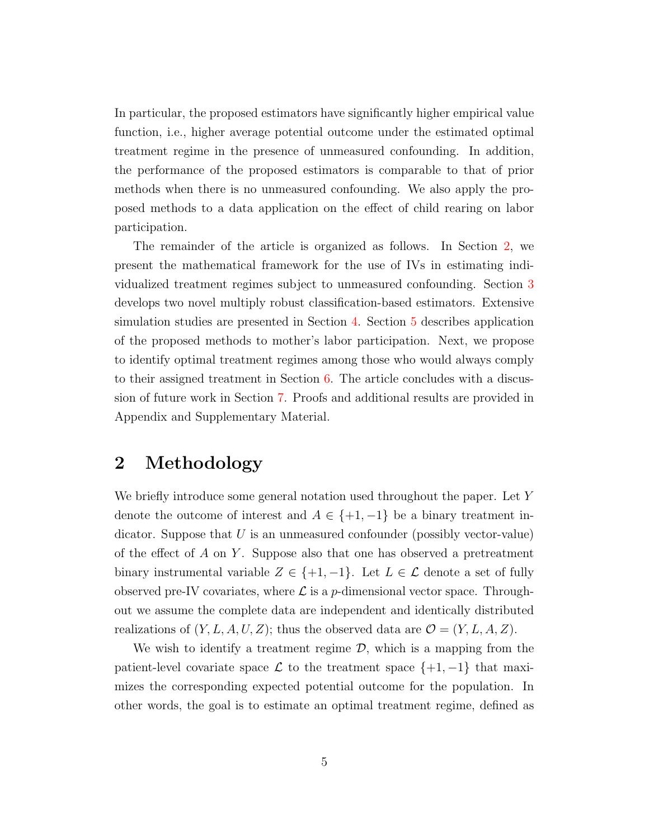In particular, the proposed estimators have significantly higher empirical value function, i.e., higher average potential outcome under the estimated optimal treatment regime in the presence of unmeasured confounding. In addition, the performance of the proposed estimators is comparable to that of prior methods when there is no unmeasured confounding. We also apply the proposed methods to a data application on the effect of child rearing on labor participation.

The remainder of the article is organized as follows. In Section [2,](#page-4-0) we present the mathematical framework for the use of IVs in estimating individualized treatment regimes subject to unmeasured confounding. Section [3](#page-12-0) develops two novel multiply robust classification-based estimators. Extensive simulation studies are presented in Section [4.](#page-14-0) Section [5](#page-18-0) describes application of the proposed methods to mother's labor participation. Next, we propose to identify optimal treatment regimes among those who would always comply to their assigned treatment in Section [6.](#page-19-0) The article concludes with a discussion of future work in Section [7.](#page-22-0) Proofs and additional results are provided in Appendix and Supplementary Material.

### <span id="page-4-0"></span>2 Methodology

We briefly introduce some general notation used throughout the paper. Let Y denote the outcome of interest and  $A \in \{+1, -1\}$  be a binary treatment indicator. Suppose that  $U$  is an unmeasured confounder (possibly vector-value) of the effect of  $A$  on  $Y$ . Suppose also that one has observed a pretreatment binary instrumental variable  $Z \in \{+1, -1\}$ . Let  $L \in \mathcal{L}$  denote a set of fully observed pre-IV covariates, where  $\mathcal L$  is a p-dimensional vector space. Throughout we assume the complete data are independent and identically distributed realizations of  $(Y, L, A, U, Z)$ ; thus the observed data are  $\mathcal{O} = (Y, L, A, Z)$ .

We wish to identify a treatment regime  $\mathcal{D}$ , which is a mapping from the patient-level covariate space  $\mathcal L$  to the treatment space  $\{+1, -1\}$  that maximizes the corresponding expected potential outcome for the population. In other words, the goal is to estimate an optimal treatment regime, defined as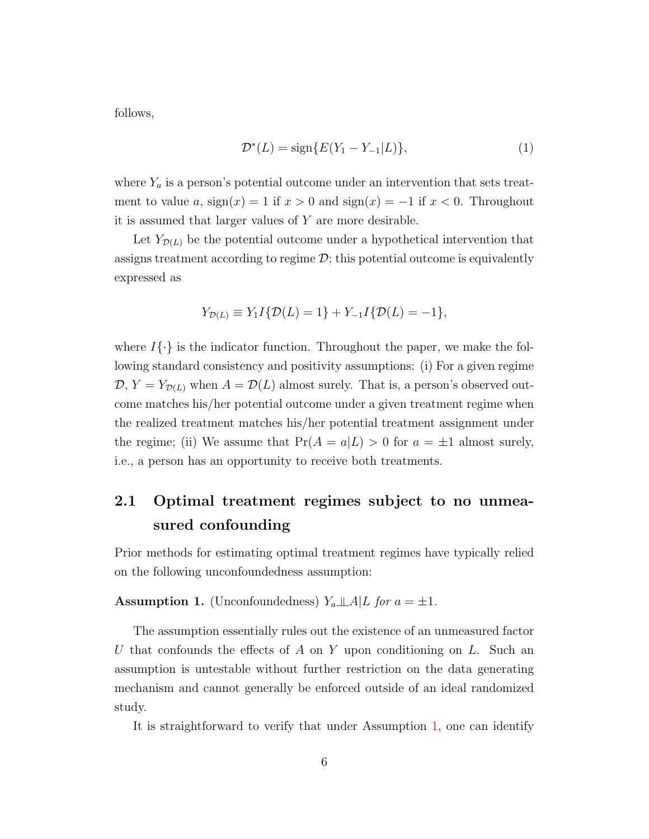follows,

<span id="page-5-1"></span>
$$
\mathcal{D}^*(L) = \text{sign}\{E(Y_1 - Y_{-1}|L)\},\tag{1}
$$

where  $Y_a$  is a person's potential outcome under an intervention that sets treatment to value a,  $sign(x) = 1$  if  $x > 0$  and  $sign(x) = -1$  if  $x < 0$ . Throughout it is assumed that larger values of  $Y$  are more desirable.

Let  $Y_{\mathcal{D}(L)}$  be the potential outcome under a hypothetical intervention that assigns treatment according to regime  $\mathcal{D}$ ; this potential outcome is equivalently expressed as

$$
Y_{\mathcal{D}(L)} \equiv Y_1 I \{ \mathcal{D}(L) = 1 \} + Y_{-1} I \{ \mathcal{D}(L) = -1 \},
$$

where  $I\{\cdot\}$  is the indicator function. Throughout the paper, we make the following standard consistency and positivity assumptions: (i) For a given regime  $\mathcal{D}, Y = Y_{\mathcal{D}(L)}$  when  $A = \mathcal{D}(L)$  almost surely. That is, a person's observed outcome matches his/her potential outcome under a given treatment regime when the realized treatment matches his/her potential treatment assignment under the regime; (ii) We assume that  $Pr(A = a|L) > 0$  for  $a = \pm 1$  almost surely, i.e., a person has an opportunity to receive both treatments.

## 2.1 Optimal treatment regimes subject to no unmeasured confounding

Prior methods for estimating optimal treatment regimes have typically relied on the following unconfoundedness assumption:

#### <span id="page-5-0"></span>**Assumption 1.** (Unconfoundedness)  $Y_a \perp \!\!\!\perp A | L$  for  $a = \pm 1$ .

The assumption essentially rules out the existence of an unmeasured factor U that confounds the effects of A on Y upon conditioning on L. Such an assumption is untestable without further restriction on the data generating mechanism and cannot generally be enforced outside of an ideal randomized study.

It is straightforward to verify that under Assumption [1,](#page-5-0) one can identify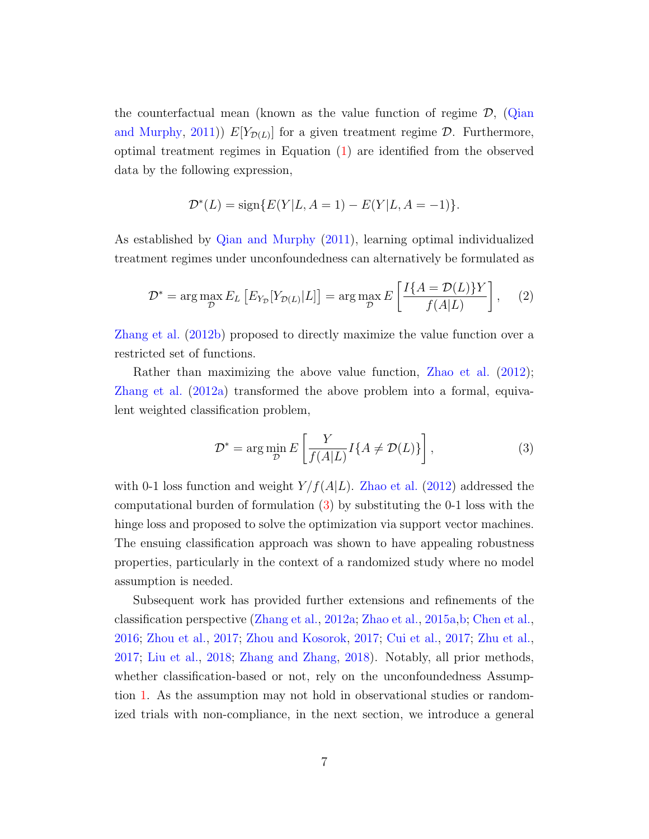the counterfactual mean (known as the value function of regime  $\mathcal{D}$ , [\(Qian](#page-53-0) [and Murphy,](#page-53-0) [2011\)](#page-53-0))  $E[Y_{\mathcal{D}(L)}]$  for a given treatment regime  $\mathcal{D}$ . Furthermore, optimal treatment regimes in Equation [\(1\)](#page-5-1) are identified from the observed data by the following expression,

$$
\mathcal{D}^*(L) = \text{sign}\{E(Y|L, A=1) - E(Y|L, A=-1)\}.
$$

As established by [Qian and Murphy](#page-53-0) [\(2011\)](#page-53-0), learning optimal individualized treatment regimes under unconfoundedness can alternatively be formulated as

$$
\mathcal{D}^* = \arg \max_{\mathcal{D}} E_L \left[ E_{Y_{\mathcal{D}}}[Y_{\mathcal{D}(L)}|L] \right] = \arg \max_{\mathcal{D}} E \left[ \frac{I\{A = \mathcal{D}(L)\}Y}{f(A|L)} \right], \quad (2)
$$

[Zhang et al.](#page-56-5) [\(2012b\)](#page-56-5) proposed to directly maximize the value function over a restricted set of functions.

Rather than maximizing the above value function, [Zhao et al.](#page-57-0) [\(2012\)](#page-57-0); [Zhang et al.](#page-56-0) [\(2012a\)](#page-56-0) transformed the above problem into a formal, equivalent weighted classification problem,

<span id="page-6-0"></span>
$$
\mathcal{D}^* = \arg\min_{\mathcal{D}} E\left[\frac{Y}{f(A|L)}I\{A \neq \mathcal{D}(L)\}\right],\tag{3}
$$

with 0-1 loss function and weight  $Y/f(A|L)$ . [Zhao et al.](#page-57-0) [\(2012\)](#page-57-0) addressed the computational burden of formulation [\(3\)](#page-6-0) by substituting the 0-1 loss with the hinge loss and proposed to solve the optimization via support vector machines. The ensuing classification approach was shown to have appealing robustness properties, particularly in the context of a randomized study where no model assumption is needed.

Subsequent work has provided further extensions and refinements of the classification perspective [\(Zhang et al.,](#page-56-0) [2012a;](#page-56-0) [Zhao et al.,](#page-57-1) [2015a,](#page-57-1)[b;](#page-57-2) [Chen et al.,](#page-51-3) [2016;](#page-51-3) [Zhou et al.,](#page-57-3) [2017;](#page-57-3) [Zhou and Kosorok,](#page-57-4) [2017;](#page-57-4) [Cui et al.,](#page-51-4) [2017;](#page-51-4) [Zhu et al.,](#page-57-5) [2017;](#page-57-5) [Liu et al.,](#page-52-8) [2018;](#page-52-8) [Zhang and Zhang,](#page-56-6) [2018\)](#page-56-6). Notably, all prior methods, whether classification-based or not, rely on the unconfoundedness Assumption [1.](#page-5-0) As the assumption may not hold in observational studies or randomized trials with non-compliance, in the next section, we introduce a general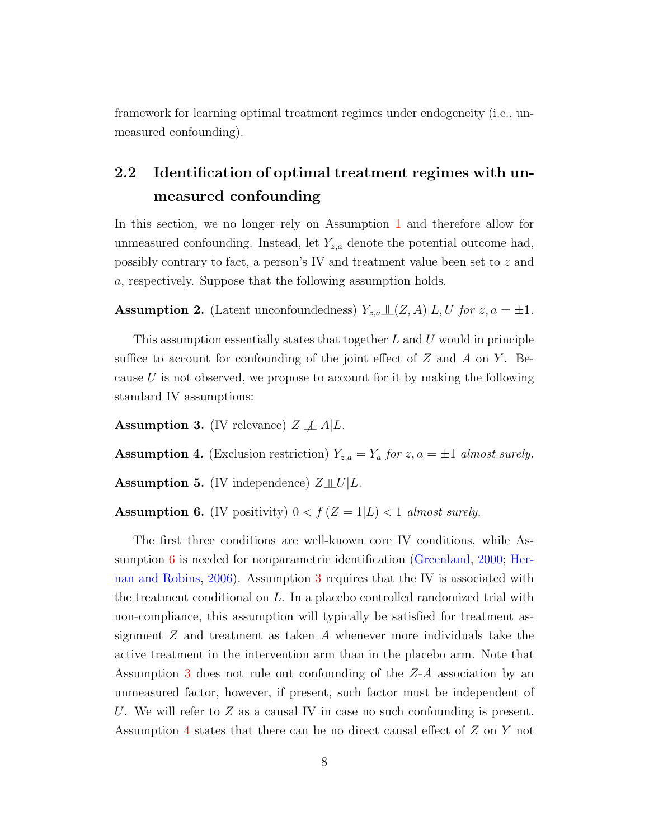framework for learning optimal treatment regimes under endogeneity (i.e., unmeasured confounding).

## 2.2 Identification of optimal treatment regimes with unmeasured confounding

In this section, we no longer rely on Assumption [1](#page-5-0) and therefore allow for unmeasured confounding. Instead, let  $Y_{z,a}$  denote the potential outcome had, possibly contrary to fact, a person's IV and treatment value been set to z and a, respectively. Suppose that the following assumption holds.

<span id="page-7-4"></span>**Assumption 2.** (Latent unconfoundedness)  $Y_{z,a} \perp \!\!\!\perp (Z, A) | L, U$  for  $z, a = \pm 1$ .

This assumption essentially states that together  $L$  and  $U$  would in principle suffice to account for confounding of the joint effect of  $Z$  and  $A$  on  $Y$ . Because  $U$  is not observed, we propose to account for it by making the following standard IV assumptions:

<span id="page-7-1"></span>**Assumption 3.** (IV relevance)  $Z \not\perp A | L$ .

<span id="page-7-2"></span>**Assumption 4.** (Exclusion restriction)  $Y_{z,a} = Y_a$  for  $z, a = \pm 1$  almost surely.

<span id="page-7-3"></span>**Assumption 5.** (IV independence)  $Z \perp \!\!\!\perp U | L$ .

<span id="page-7-0"></span>Assumption 6. (IV positivity)  $0 < f (Z = 1 | L) < 1$  almost surely.

The first three conditions are well-known core IV conditions, while Assumption [6](#page-7-0) is needed for nonparametric identification [\(Greenland,](#page-51-5) [2000;](#page-51-5) [Her](#page-51-2)[nan and Robins,](#page-51-2) [2006\)](#page-51-2). Assumption [3](#page-7-1) requires that the IV is associated with the treatment conditional on L. In a placebo controlled randomized trial with non-compliance, this assumption will typically be satisfied for treatment assignment  $Z$  and treatment as taken  $A$  whenever more individuals take the active treatment in the intervention arm than in the placebo arm. Note that Assumption [3](#page-7-1) does not rule out confounding of the Z-A association by an unmeasured factor, however, if present, such factor must be independent of U. We will refer to  $Z$  as a causal IV in case no such confounding is present. Assumption [4](#page-7-2) states that there can be no direct causal effect of Z on Y not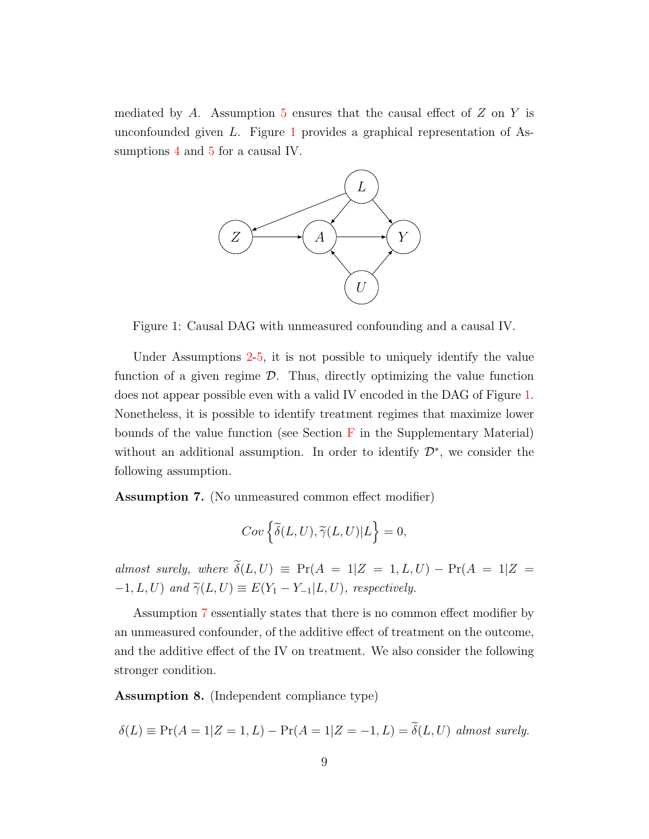mediated by A. Assumption [5](#page-7-3) ensures that the causal effect of  $Z$  on  $Y$  is unconfounded given  $L$ . Figure [1](#page-8-0) provides a graphical representation of Assumptions [4](#page-7-2) and [5](#page-7-3) for a causal IV.



<span id="page-8-0"></span>Figure 1: Causal DAG with unmeasured confounding and a causal IV.

Under Assumptions [2](#page-7-4)[-5,](#page-7-3) it is not possible to uniquely identify the value function of a given regime  $\mathcal{D}$ . Thus, directly optimizing the value function does not appear possible even with a valid IV encoded in the DAG of Figure [1.](#page-8-0) Nonetheless, it is possible to identify treatment regimes that maximize lower bounds of the value function (see Section  $\overline{F}$  $\overline{F}$  $\overline{F}$  in the Supplementary Material) without an additional assumption. In order to identify  $\mathcal{D}^*$ , we consider the following assumption.

<span id="page-8-1"></span>Assumption 7. (No unmeasured common effect modifier)

$$
Cov\left\{\widetilde{\delta}(L,U),\widetilde{\gamma}(L,U)|L\right\}=0,
$$

almost surely, where  $\widetilde{\delta}(L, U) \equiv Pr(A = 1|Z = 1, L, U) - Pr(A = 1|Z =$  $-1, L, U$ ) and  $\widetilde{\gamma}(L, U) \equiv E(Y_1 - Y_{-1}|L, U)$ , respectively.

Assumption [7](#page-8-1) essentially states that there is no common effect modifier by an unmeasured confounder, of the additive effect of treatment on the outcome, and the additive effect of the IV on treatment. We also consider the following stronger condition.

<span id="page-8-2"></span>Assumption 8. (Independent compliance type)

$$
\delta(L) \equiv \Pr(A = 1|Z = 1, L) - \Pr(A = 1|Z = -1, L) = \delta(L, U) \text{ almost surely.}
$$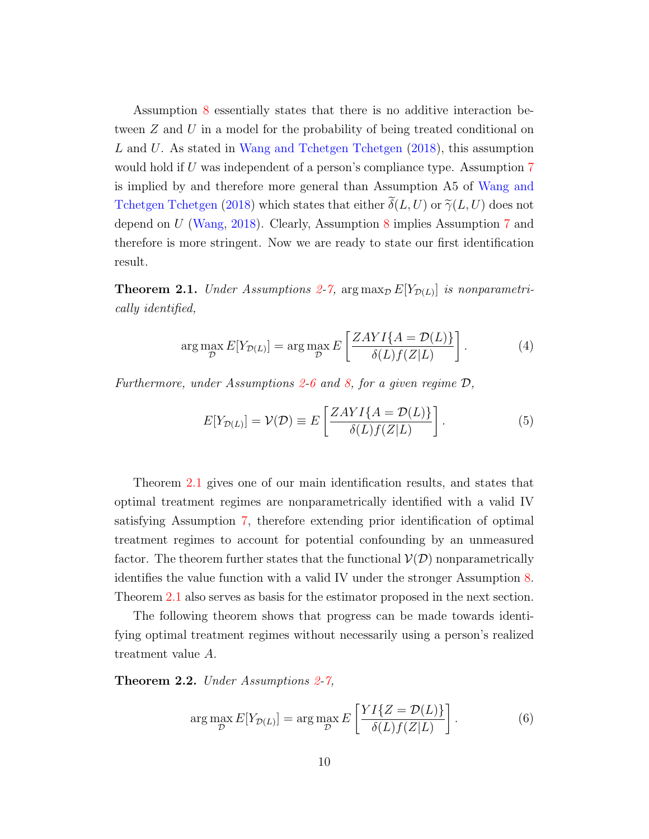Assumption [8](#page-8-2) essentially states that there is no additive interaction between Z and U in a model for the probability of being treated conditional on L and U. As stated in [Wang and Tchetgen Tchetgen](#page-55-3) [\(2018\)](#page-55-3), this assumption would hold if U was independent of a person's compliance type. Assumption [7](#page-8-1) is implied by and therefore more general than Assumption A5 of [Wang and](#page-55-3) [Tchetgen Tchetgen](#page-55-3) [\(2018\)](#page-55-3) which states that either  $\tilde{\delta}(L, U)$  or  $\tilde{\gamma}(L, U)$  does not depend on U [\(Wang,](#page-55-4) [2018\)](#page-55-4). Clearly, Assumption [8](#page-8-2) implies Assumption [7](#page-8-1) and therefore is more stringent. Now we are ready to state our first identification result.

**Theorem 2.1.** Under Assumptions [2-](#page-7-4)[7,](#page-8-1) arg  $\max_{\mathcal{D}} E[Y_{\mathcal{D}(L)}]$  is nonparametrically identified,

$$
\arg\max_{\mathcal{D}} E[Y_{\mathcal{D}(L)}] = \arg\max_{\mathcal{D}} E\left[\frac{ZAYI\{A = \mathcal{D}(L)\}}{\delta(L)f(Z|L)}\right].
$$
 (4)

Furthermore, under Assumptions [2-](#page-7-4)[6](#page-7-0) and [8,](#page-8-2) for a given regime  $\mathcal{D}$ ,

<span id="page-9-2"></span><span id="page-9-0"></span>
$$
E[Y_{\mathcal{D}(L)}] = \mathcal{V}(\mathcal{D}) \equiv E\left[\frac{ZAYI\{A = \mathcal{D}(L)\}}{\delta(L)f(Z|L)}\right].
$$
\n(5)

Theorem [2.1](#page-9-0) gives one of our main identification results, and states that optimal treatment regimes are nonparametrically identified with a valid IV satisfying Assumption [7,](#page-8-1) therefore extending prior identification of optimal treatment regimes to account for potential confounding by an unmeasured factor. The theorem further states that the functional  $\mathcal{V}(D)$  nonparametrically identifies the value function with a valid IV under the stronger Assumption [8.](#page-8-2) Theorem [2.1](#page-9-0) also serves as basis for the estimator proposed in the next section.

The following theorem shows that progress can be made towards identifying optimal treatment regimes without necessarily using a person's realized treatment value A.

**Theorem 2.2.** Under Assumptions  $2-7$  $2-7$ ,

<span id="page-9-1"></span>
$$
\arg\max_{\mathcal{D}} E[Y_{\mathcal{D}(L)}] = \arg\max_{\mathcal{D}} E\left[\frac{YI\{Z = \mathcal{D}(L)\}}{\delta(L)f(Z|L)}\right].
$$
 (6)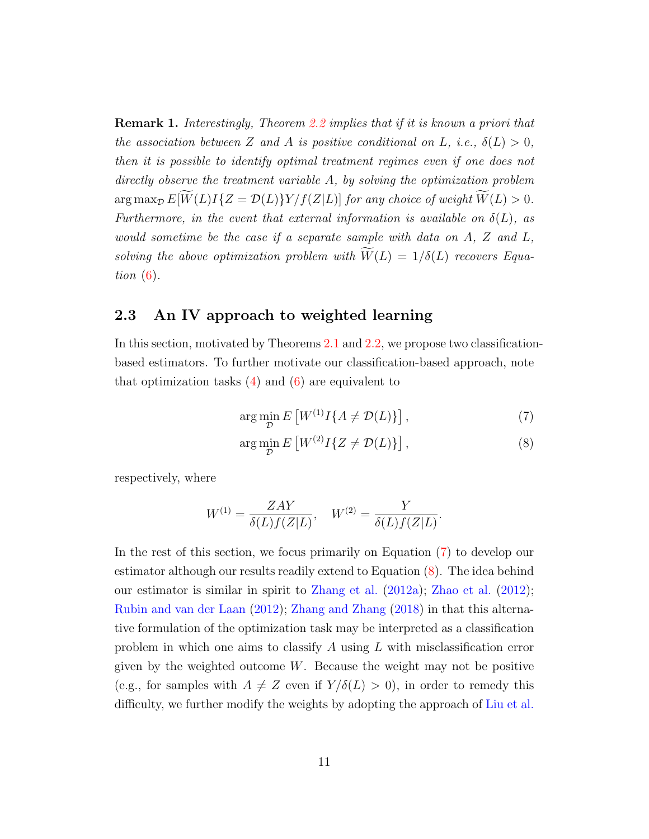**Remark 1.** Interestingly, Theorem [2.2](#page-9-1) implies that if it is known a priori that the association between Z and A is positive conditional on L, i.e.,  $\delta(L) > 0$ , then it is possible to identify optimal treatment regimes even if one does not directly observe the treatment variable A, by solving the optimization problem  $\arg \max_{\mathcal{D}} E[\widetilde{W}(L)I\{Z = \mathcal{D}(L)\}Y/f(Z|L)]$  for any choice of weight  $\widetilde{W}(L) > 0$ . Furthermore, in the event that external information is available on  $\delta(L)$ , as would sometime be the case if a separate sample with data on A, Z and L, solving the above optimization problem with  $\widetilde{W}(L) = 1/\delta(L)$  recovers Equation  $(6)$ .

### <span id="page-10-2"></span>2.3 An IV approach to weighted learning

In this section, motivated by Theorems [2.1](#page-9-0) and [2.2,](#page-9-1) we propose two classificationbased estimators. To further motivate our classification-based approach, note that optimization tasks  $(4)$  and  $(6)$  are equivalent to

<span id="page-10-0"></span>
$$
\arg\min_{\mathcal{D}} E\left[W^{(1)}I\{A \neq \mathcal{D}(L)\}\right],\tag{7}
$$

<span id="page-10-1"></span>
$$
\arg\min_{\mathcal{D}} E\left[W^{(2)}I\{Z \neq \mathcal{D}(L)\}\right],\tag{8}
$$

respectively, where

$$
W^{(1)} = \frac{ZAY}{\delta(L)f(Z|L)}, \quad W^{(2)} = \frac{Y}{\delta(L)f(Z|L)}.
$$

In the rest of this section, we focus primarily on Equation [\(7\)](#page-10-0) to develop our estimator although our results readily extend to Equation [\(8\)](#page-10-1). The idea behind our estimator is similar in spirit to [Zhang et al.](#page-56-0) [\(2012a\)](#page-56-0); [Zhao et al.](#page-57-0) [\(2012\)](#page-57-0); [Rubin and van der Laan](#page-54-4) [\(2012\)](#page-54-4); [Zhang and Zhang](#page-56-6) [\(2018\)](#page-56-6) in that this alternative formulation of the optimization task may be interpreted as a classification problem in which one aims to classify A using L with misclassification error given by the weighted outcome  $W$ . Because the weight may not be positive (e.g., for samples with  $A \neq Z$  even if  $Y/\delta(L) > 0$ ), in order to remedy this difficulty, we further modify the weights by adopting the approach of [Liu et al.](#page-52-9)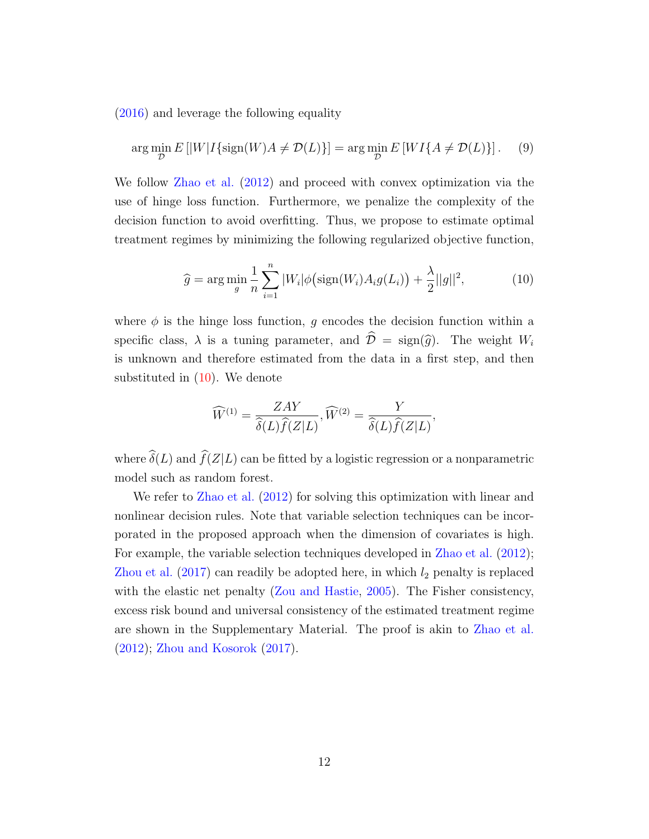[\(2016\)](#page-52-9) and leverage the following equality

$$
\arg\min_{\mathcal{D}} E\left[|W|I\{\operatorname{sign}(W)A \neq \mathcal{D}(L)\}\right] = \arg\min_{\mathcal{D}} E\left[WI\{A \neq \mathcal{D}(L)\}\right].\tag{9}
$$

We follow [Zhao et al.](#page-57-0) [\(2012\)](#page-57-0) and proceed with convex optimization via the use of hinge loss function. Furthermore, we penalize the complexity of the decision function to avoid overfitting. Thus, we propose to estimate optimal treatment regimes by minimizing the following regularized objective function,

<span id="page-11-1"></span><span id="page-11-0"></span>
$$
\widehat{g} = \arg\min_{g} \frac{1}{n} \sum_{i=1}^{n} |W_i| \phi\big(\text{sign}(W_i) A_i g(L_i)\big) + \frac{\lambda}{2} ||g||^2,\tag{10}
$$

where  $\phi$  is the hinge loss function, q encodes the decision function within a specific class,  $\lambda$  is a tuning parameter, and  $\hat{\mathcal{D}} = \text{sign}(\hat{q})$ . The weight  $W_i$ is unknown and therefore estimated from the data in a first step, and then substituted in [\(10\)](#page-11-0). We denote

$$
\widehat{W}^{(1)} = \frac{ZAY}{\widehat{\delta}(L)\widehat{f}(Z|L)}, \widehat{W}^{(2)} = \frac{Y}{\widehat{\delta}(L)\widehat{f}(Z|L)},
$$

where  $\hat{\delta}(L)$  and  $\hat{f}(Z|L)$  can be fitted by a logistic regression or a nonparametric model such as random forest.

We refer to [Zhao et al.](#page-57-0) [\(2012\)](#page-57-0) for solving this optimization with linear and nonlinear decision rules. Note that variable selection techniques can be incorporated in the proposed approach when the dimension of covariates is high. For example, the variable selection techniques developed in [Zhao et al.](#page-57-0) [\(2012\)](#page-57-0); [Zhou et al.](#page-57-3)  $(2017)$  can readily be adopted here, in which  $l_2$  penalty is replaced with the elastic net penalty [\(Zou and Hastie,](#page-57-6) [2005\)](#page-57-6). The Fisher consistency, excess risk bound and universal consistency of the estimated treatment regime are shown in the Supplementary Material. The proof is akin to [Zhao et al.](#page-57-0) [\(2012\)](#page-57-0); [Zhou and Kosorok](#page-57-4) [\(2017\)](#page-57-4).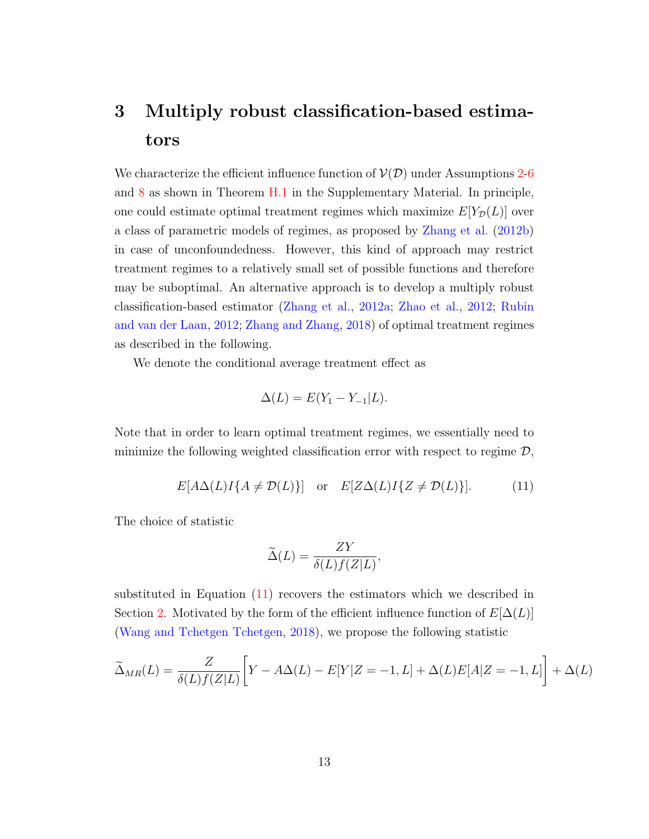# <span id="page-12-0"></span>3 Multiply robust classification-based estimators

We characterize the efficient influence function of  $\mathcal{V}(\mathcal{D})$  under Assumptions [2](#page-7-4)[-6](#page-7-0) and [8](#page-8-2) as shown in Theorem [H.1](#page-36-0) in the Supplementary Material. In principle, one could estimate optimal treatment regimes which maximize  $E[Y_{\mathcal{D}}(L)]$  over a class of parametric models of regimes, as proposed by [Zhang et al.](#page-56-5) [\(2012b\)](#page-56-5) in case of unconfoundedness. However, this kind of approach may restrict treatment regimes to a relatively small set of possible functions and therefore may be suboptimal. An alternative approach is to develop a multiply robust classification-based estimator [\(Zhang et al.,](#page-56-0) [2012a;](#page-56-0) [Zhao et al.,](#page-57-0) [2012;](#page-57-0) [Rubin](#page-54-4) [and van der Laan,](#page-54-4) [2012;](#page-54-4) [Zhang and Zhang,](#page-56-6) [2018\)](#page-56-6) of optimal treatment regimes as described in the following.

We denote the conditional average treatment effect as

$$
\Delta(L) = E(Y_1 - Y_{-1}|L).
$$

Note that in order to learn optimal treatment regimes, we essentially need to minimize the following weighted classification error with respect to regime  $\mathcal{D}$ ,

$$
E[A\Delta(L)I\{A \neq \mathcal{D}(L)\}] \quad \text{or} \quad E[Z\Delta(L)I\{Z \neq \mathcal{D}(L)\}]. \tag{11}
$$

The choice of statistic

<span id="page-12-1"></span>
$$
\widetilde{\Delta}(L) = \frac{ZY}{\delta(L)f(Z|L)},
$$

substituted in Equation [\(11\)](#page-12-1) recovers the estimators which we described in Section [2.](#page-4-0) Motivated by the form of the efficient influence function of  $E[\Delta(L)]$ [\(Wang and Tchetgen Tchetgen,](#page-55-3) [2018\)](#page-55-3), we propose the following statistic

$$
\widetilde{\Delta}_{MR}(L) = \frac{Z}{\delta(L)f(Z|L)} \bigg[ Y - A\Delta(L) - E[Y|Z = -1, L] + \Delta(L)E[A|Z = -1, L] \bigg] + \Delta(L)
$$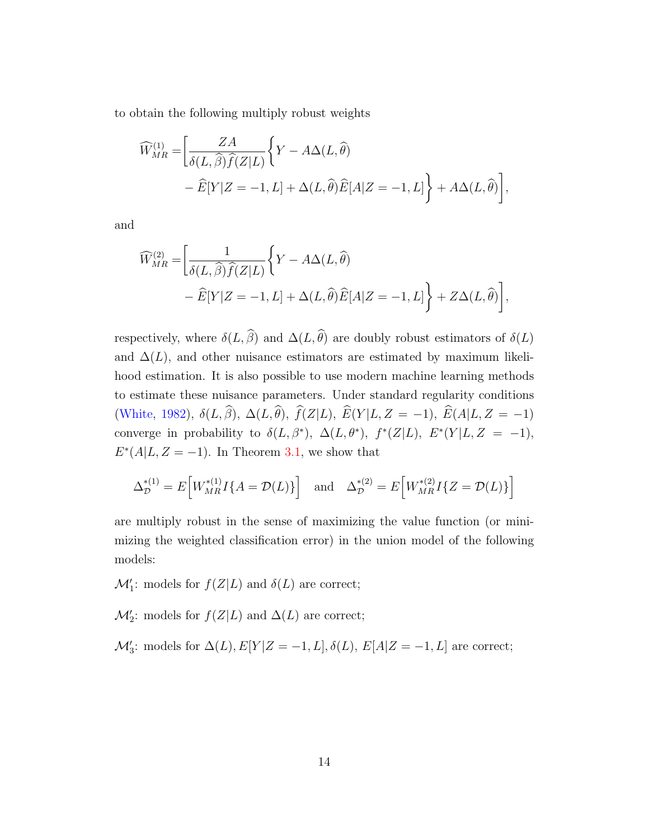to obtain the following multiply robust weights

$$
\widehat{W}_{MR}^{(1)} = \left[ \frac{ZA}{\delta(L,\widehat{\beta})\widehat{f}(Z|L)} \left\{ Y - A\Delta(L,\widehat{\theta}) - \widehat{E}[Y|Z = -1, L] + \Delta(L,\widehat{\theta})\widehat{E}[A|Z = -1, L] \right\} + A\Delta(L,\widehat{\theta}) \right],
$$

and

$$
\widehat{W}_{MR}^{(2)} = \left[ \frac{1}{\delta(L, \widehat{\beta}) \widehat{f}(Z|L)} \left\{ Y - A\Delta(L, \widehat{\theta}) - \widehat{E}[Y|Z = -1, L] + \Delta(L, \widehat{\theta}) \widehat{E}[A|Z = -1, L] \right\} + Z\Delta(L, \widehat{\theta}) \right],
$$

respectively, where  $\delta(L, \widehat{\beta})$  and  $\Delta(L, \widehat{\theta})$  are doubly robust estimators of  $\delta(L)$ and  $\Delta(L)$ , and other nuisance estimators are estimated by maximum likelihood estimation. It is also possible to use modern machine learning methods to estimate these nuisance parameters. Under standard regularity conditions [\(White,](#page-56-7) [1982\)](#page-56-7),  $\delta(L, \widehat{\beta}), \Delta(L, \widehat{\theta}), \widehat{f}(Z | L), \widehat{E}(Y | L, Z = -1), \widehat{E}(A | L, Z = -1)$ converge in probability to  $\delta(L, \beta^*)$ ,  $\Delta(L, \theta^*)$ ,  $f^*(Z|L)$ ,  $E^*(Y|L, Z = -1)$ ,  $E^*(A|L, Z = -1)$ . In Theorem [3.1,](#page-14-1) we show that

$$
\Delta_{\mathcal{D}}^{*(1)} = E\Big[W_{MR}^{*(1)}I\{A = \mathcal{D}(L)\}\Big] \text{ and } \Delta_{\mathcal{D}}^{*(2)} = E\Big[W_{MR}^{*(2)}I\{Z = \mathcal{D}(L)\}\Big]
$$

are multiply robust in the sense of maximizing the value function (or minimizing the weighted classification error) in the union model of the following models:

 $\mathcal{M}'_1$ : models for  $f(Z|L)$  and  $\delta(L)$  are correct;

 $\mathcal{M}'_2$ : models for  $f(Z|L)$  and  $\Delta(L)$  are correct;

 $\mathcal{M}'_3$ : models for  $\Delta(L)$ ,  $E[Y|Z=-1, L]$ ,  $\delta(L)$ ,  $E[A|Z=-1, L]$  are correct;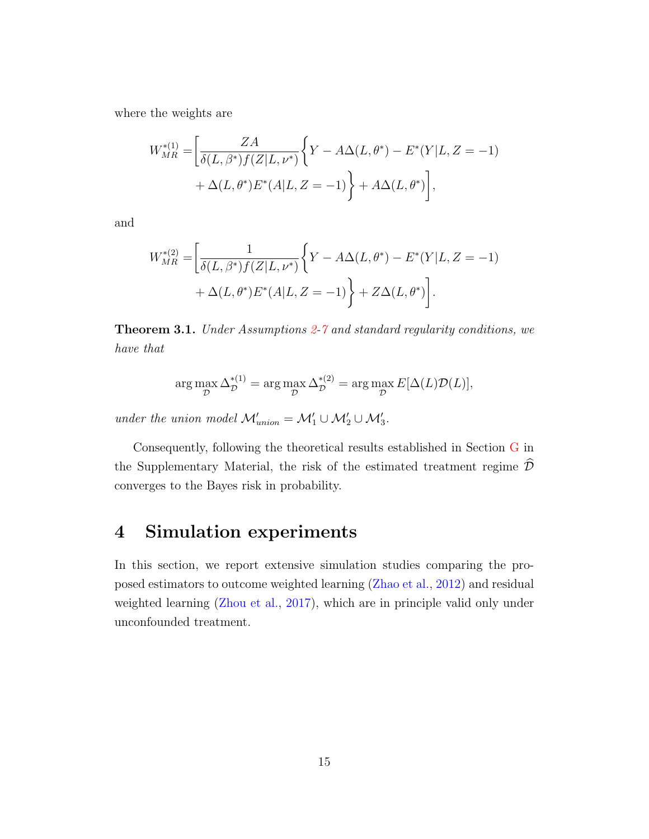where the weights are

$$
W_{MR}^{*(1)} = \left[ \frac{ZA}{\delta(L, \beta^*)f(Z|L, \nu^*)} \left\{ Y - A\Delta(L, \theta^*) - E^*(Y|L, Z = -1) \right. \\ + \Delta(L, \theta^*) E^*(A|L, Z = -1) \right\} + A\Delta(L, \theta^*) \right],
$$

and

$$
W_{MR}^{*(2)} = \left[ \frac{1}{\delta(L, \beta^*) f(Z|L, \nu^*)} \left\{ Y - A\Delta(L, \theta^*) - E^*(Y|L, Z = -1) \right\} + \Delta(L, \theta^*) E^*(A|L, Z = -1) \right\} + Z\Delta(L, \theta^*) \right].
$$

<span id="page-14-1"></span>Theorem 3.1. Under Assumptions [2](#page-7-4)[-7](#page-8-1) and standard regularity conditions, we have that

$$
\arg \max_{\mathcal{D}} \Delta_{\mathcal{D}}^{*(1)} = \arg \max_{\mathcal{D}} \Delta_{\mathcal{D}}^{*(2)} = \arg \max_{\mathcal{D}} E[\Delta(L)\mathcal{D}(L)],
$$

under the union model  $\mathcal{M}'_{union} = \mathcal{M}'_1 \cup \mathcal{M}'_2 \cup \mathcal{M}'_3$ .

Consequently, following the theoretical results established in Section [G](#page-33-0) in the Supplementary Material, the risk of the estimated treatment regime  $\widehat{\mathcal{D}}$ converges to the Bayes risk in probability.

## <span id="page-14-0"></span>4 Simulation experiments

In this section, we report extensive simulation studies comparing the proposed estimators to outcome weighted learning [\(Zhao et al.,](#page-57-0) [2012\)](#page-57-0) and residual weighted learning [\(Zhou et al.,](#page-57-3) [2017\)](#page-57-3), which are in principle valid only under unconfounded treatment.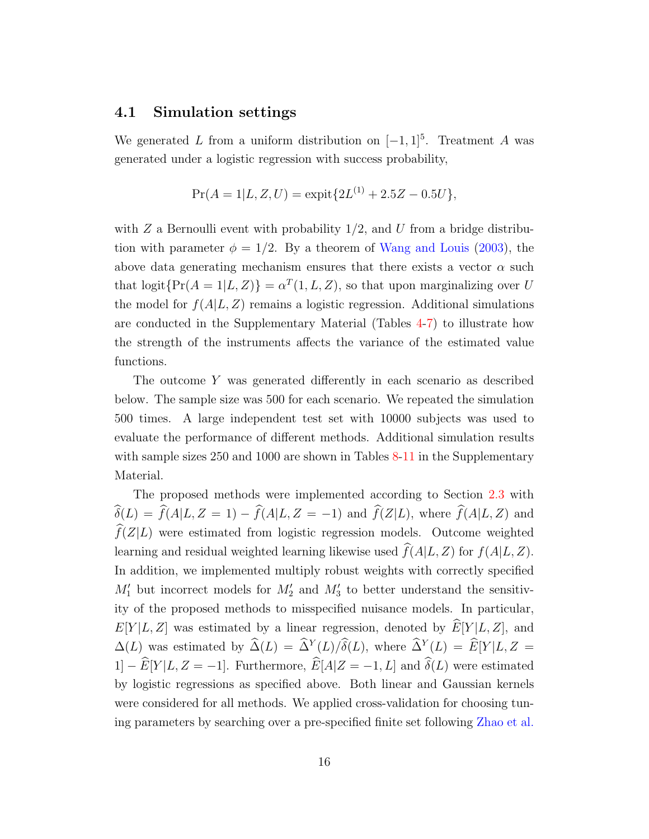#### 4.1 Simulation settings

We generated L from a uniform distribution on  $[-1, 1]^5$ . Treatment A was generated under a logistic regression with success probability,

$$
Pr(A = 1|L, Z, U) = \text{expit}\{2L^{(1)} + 2.5Z - 0.5U\},\
$$

with Z a Bernoulli event with probability  $1/2$ , and U from a bridge distribution with parameter  $\phi = 1/2$ . By a theorem of [Wang and Louis](#page-56-8) [\(2003\)](#page-56-8), the above data generating mechanism ensures that there exists a vector  $\alpha$  such that  $\text{logit}\{\Pr(A=1|L,Z)\} = \alpha^T(1,L,Z)$ , so that upon marginalizing over U the model for  $f(A|L, Z)$  remains a logistic regression. Additional simulations are conducted in the Supplementary Material (Tables [4-](#page-46-0)[7\)](#page-47-0) to illustrate how the strength of the instruments affects the variance of the estimated value functions.

The outcome Y was generated differently in each scenario as described below. The sample size was 500 for each scenario. We repeated the simulation 500 times. A large independent test set with 10000 subjects was used to evaluate the performance of different methods. Additional simulation results with sample sizes 250 and 1000 are shown in Tables [8-](#page-48-0)[11](#page-49-0) in the Supplementary Material.

The proposed methods were implemented according to Section [2.3](#page-10-2) with  $\widehat{\delta}(L) = \widehat{f}(A|L, Z = 1) - \widehat{f}(A|L, Z = -1)$  and  $\widehat{f}(Z|L)$ , where  $\widehat{f}(A|L, Z)$  and  $\widehat{f}(Z|L)$  were estimated from logistic regression models. Outcome weighted learning and residual weighted learning likewise used  $\hat{f}(A|L, Z)$  for  $f(A|L, Z)$ . In addition, we implemented multiply robust weights with correctly specified  $M'_1$  but incorrect models for  $M'_2$  and  $M'_3$  to better understand the sensitivity of the proposed methods to misspecified nuisance models. In particular,  $E[Y|L, Z]$  was estimated by a linear regression, denoted by  $\widehat{E}[Y|L, Z]$ , and  $\Delta(L)$  was estimated by  $\widehat{\Delta}(L) = \widehat{\Delta}^Y(L)/\delta(L)$ , where  $\widehat{\Delta}^Y(L) = \widehat{E}[Y|L, Z =$ 1]  $-\widehat{E}[Y|L, Z = -1]$ . Furthermore,  $\widehat{E}[A|Z = -1, L]$  and  $\widehat{\delta}(L)$  were estimated by logistic regressions as specified above. Both linear and Gaussian kernels were considered for all methods. We applied cross-validation for choosing tuning parameters by searching over a pre-specified finite set following [Zhao et al.](#page-57-0)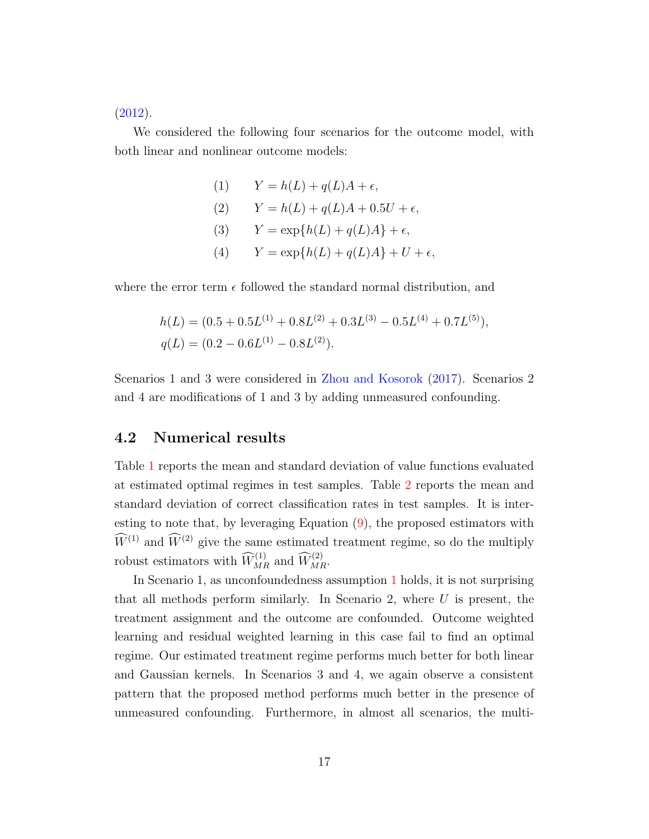[\(2012\)](#page-57-0).

We considered the following four scenarios for the outcome model, with both linear and nonlinear outcome models:

(1) 
$$
Y = h(L) + q(L)A + \epsilon,
$$
  
\n(2) 
$$
Y = h(L) + q(L)A + 0.5U + \epsilon,
$$
  
\n(3) 
$$
Y = \exp\{h(L) + q(L)A\} + \epsilon,
$$
  
\n(4) 
$$
Y = \exp\{h(L) + q(L)A\} + U + \epsilon,
$$

where the error term  $\epsilon$  followed the standard normal distribution, and

$$
h(L) = (0.5 + 0.5L^{(1)} + 0.8L^{(2)} + 0.3L^{(3)} - 0.5L^{(4)} + 0.7L^{(5)}),
$$
  
 
$$
q(L) = (0.2 - 0.6L^{(1)} - 0.8L^{(2)}).
$$

Scenarios 1 and 3 were considered in [Zhou and Kosorok](#page-57-4) [\(2017\)](#page-57-4). Scenarios 2 and 4 are modifications of 1 and 3 by adding unmeasured confounding.

#### 4.2 Numerical results

Table [1](#page-17-0) reports the mean and standard deviation of value functions evaluated at estimated optimal regimes in test samples. Table [2](#page-17-1) reports the mean and standard deviation of correct classification rates in test samples. It is interesting to note that, by leveraging Equation [\(9\)](#page-11-1), the proposed estimators with  $\widehat{W}^{(1)}$  and  $\widehat{W}^{(2)}$  give the same estimated treatment regime, so do the multiply robust estimators with  $\widehat{W}_{MR}^{(1)}$  and  $\widehat{W}_{MR}^{(2)}$ .

In Scenario 1, as unconfoundedness assumption [1](#page-5-0) holds, it is not surprising that all methods perform similarly. In Scenario 2, where  $U$  is present, the treatment assignment and the outcome are confounded. Outcome weighted learning and residual weighted learning in this case fail to find an optimal regime. Our estimated treatment regime performs much better for both linear and Gaussian kernels. In Scenarios 3 and 4, we again observe a consistent pattern that the proposed method performs much better in the presence of unmeasured confounding. Furthermore, in almost all scenarios, the multi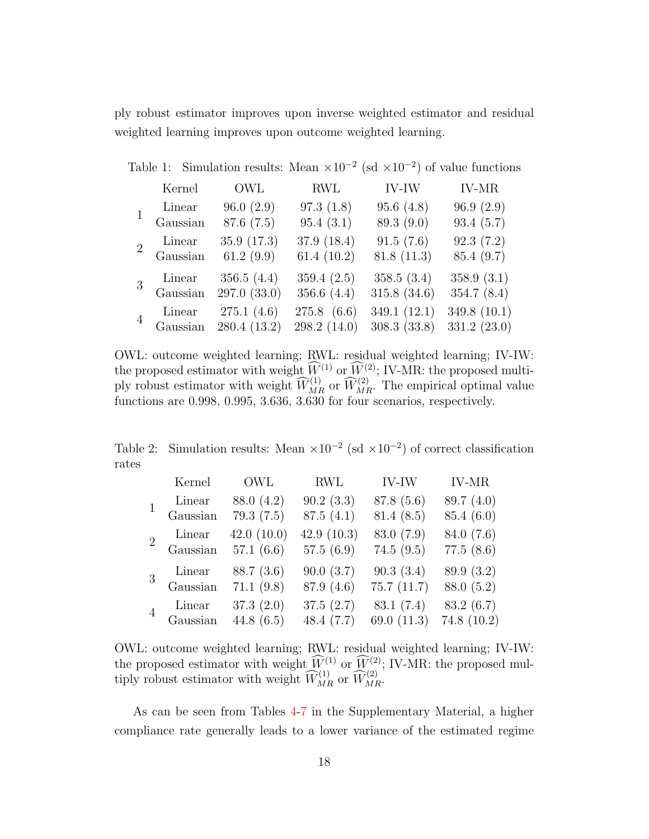ply robust estimator improves upon inverse weighted estimator and residual weighted learning improves upon outcome weighted learning.

Table 1: Simulation results: Mean  $\times 10^{-2}$  (sd  $\times 10^{-2}$ ) of value functions

<span id="page-17-0"></span>

|                | Kernel             | OWL                                                       | <b>RWL</b>                      | IV-IW                       | IV-MR                       |
|----------------|--------------------|-----------------------------------------------------------|---------------------------------|-----------------------------|-----------------------------|
|                | Linear<br>Gaussian | 96.0(2.9)<br>87.6(7.5)                                    | 97.3(1.8)<br>95.4(3.1)          | 95.6(4.8)<br>89.3 (9.0)     | 96.9(2.9)<br>93.4(5.7)      |
| $\overline{2}$ | Linear<br>Gaussian | 35.9(17.3)<br>61.2 $(9.9)$                                | 37.9 (18.4)<br>61.4 $(10.2)$    | 91.5(7.6)<br>81.8(11.3)     | 92.3(7.2)<br>85.4 (9.7)     |
| $\overline{3}$ | Linear<br>Gaussian | 356.5 $(4.4)$<br>297.0 (33.0)                             | 359.4(2.5)<br>356.6 $(4.4)$     | 358.5(3.4)<br>315.8(34.6)   | 358.9(3.1)<br>354.7 $(8.4)$ |
| $\overline{4}$ |                    | 275.1(4.6)<br>Linear 275.1 (4.6)<br>Gaussian 280.4 (13.2) | $275.8$ $(6.6)$<br>298.2 (14.0) | 349.1 (12.1)<br>308.3(33.8) | 349.8 (10.1)<br>331.2(23.0) |

OWL: outcome weighted learning; RWL: residual weighted learning; IV-IW: the proposed estimator with weight  $\widehat{W}^{(1)}$  or  $\widehat{W}^{(2)}$ ; IV-MR: the proposed multiply robust estimator with weight  $\widehat{W}_{MR}^{(1)}$  or  $\widehat{W}_{MR}^{(2)}$ . The empirical optimal value functions are 0.998, 0.995, 3.636, 3.630 for four scenarios, respectively.

Table 2: Simulation results: Mean  $\times 10^{-2}$  (sd  $\times 10^{-2}$ ) of correct classification rates

<span id="page-17-1"></span>

|                | Kernel   | <b>OWL</b>   | <b>RWL</b>   | IV-IW         | <b>IV-MR</b> |
|----------------|----------|--------------|--------------|---------------|--------------|
|                | Linear   | 88.0 (4.2)   | 90.2(3.3)    | 87.8 (5.6)    | 89.7(4.0)    |
|                | Gaussian | 79.3(7.5)    | 87.5(4.1)    | 81.4(8.5)     | 85.4(6.0)    |
| $\overline{2}$ | Linear   | 42.0(10.0)   | 42.9(10.3)   | 83.0 (7.9)    | 84.0 (7.6)   |
|                | Gaussian | 57.1(6.6)    | 57.5(6.9)    | 74.5(9.5)     | 77.5(8.6)    |
|                | Linear   | 88.7(3.6)    | 90.0(3.7)    | 90.3(3.4)     | 89.9 (3.2)   |
|                | Gaussian | 71.1(9.8)    | 87.9 (4.6)   | 75.7(11.7)    | 88.0 (5.2)   |
|                | Linear   | 37.3(2.0)    | 37.5(2.7)    | 83.1(7.4)     | 83.2 (6.7)   |
|                | Gaussian | 44.8 $(6.5)$ | 48.4 $(7.7)$ | 69.0 $(11.3)$ | 74.8(10.2)   |

OWL: outcome weighted learning; RWL: residual weighted learning; IV-IW: the proposed estimator with weight  $W^{(1)}$  or  $W^{(2)}$ ; IV-MR: the proposed multiply robust estimator with weight  $\widehat{W}_{MR}^{(1)}$  or  $\widehat{W}_{MR}^{(2)}$ .

As can be seen from Tables [4-](#page-46-0)[7](#page-47-0) in the Supplementary Material, a higher compliance rate generally leads to a lower variance of the estimated regime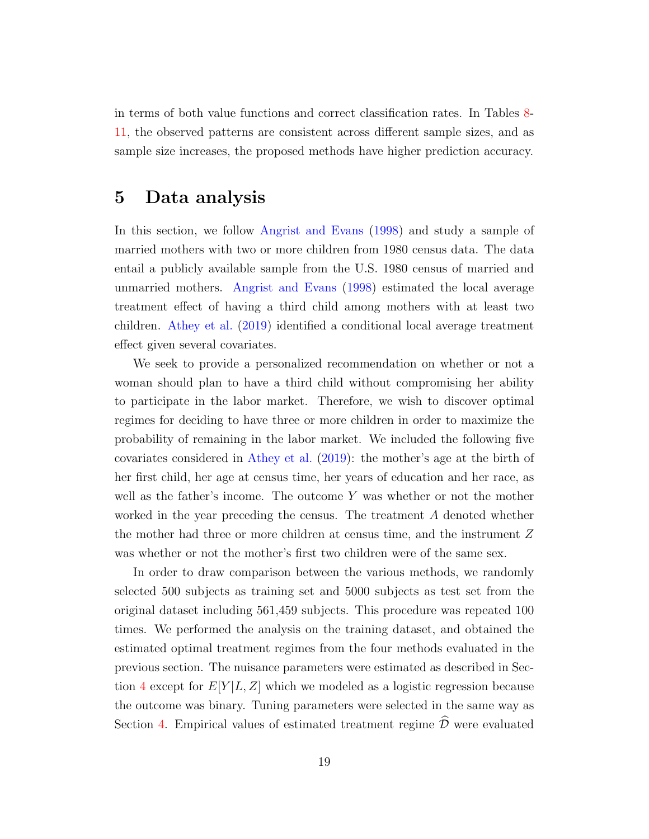in terms of both value functions and correct classification rates. In Tables [8-](#page-48-0) [11,](#page-49-0) the observed patterns are consistent across different sample sizes, and as sample size increases, the proposed methods have higher prediction accuracy.

### <span id="page-18-0"></span>5 Data analysis

In this section, we follow [Angrist and Evans](#page-50-4) [\(1998\)](#page-50-4) and study a sample of married mothers with two or more children from 1980 census data. The data entail a publicly available sample from the U.S. 1980 census of married and unmarried mothers. [Angrist and Evans](#page-50-4) [\(1998\)](#page-50-4) estimated the local average treatment effect of having a third child among mothers with at least two children. [Athey et al.](#page-50-5) [\(2019\)](#page-50-5) identified a conditional local average treatment effect given several covariates.

We seek to provide a personalized recommendation on whether or not a woman should plan to have a third child without compromising her ability to participate in the labor market. Therefore, we wish to discover optimal regimes for deciding to have three or more children in order to maximize the probability of remaining in the labor market. We included the following five covariates considered in [Athey et al.](#page-50-5) [\(2019\)](#page-50-5): the mother's age at the birth of her first child, her age at census time, her years of education and her race, as well as the father's income. The outcome Y was whether or not the mother worked in the year preceding the census. The treatment A denoted whether the mother had three or more children at census time, and the instrument Z was whether or not the mother's first two children were of the same sex.

In order to draw comparison between the various methods, we randomly selected 500 subjects as training set and 5000 subjects as test set from the original dataset including 561,459 subjects. This procedure was repeated 100 times. We performed the analysis on the training dataset, and obtained the estimated optimal treatment regimes from the four methods evaluated in the previous section. The nuisance parameters were estimated as described in Sec-tion [4](#page-14-0) except for  $E[Y|L, Z]$  which we modeled as a logistic regression because the outcome was binary. Tuning parameters were selected in the same way as Section [4.](#page-14-0) Empirical values of estimated treatment regime  $\overline{\mathcal{D}}$  were evaluated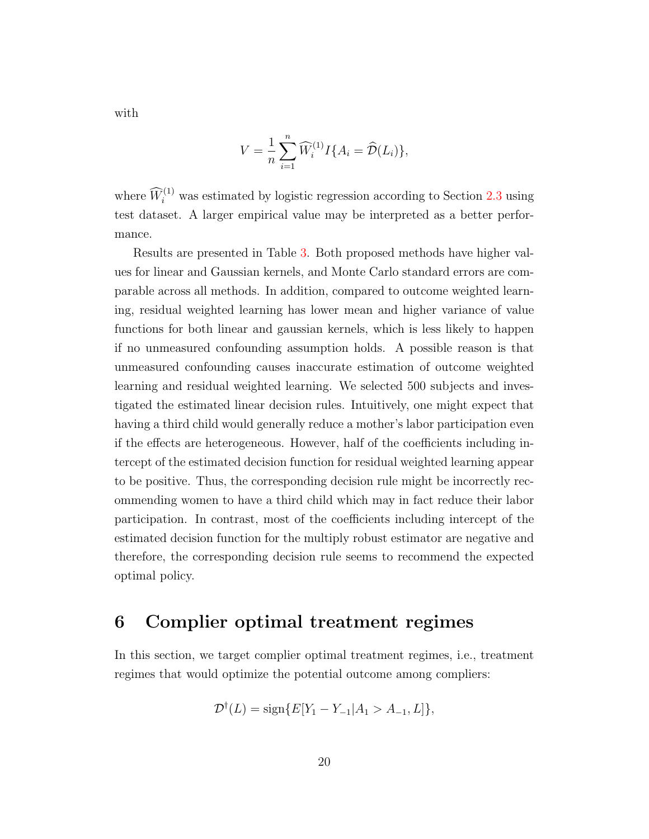$$
V = \frac{1}{n} \sum_{i=1}^{n} \widehat{W}_i^{(1)} I\{A_i = \widehat{\mathcal{D}}(L_i)\},
$$

where  $\widehat{W}_i^{(1)}$  was estimated by logistic regression according to Section [2.3](#page-10-2) using test dataset. A larger empirical value may be interpreted as a better performance.

Results are presented in Table [3.](#page-20-0) Both proposed methods have higher values for linear and Gaussian kernels, and Monte Carlo standard errors are comparable across all methods. In addition, compared to outcome weighted learning, residual weighted learning has lower mean and higher variance of value functions for both linear and gaussian kernels, which is less likely to happen if no unmeasured confounding assumption holds. A possible reason is that unmeasured confounding causes inaccurate estimation of outcome weighted learning and residual weighted learning. We selected 500 subjects and investigated the estimated linear decision rules. Intuitively, one might expect that having a third child would generally reduce a mother's labor participation even if the effects are heterogeneous. However, half of the coefficients including intercept of the estimated decision function for residual weighted learning appear to be positive. Thus, the corresponding decision rule might be incorrectly recommending women to have a third child which may in fact reduce their labor participation. In contrast, most of the coefficients including intercept of the estimated decision function for the multiply robust estimator are negative and therefore, the corresponding decision rule seems to recommend the expected optimal policy.

### <span id="page-19-0"></span>6 Complier optimal treatment regimes

In this section, we target complier optimal treatment regimes, i.e., treatment regimes that would optimize the potential outcome among compliers:

$$
\mathcal{D}^{\dagger}(L) = \text{sign}\{E[Y_1 - Y_{-1} | A_1 > A_{-1}, L]\},\
$$

with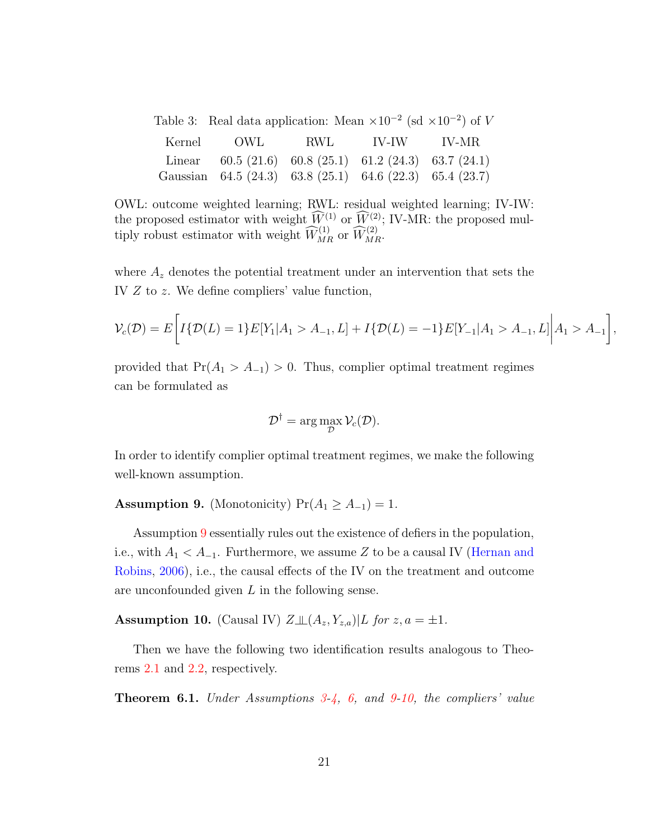<span id="page-20-0"></span>

| Table 3: Real data application: Mean $\times 10^{-2}$ (sd $\times 10^{-2}$ ) of V |  |  |
|-----------------------------------------------------------------------------------|--|--|
| Kernel OWL RWL IV-IW IV-MR                                                        |  |  |
| Linear 60.5 (21.6) 60.8 (25.1) 61.2 (24.3) 63.7 (24.1)                            |  |  |
| Gaussian 64.5 (24.3) 63.8 (25.1) 64.6 (22.3) 65.4 (23.7)                          |  |  |

OWL: outcome weighted learning; RWL: residual weighted learning; IV-IW: the proposed estimator with weight  $\widehat{W}_{\infty}^{(1)}$  or  $\widehat{W}_{\infty}^{(2)}$ ; IV-MR: the proposed multiply robust estimator with weight  $\widehat{W}_{MR}^{(1)}$  or  $\widehat{W}_{MR}^{(2)}$ .

where  $A_z$  denotes the potential treatment under an intervention that sets the IV Z to z. We define compliers' value function,

$$
\mathcal{V}_c(\mathcal{D}) = E\bigg[I\{\mathcal{D}(L) = 1\}E[Y_1|A_1 > A_{-1}, L] + I\{\mathcal{D}(L) = -1\}E[Y_{-1}|A_1 > A_{-1}, L]\bigg|A_1 > A_{-1}\bigg],
$$

provided that  $Pr(A_1 > A_{-1}) > 0$ . Thus, complier optimal treatment regimes can be formulated as

$$
\mathcal{D}^{\dagger} = \arg\max_{\mathcal{D}} \mathcal{V}_c(\mathcal{D}).
$$

In order to identify complier optimal treatment regimes, we make the following well-known assumption.

<span id="page-20-1"></span>Assumption 9. (Monotonicity)  $Pr(A_1 \geq A_{-1}) = 1$ .

Assumption [9](#page-20-1) essentially rules out the existence of defiers in the population, i.e., with  $A_1 < A_{-1}$ . Furthermore, we assume Z to be a causal IV [\(Hernan and](#page-51-2) [Robins,](#page-51-2) [2006\)](#page-51-2), i.e., the causal effects of the IV on the treatment and outcome are unconfounded given  $L$  in the following sense.

<span id="page-20-2"></span>Assumption 10. (Causal IV)  $Z \perp (A_z, Y_{z,a}) | L$  for  $z, a = \pm 1$ .

Then we have the following two identification results analogous to Theorems [2.1](#page-9-0) and [2.2,](#page-9-1) respectively.

<span id="page-20-3"></span>**Theorem 6.1.** Under Assumptions  $3-4$  $3-4$ , [6,](#page-7-0) and  $9-10$  $9-10$ , the compliers' value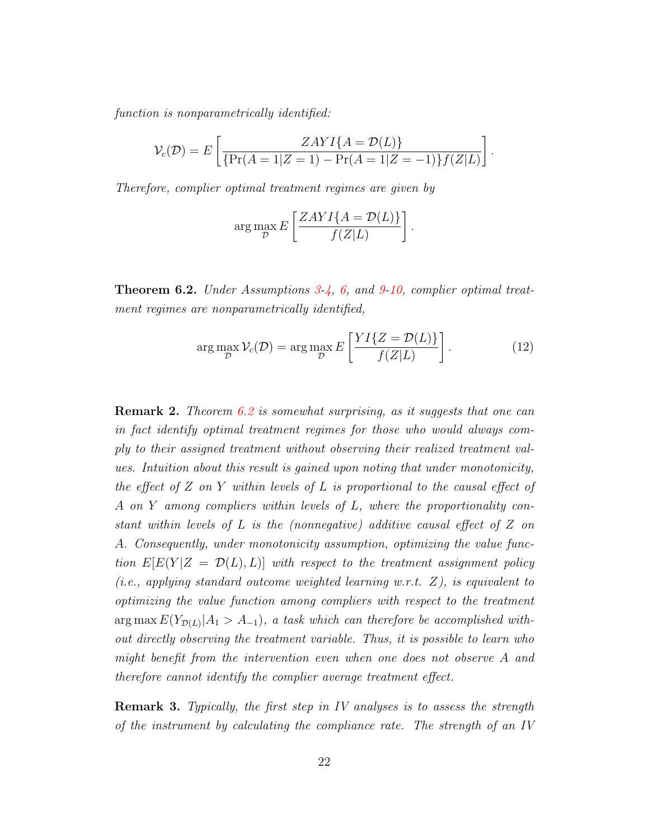function is nonparametrically identified:

$$
\mathcal{V}_c(\mathcal{D}) = E\left[\frac{ZAYI\{A = \mathcal{D}(L)\}}{\{\Pr(A=1|Z=1) - \Pr(A=1|Z=-1)\}f(Z|L)}\right].
$$

Therefore, complier optimal treatment regimes are given by

<span id="page-21-0"></span>
$$
\arg\max_{\mathcal{D}} E\left[\frac{ZAYI\{A=\mathcal{D}(L)\}}{f(Z|L)}\right].
$$

Theorem 6.2. Under Assumptions [3](#page-7-1)[-4,](#page-7-2) [6,](#page-7-0) and [9](#page-20-1)[-10,](#page-20-2) complier optimal treatment regimes are nonparametrically identified,

$$
\arg\max_{\mathcal{D}} \mathcal{V}_c(\mathcal{D}) = \arg\max_{\mathcal{D}} E\left[\frac{YI\{Z = \mathcal{D}(L)\}}{f(Z|L)}\right].
$$
 (12)

**Remark 2.** Theorem [6.2](#page-21-0) is somewhat surprising, as it suggests that one can in fact identify optimal treatment regimes for those who would always comply to their assigned treatment without observing their realized treatment values. Intuition about this result is gained upon noting that under monotonicity, the effect of Z on Y within levels of L is proportional to the causal effect of A on Y among compliers within levels of L, where the proportionality constant within levels of L is the (nonnegative) additive causal effect of Z on A. Consequently, under monotonicity assumption, optimizing the value function  $E[E(Y|Z = \mathcal{D}(L), L)]$  with respect to the treatment assignment policy (*i.e.*, applying standard outcome weighted learning w.r.t.  $Z$ ), is equivalent to optimizing the value function among compliers with respect to the treatment  $\arg \max E(Y_{\mathcal{D}(L)} | A_1 > A_{-1}),$  a task which can therefore be accomplished without directly observing the treatment variable. Thus, it is possible to learn who might benefit from the intervention even when one does not observe A and therefore cannot identify the complier average treatment effect.

<span id="page-21-1"></span>**Remark 3.** Typically, the first step in IV analyses is to assess the strength of the instrument by calculating the compliance rate. The strength of an IV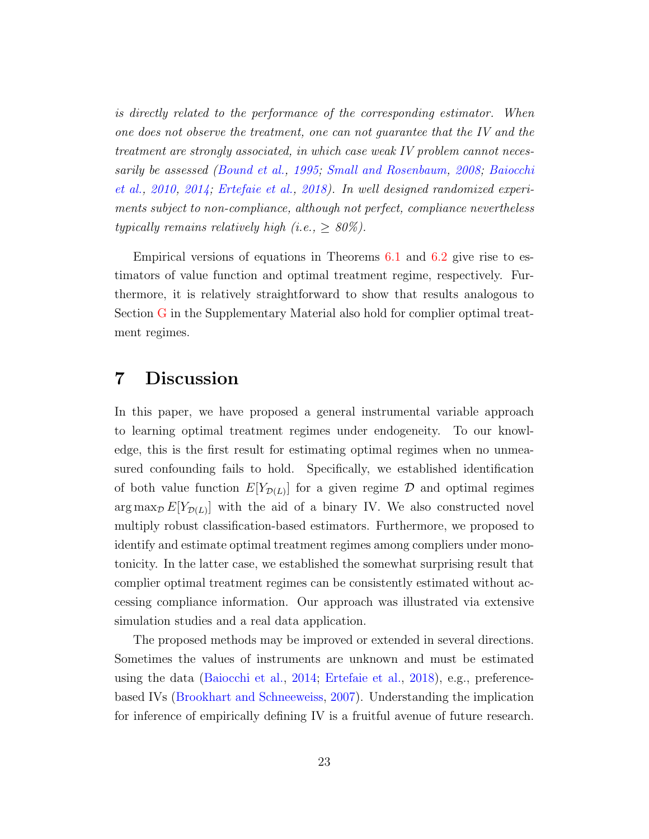is directly related to the performance of the corresponding estimator. When one does not observe the treatment, one can not guarantee that the IV and the treatment are strongly associated, in which case weak IV problem cannot necessarily be assessed [\(Bound et al.,](#page-51-6) [1995;](#page-51-6) [Small and Rosenbaum,](#page-54-5) [2008;](#page-54-5) [Baiocchi](#page-50-6) [et al.,](#page-50-6) [2010,](#page-50-6) [2014;](#page-50-7) [Ertefaie et al.,](#page-51-7) [2018\)](#page-51-7). In well designed randomized experiments subject to non-compliance, although not perfect, compliance nevertheless typically remains relatively high (i.e.,  $\geq 80\%$ ).

Empirical versions of equations in Theorems  $6.1$  and  $6.2$  give rise to estimators of value function and optimal treatment regime, respectively. Furthermore, it is relatively straightforward to show that results analogous to Section [G](#page-33-0) in the Supplementary Material also hold for complier optimal treatment regimes.

### <span id="page-22-0"></span>7 Discussion

In this paper, we have proposed a general instrumental variable approach to learning optimal treatment regimes under endogeneity. To our knowledge, this is the first result for estimating optimal regimes when no unmeasured confounding fails to hold. Specifically, we established identification of both value function  $E[Y_{\mathcal{D}(L)}]$  for a given regime  $\mathcal D$  and optimal regimes  $\arg \max_{\mathcal{D}} E[Y_{\mathcal{D}(L)}]$  with the aid of a binary IV. We also constructed novel multiply robust classification-based estimators. Furthermore, we proposed to identify and estimate optimal treatment regimes among compliers under monotonicity. In the latter case, we established the somewhat surprising result that complier optimal treatment regimes can be consistently estimated without accessing compliance information. Our approach was illustrated via extensive simulation studies and a real data application.

The proposed methods may be improved or extended in several directions. Sometimes the values of instruments are unknown and must be estimated using the data [\(Baiocchi et al.,](#page-50-7) [2014;](#page-50-7) [Ertefaie et al.,](#page-51-7) [2018\)](#page-51-7), e.g., preferencebased IVs [\(Brookhart and Schneeweiss,](#page-51-8) [2007\)](#page-51-8). Understanding the implication for inference of empirically defining IV is a fruitful avenue of future research.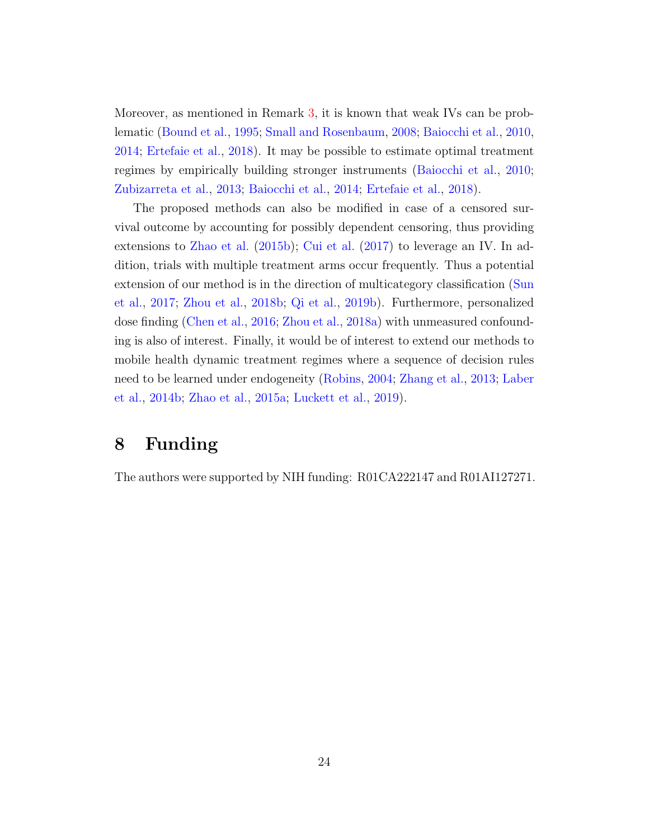Moreover, as mentioned in Remark [3,](#page-21-1) it is known that weak IVs can be problematic [\(Bound et al.,](#page-51-6) [1995;](#page-51-6) [Small and Rosenbaum,](#page-54-5) [2008;](#page-54-5) [Baiocchi et al.,](#page-50-6) [2010,](#page-50-6) [2014;](#page-50-7) [Ertefaie et al.,](#page-51-7) [2018\)](#page-51-7). It may be possible to estimate optimal treatment regimes by empirically building stronger instruments [\(Baiocchi et al.,](#page-50-6) [2010;](#page-50-6) [Zubizarreta et al.,](#page-57-7) [2013;](#page-57-7) [Baiocchi et al.,](#page-50-7) [2014;](#page-50-7) [Ertefaie et al.,](#page-51-7) [2018\)](#page-51-7).

The proposed methods can also be modified in case of a censored survival outcome by accounting for possibly dependent censoring, thus providing extensions to [Zhao et al.](#page-57-2) [\(2015b\)](#page-57-2); [Cui et al.](#page-51-4) [\(2017\)](#page-51-4) to leverage an IV. In addition, trials with multiple treatment arms occur frequently. Thus a potential extension of our method is in the direction of multicategory classification [\(Sun](#page-55-5) [et al.,](#page-55-5) [2017;](#page-55-5) [Zhou et al.,](#page-57-8) [2018b;](#page-57-8) [Qi et al.,](#page-53-5) [2019b\)](#page-53-5). Furthermore, personalized dose finding [\(Chen et al.,](#page-51-3) [2016;](#page-51-3) [Zhou et al.,](#page-57-9) [2018a\)](#page-57-9) with unmeasured confounding is also of interest. Finally, it would be of interest to extend our methods to mobile health dynamic treatment regimes where a sequence of decision rules need to be learned under endogeneity [\(Robins,](#page-54-2) [2004;](#page-54-2) [Zhang et al.,](#page-56-9) [2013;](#page-56-9) [Laber](#page-52-10) [et al.,](#page-52-10) [2014b;](#page-52-10) [Zhao et al.,](#page-57-1) [2015a;](#page-57-1) [Luckett et al.,](#page-53-6) [2019\)](#page-53-6).

### 8 Funding

The authors were supported by NIH funding: R01CA222147 and R01AI127271.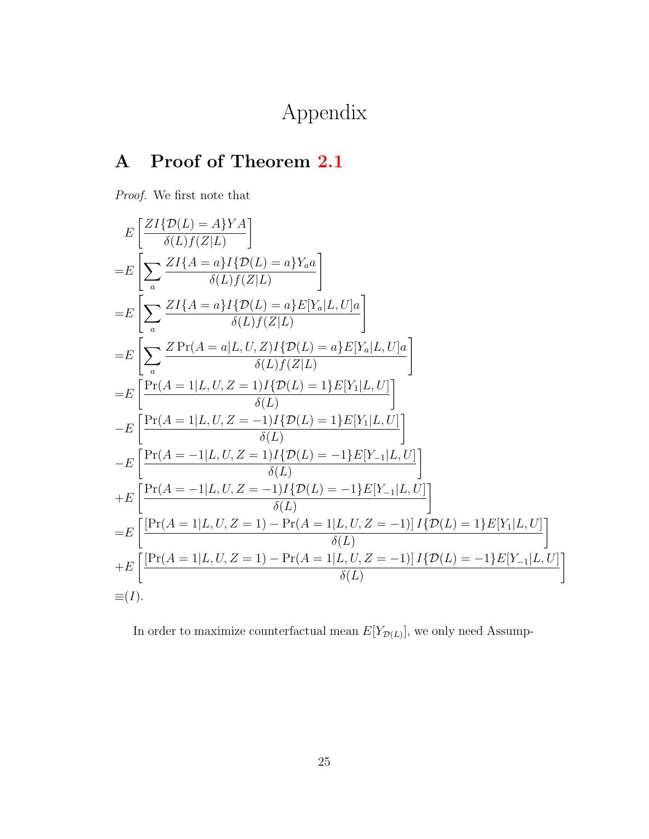Appendix

## A Proof of Theorem [2.1](#page-9-0)

Proof. We first note that

$$
E\left[\frac{ZI\{D(L) = A\}YA}{\delta(L)f(Z|L)}\right]
$$
  
\n
$$
= E\left[\sum_{a} \frac{ZI\{A = a\}I\{D(L) = a\}Y_{a}a}{\delta(L)f(Z|L)}\right]
$$
  
\n
$$
= E\left[\sum_{a} \frac{ZI\{A = a\}I\{D(L) = a\}E[Y_{a}|L, U]a}{\delta(L)f(Z|L)}\right]
$$
  
\n
$$
= E\left[\sum_{a} \frac{Z\Pr(A = a|L, U, Z)I\{D(L) = a\}E[Y_{a}|L, U]a}{\delta(L)f(Z|L)}\right]
$$
  
\n
$$
= E\left[\frac{\Pr(A = 1|L, U, Z = 1)I\{D(L) = 1\}E[Y_{1}|L, U]\}}{\delta(L)}\right]
$$
  
\n
$$
- E\left[\frac{\Pr(A = 1|L, U, Z = -1)I\{D(L) = 1\}E[Y_{1}|L, U]\}}{\delta(L)}\right]
$$
  
\n
$$
+ E\left[\frac{\Pr(A = -1|L, U, Z = 1)I\{D(L) = -1\}E[Y_{-1}|L, U]\}}{\delta(L)}\right]
$$
  
\n
$$
= E\left[\frac{\Pr(A = -1|L, U, Z = -1)I\{D(L) = -1\}E[Y_{-1}|L, U]\}}{\delta(L)}\right]
$$
  
\n
$$
= E\left[\frac{\Pr(A = 1|L, U, Z = 1) - \Pr(A = 1|L, U, Z = -1)|I\{D(L) = 1\}E[Y_{1}|L, U]\}}{\delta(L)}\right]
$$
  
\n
$$
+ E\left[\frac{\Pr(A = 1|L, U, Z = 1) - \Pr(A = 1|L, U, Z = -1)|I\{D(L) = -1\}E[Y_{-1}|L, U]\}}{\delta(L)}\right]
$$
  
\n
$$
\equiv (I).
$$

In order to maximize counterfactual mean  $E[Y_{\mathcal{D}(L)}]$ , we only need Assump-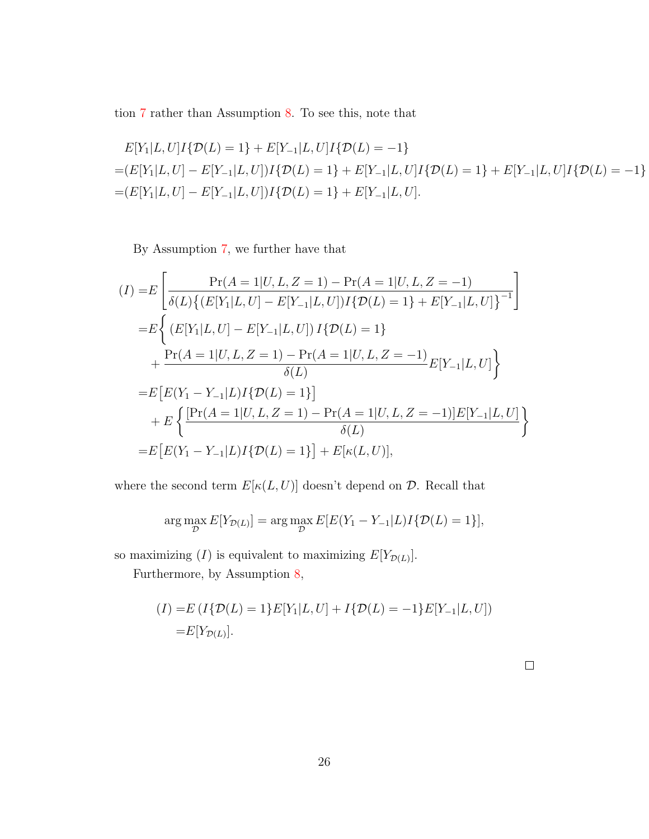tion [7](#page-8-1) rather than Assumption [8.](#page-8-2) To see this, note that

$$
E[Y_1|L, U]I\{\mathcal{D}(L) = 1\} + E[Y_{-1}|L, U]I\{\mathcal{D}(L) = -1\}
$$
  
= 
$$
(E[Y_1|L, U] - E[Y_{-1}|L, U])I\{\mathcal{D}(L) = 1\} + E[Y_{-1}|L, U]I\{\mathcal{D}(L) = 1\} + E[Y_{-1}|L, U]I\{\mathcal{D}(L) = -1\}
$$
  
= 
$$
(E[Y_1|L, U] - E[Y_{-1}|L, U])I\{\mathcal{D}(L) = 1\} + E[Y_{-1}|L, U].
$$

By Assumption [7,](#page-8-1) we further have that

$$
(I) = E\left[\frac{\Pr(A = 1|U, L, Z = 1) - \Pr(A = 1|U, L, Z = -1)}{\delta(L)\{(E[Y_1|L, U] - E[Y_{-1}|L, U])I\{\mathcal{D}(L) = 1\} + E[Y_{-1}|L, U]\}^{-1}}\right]
$$
  
\n
$$
= E\left\{(E[Y_1|L, U] - E[Y_{-1}|L, U])I\{\mathcal{D}(L) = 1\} + \frac{\Pr(A = 1|U, L, Z = 1) - \Pr(A = 1|U, L, Z = -1)}{\delta(L)}E[Y_{-1}|L, U]\right\}
$$
  
\n
$$
= E\left[E(Y_1 - Y_{-1}|L)I\{\mathcal{D}(L) = 1\}\right]
$$
  
\n
$$
+ E\left\{\frac{[\Pr(A = 1|U, L, Z = 1) - \Pr(A = 1|U, L, Z = -1)]E[Y_{-1}|L, U]}{\delta(L)}\right\}
$$
  
\n
$$
= E\left[E(Y_1 - Y_{-1}|L)I\{\mathcal{D}(L) = 1\}\right] + E[\kappa(L, U)],
$$

where the second term  $E[\kappa(L,U)]$  doesn't depend on  ${\mathcal{D}}.$  Recall that

$$
\arg\max_{\mathcal{D}} E[Y_{\mathcal{D}(L)}] = \arg\max_{\mathcal{D}} E[E(Y_1 - Y_{-1}|L)I\{\mathcal{D}(L) = 1\}],
$$

so maximizing  $(I)$  is equivalent to maximizing  $E[Y_{\mathcal{D}(L)}].$ 

Furthermore, by Assumption [8,](#page-8-2)

$$
(I) = E (I \{ \mathcal{D}(L) = 1 \} E[Y_1 | L, U] + I \{ \mathcal{D}(L) = -1 \} E[Y_{-1} | L, U])
$$
  
= E[Y<sub>\mathcal{D}(L)</sub>].

 $\Box$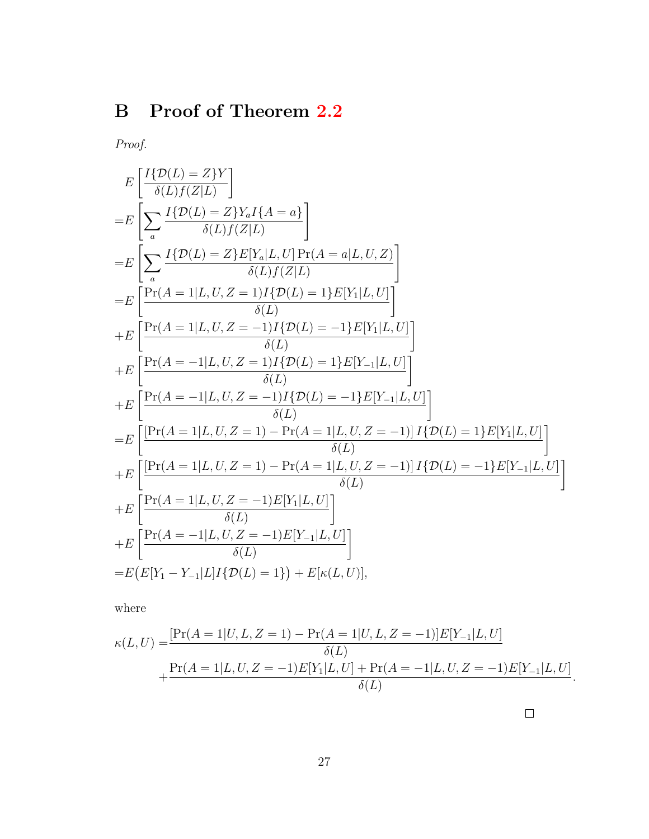# B Proof of Theorem [2.2](#page-9-1)

Proof.

$$
E\left[\frac{I\{D(L)=Z\}Y}{\delta(L)f(Z|L)}\right]
$$
\n
$$
=E\left[\sum_{a}\frac{I\{D(L)=Z\}Y_{a}I\{A=a\}}{\delta(L)f(Z|L)}\right]
$$
\n
$$
=E\left[\sum_{a}\frac{I\{D(L)=Z\}E[Y_{a}|L,U]\Pr(A=a|L,U,Z)}{\delta(L)f(Z|L)}\right]
$$
\n
$$
=E\left[\frac{\Pr(A=1|L,U,Z=1)I\{D(L)=1\}E[Y_{1}|L,U]}{\delta(L)}\right]
$$
\n
$$
+E\left[\frac{\Pr(A=1|L,U,Z=-1)I\{D(L)=-1\}E[Y_{1}|L,U]}{\delta(L)}\right]
$$
\n
$$
+E\left[\frac{\Pr(A=-1|L,U,Z=1)I\{D(L)=1\}E[Y_{-1}|L,U]}{\delta(L)}\right]
$$
\n
$$
+E\left[\frac{\Pr(A=-1|L,U,Z=-1)I\{D(L)=-1\}E[Y_{-1}|L,U]}{\delta(L)}\right]
$$
\n
$$
=E\left[\frac{[\Pr(A=1|L,U,Z=1)-\Pr(A=1|L,U,Z=-1)]I\{D(L)=1\}E[Y_{1}|L,U]}{\delta(L)}\right]
$$
\n
$$
+E\left[\frac{\Pr(A=1|L,U,Z=1)-\Pr(A=1|L,U,Z=-1)]I\{D(L)=-1\}E[Y_{-1}|L,U]}{\delta(L)}\right]
$$
\n
$$
+E\left[\frac{\Pr(A=1|L,U,Z=-1)E[Y_{1}|L,U]}{\delta(L)}\right]
$$
\n
$$
=E\left[E[Y_{1}-Y_{-1}|L]I\{D(L)=1\}\right] + E\left[\kappa(L,U)\right],
$$

where

$$
\kappa(L, U) = \frac{[\Pr(A = 1 | U, L, Z = 1) - \Pr(A = 1 | U, L, Z = -1)] E[Y_{-1} | L, U]}{\delta(L)} + \frac{\Pr(A = 1 | L, U, Z = -1) E[Y_1 | L, U] + \Pr(A = -1 | L, U, Z = -1) E[Y_{-1} | L, U]}{\delta(L)}.
$$

 $\Box$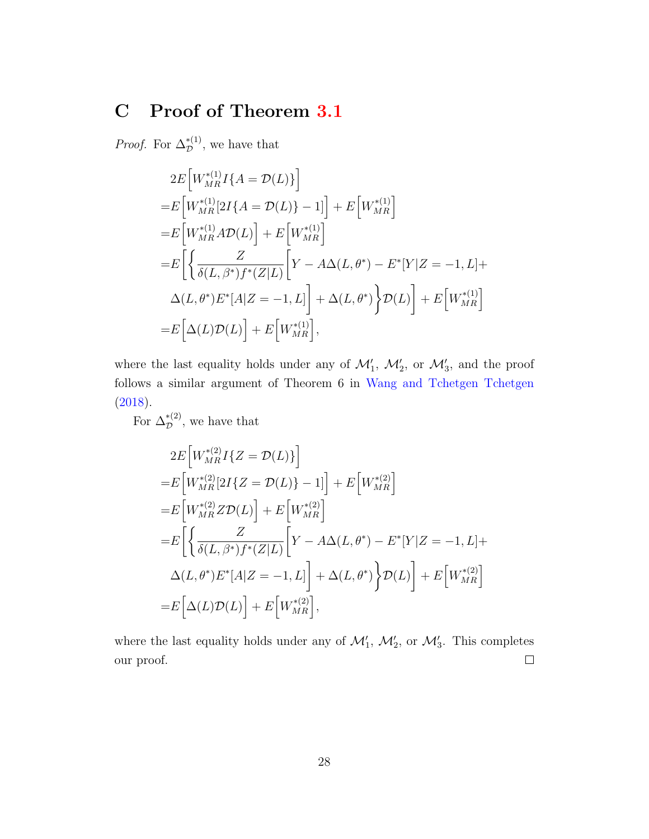## C Proof of Theorem [3.1](#page-14-1)

*Proof.* For  $\Delta_{\mathcal{D}}^{*(1)}$ , we have that

$$
2E\left[W_{MR}^{*(1)}I\{A = \mathcal{D}(L)\}\right]
$$
  
=  $E\left[W_{MR}^{*(1)}[2I\{A = \mathcal{D}(L)\}-1]\right] + E\left[W_{MR}^{*(1)}\right]$   
=  $E\left[W_{MR}^{*(1)}A\mathcal{D}(L)\right] + E\left[W_{MR}^{*(1)}\right]$   
=  $E\left[\left\{\frac{Z}{\delta(L,\beta^*)f^*(Z|L)}\left[Y - A\Delta(L,\theta^*) - E^*[Y|Z = -1, L] + \Delta(L,\theta^*)E^*[A|Z = -1, L]\right] + \Delta(L,\theta^*)\right\}\mathcal{D}(L)\right] + E\left[W_{MR}^{*(1)}\right]$   
=  $E\left[\Delta(L)\mathcal{D}(L)\right] + E\left[W_{MR}^{*(1)}\right],$ 

where the last equality holds under any of  $\mathcal{M}'_1$ ,  $\mathcal{M}'_2$ , or  $\mathcal{M}'_3$ , and the proof follows a similar argument of Theorem 6 in [Wang and Tchetgen Tchetgen](#page-55-3) [\(2018\)](#page-55-3).

For  $\Delta_{\mathcal{D}}^{*(2)}$ , we have that

$$
2E\left[W_{MR}^{*(2)}I\{Z = \mathcal{D}(L)\}\right]
$$
  
\n
$$
= E\left[W_{MR}^{*(2)}[2I\{Z = \mathcal{D}(L)\} - 1]\right] + E\left[W_{MR}^{*(2)}\right]
$$
  
\n
$$
= E\left[W_{MR}^{*(2)}Z\mathcal{D}(L)\right] + E\left[W_{MR}^{*(2)}\right]
$$
  
\n
$$
= E\left[\left\{\frac{Z}{\delta(L,\beta^*)f^*(Z|L)}\left[Y - A\Delta(L,\theta^*) - E^*[Y|Z = -1, L]\right] + \Delta(L,\theta^*)E^*[A|Z = -1, L]\right] + \Delta(L,\theta^*)\right\} \mathcal{D}(L)\right] + E\left[W_{MR}^{*(2)}\right]
$$
  
\n
$$
= E\left[\Delta(L)\mathcal{D}(L)\right] + E\left[W_{MR}^{*(2)}\right],
$$

where the last equality holds under any of  $\mathcal{M}'_1$ ,  $\mathcal{M}'_2$ , or  $\mathcal{M}'_3$ . This completes our proof.  $\Box$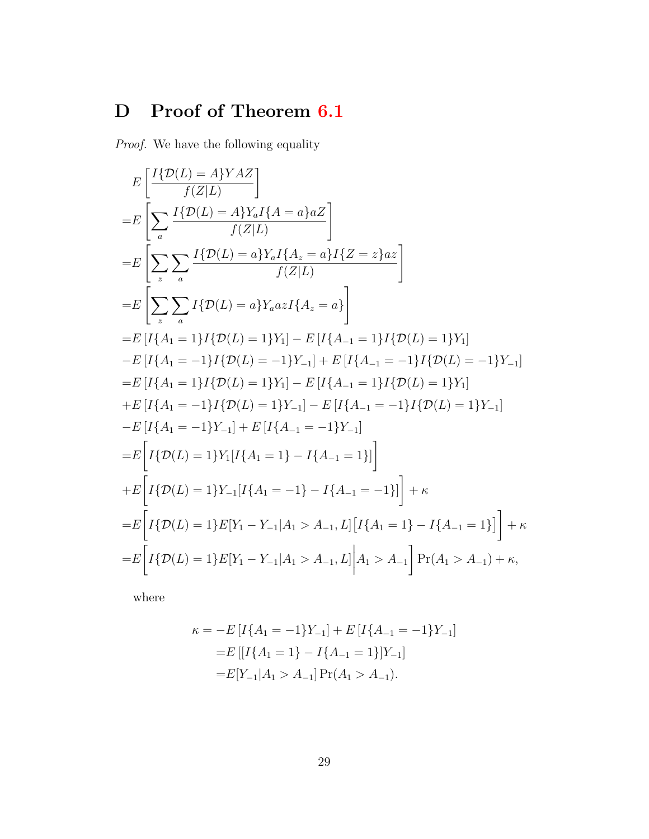## D Proof of Theorem [6.1](#page-20-3)

Proof. We have the following equality

$$
E\left[\frac{I\{\mathcal{D}(L) = A\}YAZ}{f(Z|L)}\right]
$$
  
\n
$$
=E\left[\sum_{a}\frac{I\{\mathcal{D}(L) = A\}Y_{a}I\{A = a\}aZ}{f(Z|L)}\right]
$$
  
\n
$$
=E\left[\sum_{z}\sum_{a}\frac{I\{\mathcal{D}(L) = a\}Y_{a}I\{A_{z} = a\}I\{Z = z\}az}{f(Z|L)}\right]
$$
  
\n
$$
=E\left[\sum_{z}\sum_{a}I\{\mathcal{D}(L) = a\}Y_{a}azI\{A_{z} = a\}\right]
$$
  
\n
$$
=E\left[I\{A_{1} = 1\}I\{\mathcal{D}(L) = 1\}Y_{1}\right] - E\left[I\{A_{-1} = 1\}I\{\mathcal{D}(L) = 1\}Y_{1}\right]
$$
  
\n
$$
-E\left[I\{A_{1} = -1\}I\{\mathcal{D}(L) = -1\}Y_{-1}\right] + E\left[I\{A_{-1} = -1\}I\{\mathcal{D}(L) = -1\}Y_{-1}\right]
$$
  
\n
$$
=E\left[I\{A_{1} = 1\}I\{\mathcal{D}(L) = 1\}Y_{1}\right] - E\left[I\{A_{-1} = 1\}I\{\mathcal{D}(L) = 1\}Y_{1}\right]
$$
  
\n
$$
+E\left[I\{A_{1} = -1\}I\{\mathcal{D}(L) = 1\}Y_{-1}\right] - E\left[I\{A_{-1} = -1\}I\{\mathcal{D}(L) = 1\}Y_{-1}\right]
$$
  
\n
$$
-E\left[I\{A_{1} = -1\}Y_{-1}\right] + E\left[I\{A_{-1} = -1\}Y_{-1}\right]
$$
  
\n
$$
=E\left[I\{\mathcal{D}(L) = 1\}Y_{1}\left[I\{A_{1} = 1\} - I\{A_{-1} = 1\}\right]\right] + E\left[I\{\mathcal{D}(L) = 1\}Y_{-1}\left[I\{A_{1} = -1\} - I\{A_{-1} = -1\}\right]\right] + \kappa
$$
  
\n<math display="</math>

where

$$
\kappa = -E[I\{A_1 = -1\}Y_{-1}] + E[I\{A_{-1} = -1\}Y_{-1}]
$$

$$
= E[[I\{A_1 = 1\} - I\{A_{-1} = 1\}]Y_{-1}]
$$

$$
= E[Y_{-1}|A_1 > A_{-1}] Pr(A_1 > A_{-1}).
$$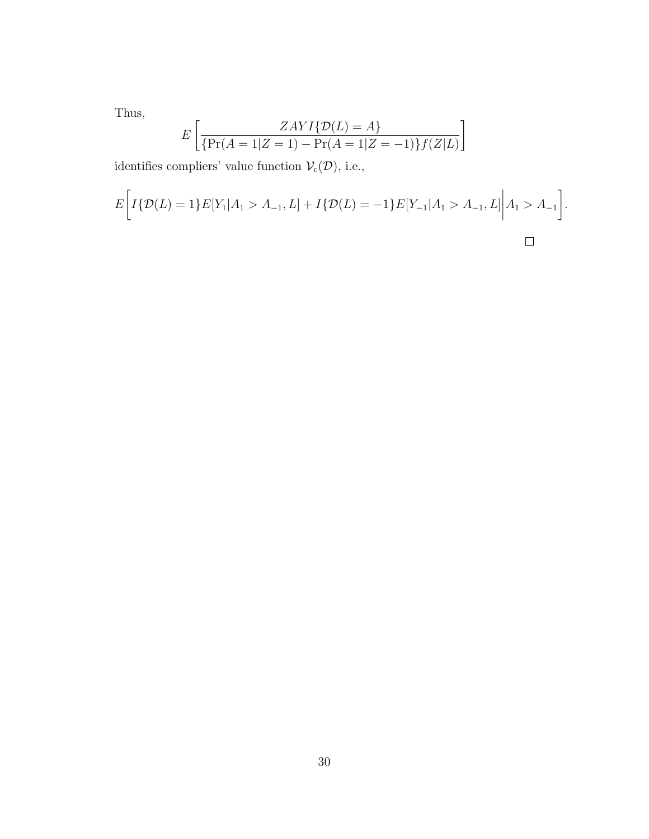Thus,

$$
E\left[\frac{ZAYI\{\mathcal{D}(L) = A\}}{\{Pr(A = 1|Z = 1) - Pr(A = 1|Z = -1)\}f(Z|L)}\right]
$$

identifies compliers' value function  $\mathcal{V}_c(\mathcal{D}),$  i.e.,

$$
E\bigg[I\{\mathcal{D}(L)=1\}E[Y_1|A_1>A_{-1},L]+I\{\mathcal{D}(L)=-1\}E[Y_{-1}|A_1>A_{-1},L]\bigg|A_1>A_{-1}\bigg].
$$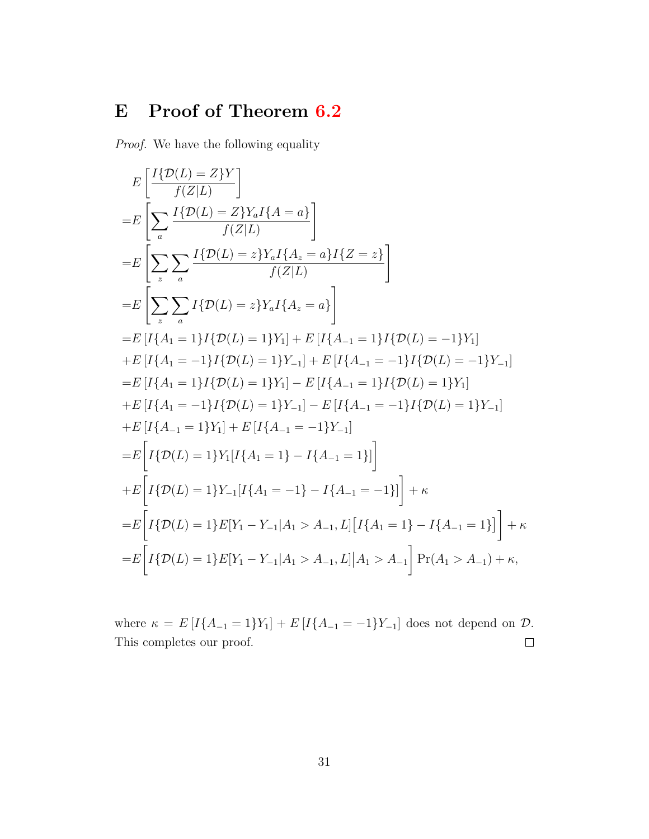## E Proof of Theorem [6.2](#page-21-0)

Proof. We have the following equality

$$
E\left[\frac{I\{\mathcal{D}(L) = Z\}Y}{f(Z|L)}\right]
$$
  
\n
$$
=E\left[\sum_{a}\frac{I\{\mathcal{D}(L) = Z\}Y_{a}I\{A = a\}}{f(Z|L)}\right]
$$
  
\n
$$
=E\left[\sum_{z}\sum_{a}\frac{I\{\mathcal{D}(L) = z\}Y_{a}I\{A_{z} = a\}I\{Z = z\}}{f(Z|L)}\right]
$$
  
\n
$$
=E\left[\sum_{z}\sum_{a}I\{\mathcal{D}(L) = z\}Y_{a}I\{A_{z} = a\}\right]
$$
  
\n
$$
=E\left[I\{A_{1} = 1\}I\{\mathcal{D}(L) = 1\}Y_{1}\right] + E\left[I\{A_{-1} = 1\}I\{\mathcal{D}(L) = -1\}Y_{1}\right]
$$
  
\n
$$
+E\left[I\{A_{1} = -1\}I\{\mathcal{D}(L) = 1\}Y_{-1}\right] + E\left[I\{A_{-1} = -1\}I\{\mathcal{D}(L) = -1\}Y_{-1}\right]
$$
  
\n
$$
=E\left[I\{A_{1} = 1\}I\{\mathcal{D}(L) = 1\}Y_{-1}\right] - E\left[I\{A_{-1} = 1\}I\{\mathcal{D}(L) = 1\}Y_{-1}\right]
$$
  
\n
$$
+E\left[I\{A_{1} = -1\}I\{\mathcal{D}(L) = 1\}Y_{-1}\right] - E\left[I\{A_{-1} = -1\}I\{\mathcal{D}(L) = 1\}Y_{-1}\right]
$$
  
\n
$$
+E\left[I\{A_{-1} = 1\}Y_{1}\right] + E\left[I\{A_{-1} = -1\}Y_{-1}\right]
$$
  
\n
$$
=E\left[I\{\mathcal{D}(L) = 1\}Y_{1}\left[I\{A_{1} = 1\} - I\{A_{-1} = 1\}\right]\right] + \kappa
$$
  
\n
$$
=E\left[I\{\mathcal{D}(L) = 1\}Y_{-1}\left[I\{A_{1} = -1\} - I\{A_{-1} = -1\}\right]\right] +
$$

where  $\kappa = E[I{A_{-1} = 1}Y_1] + E[I{A_{-1} = -1}Y_{-1}]$  does not depend on  $D$ . This completes our proof.  $\Box$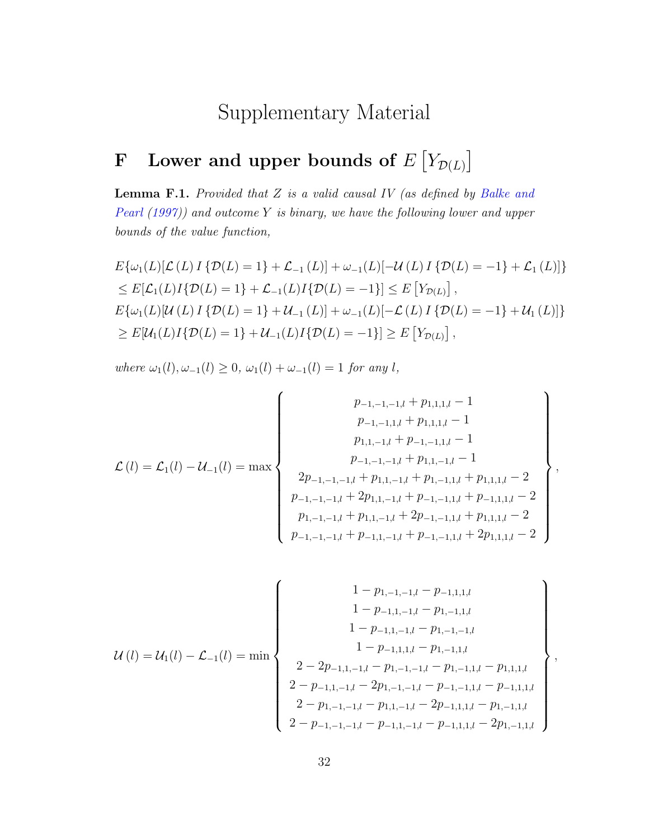## Supplementary Material

## <span id="page-31-0"></span>F Lower and upper bounds of  $E[Y_{\mathcal{D}(L)}]$

**Lemma F.1.** Provided that  $Z$  is a valid causal IV (as defined by [Balke and](#page-50-8) [Pearl](#page-50-8)  $(1997)$ ) and outcome Y is binary, we have the following lower and upper bounds of the value function,

$$
E\{\omega_1(L)[\mathcal{L}(L)I\{\mathcal{D}(L) = 1\} + \mathcal{L}_{-1}(L)] + \omega_{-1}(L)[-U(L)I\{\mathcal{D}(L) = -1\} + \mathcal{L}_1(L)]\}
$$
  
\n
$$
\leq E[\mathcal{L}_1(L)I\{\mathcal{D}(L) = 1\} + \mathcal{L}_{-1}(L)I\{\mathcal{D}(L) = -1\}] \leq E[Y_{\mathcal{D}(L)}],
$$
  
\n
$$
E\{\omega_1(L)[U(L)I\{\mathcal{D}(L) = 1\} + U_{-1}(L)] + \omega_{-1}(L)[-L(L)I\{\mathcal{D}(L) = -1\} + U_{1}(L)]\}
$$
  
\n
$$
\geq E[U_1(L)I\{\mathcal{D}(L) = 1\} + U_{-1}(L)I\{\mathcal{D}(L) = -1\}] \geq E[Y_{\mathcal{D}(L)}],
$$

where  $\omega_1(l), \omega_{-1}(l) \geq 0$ ,  $\omega_1(l) + \omega_{-1}(l) = 1$  for any l,

$$
\mathcal{L}(l) = \mathcal{L}_{1}(l) - \mathcal{U}_{-1}(l) = \max \left\{\begin{array}{c} p_{-1,-1,-1,l} + p_{1,1,1,l} - 1 \\ p_{-1,-1,1,l} + p_{1,1,1,l} - 1 \\ p_{1,1,-1,l} + p_{-1,-1,1,l} - 1 \\ p_{-1,-1,-1,l} + p_{1,1,-1,l} - 1 \\ p_{-1,-1,-1,l} + p_{1,1,-1,l} + p_{1,-1,1,l} + p_{1,1,1,l} - 2 \\ p_{-1,-1,-1,l} + 2p_{1,1,-1,l} + p_{-1,-1,1,l} + p_{-1,1,1,l} - 2 \\ p_{-1,-1,-1,l} + p_{1,1,-1,l} + 2p_{-1,-1,1,l} + p_{1,1,1,l} - 2 \\ p_{-1,-1,-1,l} + p_{-1,1,-1,l} + p_{-1,-1,1,l} + 2p_{1,1,1,l} - 2 \end{array}\right\},
$$

$$
\mathcal{U}(l) = \mathcal{U}_1(l) - \mathcal{L}_{-1}(l) = \min \left\{ \begin{array}{c} 1 - p_{1,-1,-1,l} - p_{-1,1,1,l} \\ 1 - p_{-1,1,-1,l} - p_{1,-1,1,l} \\ 1 - p_{-1,1,1,l} - p_{1,-1,-1,l} \\ 1 - p_{-1,1,1,l} - p_{1,-1,1,l} \\ 2 - 2p_{-1,1,-1,l} - p_{1,-1,-1,l} - p_{1,-1,1,l} - p_{1,1,1,l} \\ 2 - p_{-1,1,-1,l} - 2p_{1,-1,-1,l} - p_{-1,-1,1,l} - p_{-1,1,1,l} \\ 2 - p_{1,-1,-1,l} - p_{1,1,-1,l} - 2p_{-1,1,1,l} - p_{1,-1,1,l} \\ 2 - p_{-1,-1,-1,l} - p_{-1,1,-1,l} - p_{-1,1,1,l} - 2p_{1,-1,1,l} \end{array} \right\},
$$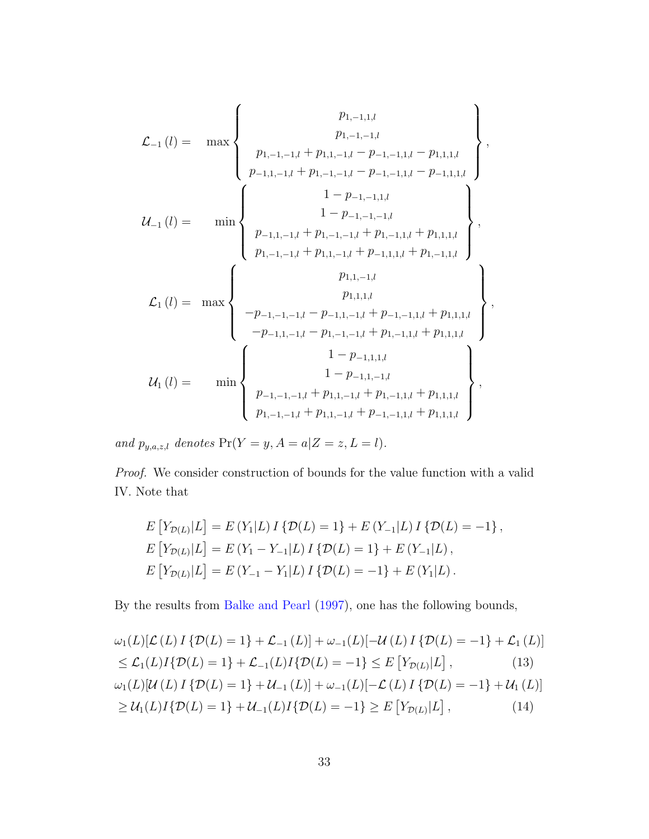$$
\mathcal{L}_{-1}(l) = \max \left\{ \begin{array}{c} p_{1,-1,1,l} \\ p_{1,-1,-1,l} + p_{1,1,-1,l} - p_{-1,-1,1,l} - p_{1,1,1,l} \\ p_{-1,1,-1,l} + p_{1,-1,-1,l} - p_{-1,-1,1,l} - p_{-1,1,1,l} \end{array} \right\},
$$
\n
$$
\mathcal{U}_{-1}(l) = \min \left\{ \begin{array}{c} 1-p_{-1,-1,1,l} \\ p_{-1,1,-1,l} + p_{1,-1,-1,l} + p_{1,-1,1,l} + p_{1,1,1,l} \\ 1-p_{-1,-1,1,l} + p_{1,-1,1,l} + p_{1,-1,1,l} + p_{1,1,1,l} \\ p_{1,-1,-1,l} + p_{1,1,-1,l} + p_{-1,1,1,l} + p_{1,-1,1,l} \end{array} \right\},
$$
\n
$$
\mathcal{L}_{1}(l) = \max \left\{ \begin{array}{c} p_{1,1,-1,l} \\ p_{1,1,-1,l} \\ p_{1,1,1,l} \\ -p_{-1,1,-1,l} - p_{-1,1,-1,l} + p_{-1,-1,1,l} + p_{1,1,1,l} \\ -p_{-1,1,-1,l} - p_{1,-1,-1,l} + p_{1,-1,1,l} + p_{1,1,1,l} \\ 1-p_{-1,1,1,l} \\ 1-p_{-1,1,1,l} + p_{1,-1,1,l} + p_{1,1,1,l} \end{array} \right\},
$$

and  $p_{y,a,z,l}$  denotes  $Pr(Y = y, A = a | Z = z, L = l).$ 

Proof. We consider construction of bounds for the value function with a valid IV. Note that

<span id="page-32-0"></span>
$$
E[Y_{\mathcal{D}(L)}|L] = E(Y_1|L) I \{ \mathcal{D}(L) = 1 \} + E(Y_{-1}|L) I \{ \mathcal{D}(L) = -1 \},
$$
  
\n
$$
E[Y_{\mathcal{D}(L)}|L] = E(Y_1 - Y_{-1}|L) I \{ \mathcal{D}(L) = 1 \} + E(Y_{-1}|L),
$$
  
\n
$$
E[Y_{\mathcal{D}(L)}|L] = E(Y_{-1} - Y_1|L) I \{ \mathcal{D}(L) = -1 \} + E(Y_1|L).
$$

By the results from [Balke and Pearl](#page-50-8) [\(1997\)](#page-50-8), one has the following bounds,

<span id="page-32-1"></span>
$$
\omega_1(L)[\mathcal{L}(L) I \{ \mathcal{D}(L) = 1 \} + \mathcal{L}_{-1}(L)] + \omega_{-1}(L)[-U(L) I \{ \mathcal{D}(L) = -1 \} + \mathcal{L}_1(L)]
$$
  
\n
$$
\leq \mathcal{L}_1(L)I\{ \mathcal{D}(L) = 1 \} + \mathcal{L}_{-1}(L)I\{ \mathcal{D}(L) = -1 \} \leq E[Y_{\mathcal{D}(L)}|L],
$$
(13)  
\n
$$
\omega_1(L)[U(L) I \{ \mathcal{D}(L) = 1 \} + U_{-1}(L)] + \omega_{-1}(L)[-L(L) I \{ \mathcal{D}(L) = -1 \} + U_{1}(L)]
$$
  
\n
$$
\geq U_1(L)I\{ \mathcal{D}(L) = 1 \} + U_{-1}(L)I\{ \mathcal{D}(L) = -1 \} \geq E[Y_{\mathcal{D}(L)}|L],
$$
(14)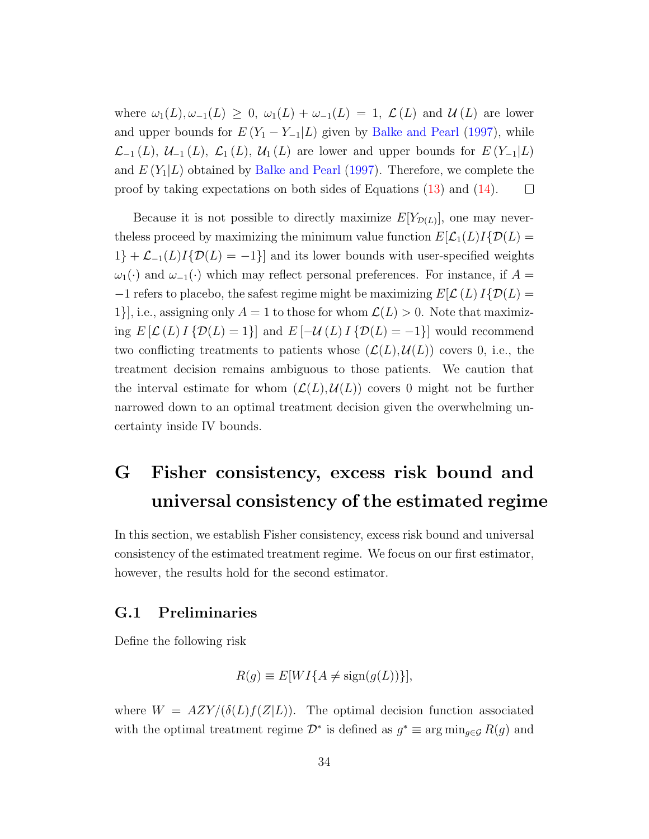where  $\omega_1(L), \omega_{-1}(L) \geq 0$ ,  $\omega_1(L) + \omega_{-1}(L) = 1$ ,  $\mathcal{L}(L)$  and  $\mathcal{U}(L)$  are lower and upper bounds for  $E(Y_1 - Y_{-1}|L)$  given by [Balke and Pearl](#page-50-8) [\(1997\)](#page-50-8), while  $\mathcal{L}_{-1}(L), \mathcal{U}_{-1}(L), \mathcal{L}_{1}(L), \mathcal{U}_{1}(L)$  are lower and upper bounds for  $E(Y_{-1}|L)$ and  $E(Y_1|L)$  obtained by [Balke and Pearl](#page-50-8) [\(1997\)](#page-50-8). Therefore, we complete the proof by taking expectations on both sides of Equations [\(13\)](#page-32-0) and [\(14\)](#page-32-1).  $\Box$ 

Because it is not possible to directly maximize  $E[Y_{\mathcal{D}(L)}]$ , one may neverthe less proceed by maximizing the minimum value function  $E[\mathcal{L}_1(L)I\{\mathcal{D}(L) =$  $1$ } +  $\mathcal{L}_{-1}(L)I\{\mathcal{D}(L) = -1\}$ ] and its lower bounds with user-specified weights  $\omega_1(\cdot)$  and  $\omega_{-1}(\cdot)$  which may reflect personal preferences. For instance, if  $A =$  $-1$  refers to placebo, the safest regime might be maximizing  $E[\mathcal{L}(L) I{\{\mathcal{D}(L) = L\}}]$ 1}, i.e., assigning only  $A = 1$  to those for whom  $\mathcal{L}(L) > 0$ . Note that maximizing  $E\left[\mathcal{L}(L) I\{\mathcal{D}(L) = 1\}\right]$  and  $E\left[\mathcal{U}(L) I\{\mathcal{D}(L) = -1\}\right]$  would recommend two conflicting treatments to patients whose  $(\mathcal{L}(L), \mathcal{U}(L))$  covers 0, i.e., the treatment decision remains ambiguous to those patients. We caution that the interval estimate for whom  $(\mathcal{L}(L), \mathcal{U}(L))$  covers 0 might not be further narrowed down to an optimal treatment decision given the overwhelming uncertainty inside IV bounds.

# <span id="page-33-0"></span>G Fisher consistency, excess risk bound and universal consistency of the estimated regime

In this section, we establish Fisher consistency, excess risk bound and universal consistency of the estimated treatment regime. We focus on our first estimator, however, the results hold for the second estimator.

#### G.1 Preliminaries

Define the following risk

$$
R(g) \equiv E[WI\{A \neq \text{sign}(g(L))\}],
$$

where  $W = AZY/(\delta(L)f(Z|L))$ . The optimal decision function associated with the optimal treatment regime  $\mathcal{D}^*$  is defined as  $g^* \equiv \arg \min_{g \in \mathcal{G}} R(g)$  and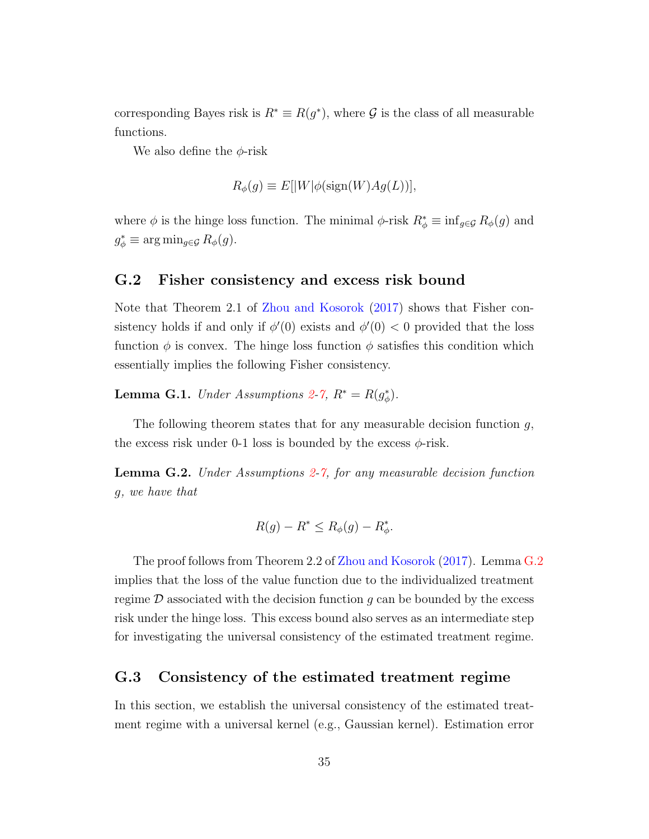corresponding Bayes risk is  $R^* \equiv R(g^*)$ , where G is the class of all measurable functions.

We also define the  $\phi$ -risk

$$
R_{\phi}(g) \equiv E[|W|\phi(\text{sign}(W)Ag(L))],
$$

where  $\phi$  is the hinge loss function. The minimal  $\phi$ -risk  $R^*_{\phi} \equiv \inf_{g \in \mathcal{G}} R_{\phi}(g)$  and  $g_{\phi}^* \equiv \arg \min_{g \in \mathcal{G}} R_{\phi}(g).$ 

#### G.2 Fisher consistency and excess risk bound

Note that Theorem 2.1 of [Zhou and Kosorok](#page-57-4) [\(2017\)](#page-57-4) shows that Fisher consistency holds if and only if  $\phi'(0)$  exists and  $\phi'(0) < 0$  provided that the loss function  $\phi$  is convex. The hinge loss function  $\phi$  satisfies this condition which essentially implies the following Fisher consistency.

**Lemma G.1.** Under Assumptions [2](#page-7-4)[-7,](#page-8-1)  $R^* = R(g_{\phi}^*)$ .

The following theorem states that for any measurable decision function  $g$ , the excess risk under 0-1 loss is bounded by the excess  $\phi$ -risk.

<span id="page-34-0"></span>**Lemma G.[2](#page-7-4).** Under Assumptions  $2\text{-}7$ , for any measurable decision function g, we have that

$$
R(g) - R^* \le R_{\phi}(g) - R_{\phi}^*.
$$

The proof follows from Theorem 2.2 of [Zhou and Kosorok](#page-57-4) [\(2017\)](#page-57-4). Lemma [G.2](#page-34-0) implies that the loss of the value function due to the individualized treatment regime  $\mathcal D$  associated with the decision function g can be bounded by the excess risk under the hinge loss. This excess bound also serves as an intermediate step for investigating the universal consistency of the estimated treatment regime.

### G.3 Consistency of the estimated treatment regime

In this section, we establish the universal consistency of the estimated treatment regime with a universal kernel (e.g., Gaussian kernel). Estimation error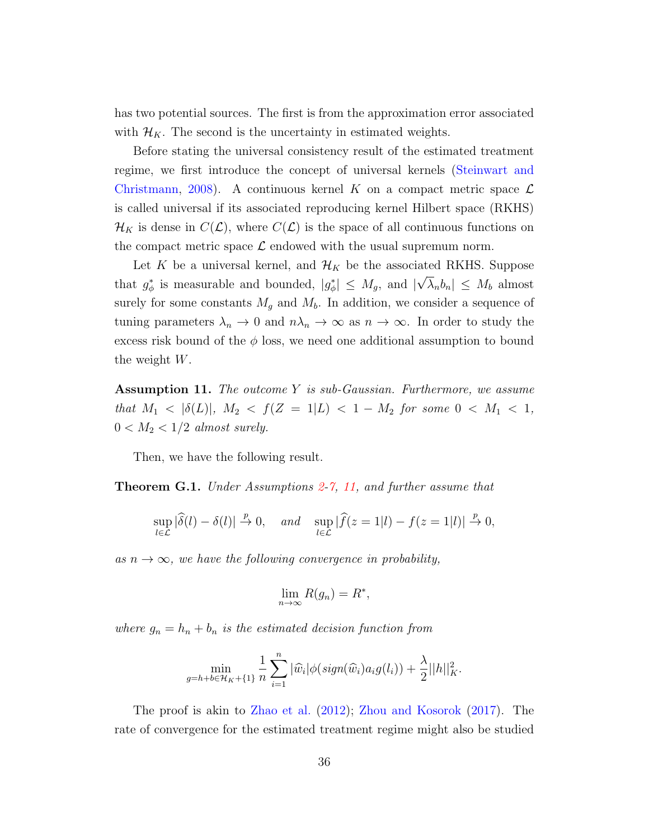has two potential sources. The first is from the approximation error associated with  $\mathcal{H}_K$ . The second is the uncertainty in estimated weights.

Before stating the universal consistency result of the estimated treatment regime, we first introduce the concept of universal kernels [\(Steinwart and](#page-55-6) [Christmann,](#page-55-6) [2008\)](#page-55-6). A continuous kernel K on a compact metric space  $\mathcal{L}$ is called universal if its associated reproducing kernel Hilbert space (RKHS)  $\mathcal{H}_K$  is dense in  $C(\mathcal{L})$ , where  $C(\mathcal{L})$  is the space of all continuous functions on the compact metric space  $\mathcal L$  endowed with the usual supremum norm.

Let K be a universal kernel, and  $\mathcal{H}_K$  be the associated RKHS. Suppose that  $g_{\phi}^*$  is measurable and bounded,  $|g_{\phi}^*| \leq M_g$ , and | √  $|\lambda_n b_n| \leq M_b$  almost surely for some constants  $M_g$  and  $M_b$ . In addition, we consider a sequence of tuning parameters  $\lambda_n \to 0$  and  $n\lambda_n \to \infty$  as  $n \to \infty$ . In order to study the excess risk bound of the  $\phi$  loss, we need one additional assumption to bound the weight W.

<span id="page-35-0"></span>Assumption 11. The outcome Y is sub-Gaussian. Furthermore, we assume that  $M_1 < |\delta(L)|$ ,  $M_2 < f(Z = 1 | L) < 1 - M_2$  for some  $0 < M_1 < 1$ ,  $0 < M_2 < 1/2$  almost surely.

Then, we have the following result.

**Theorem G.1.** Under Assumptions  $2-7$  $2-7$ , [11,](#page-35-0) and further assume that

$$
\sup_{l\in\mathcal{L}}|\widehat{\delta}(l)-\delta(l)|\xrightarrow{p}0,\quad and\quad \sup_{l\in\mathcal{L}}|\widehat{f}(z=1|l)-f(z=1|l)|\xrightarrow{p}0,
$$

as  $n \to \infty$ , we have the following convergence in probability,

$$
\lim_{n \to \infty} R(g_n) = R^*,
$$

where  $g_n = h_n + b_n$  is the estimated decision function from

$$
\min_{g=h+b\in\mathcal{H}_K+\{1\}}\frac{1}{n}\sum_{i=1}^n|\widehat{w}_i|\phi(sign(\widehat{w}_i)a_ig(l_i))+\frac{\lambda}{2}||h||_K^2.
$$

The proof is akin to [Zhao et al.](#page-57-0) [\(2012\)](#page-57-0); [Zhou and Kosorok](#page-57-4) [\(2017\)](#page-57-4). The rate of convergence for the estimated treatment regime might also be studied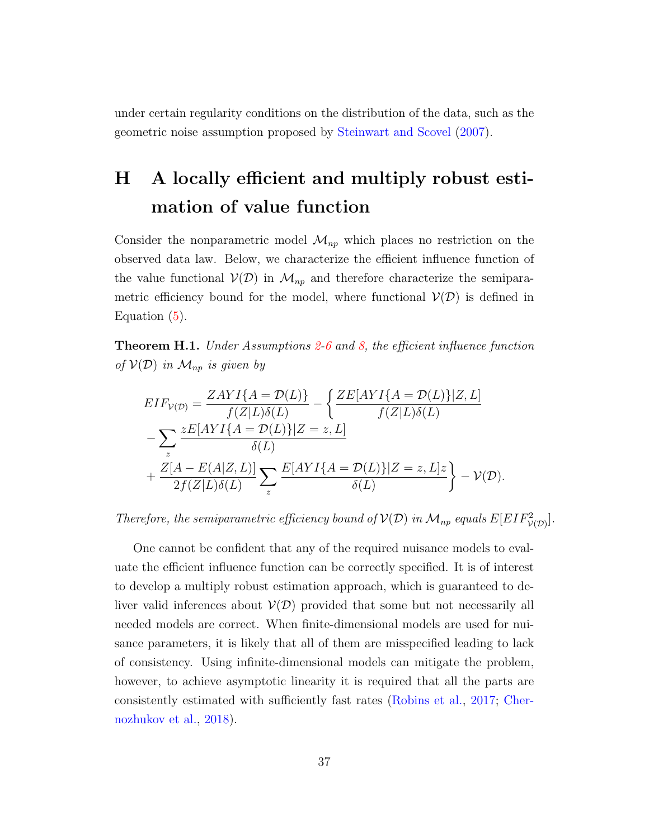under certain regularity conditions on the distribution of the data, such as the geometric noise assumption proposed by [Steinwart and Scovel](#page-55-7) [\(2007\)](#page-55-7).

# H A locally efficient and multiply robust estimation of value function

Consider the nonparametric model  $\mathcal{M}_{np}$  which places no restriction on the observed data law. Below, we characterize the efficient influence function of the value functional  $\mathcal{V}(\mathcal{D})$  in  $\mathcal{M}_{np}$  and therefore characterize the semiparametric efficiency bound for the model, where functional  $\mathcal{V}(\mathcal{D})$  is defined in Equation [\(5\)](#page-9-0).

<span id="page-36-0"></span>**Theorem H.1.** Under Assumptions [2](#page-7-4)[-6](#page-7-0) and [8,](#page-8-2) the efficient influence function of  $V(D)$  in  $\mathcal{M}_{np}$  is given by

$$
EIF_{\mathcal{V}(\mathcal{D})} = \frac{ZAYI\{A = \mathcal{D}(L)\}}{f(Z|L)\delta(L)} - \left\{ \frac{ZE[AYI\{A = \mathcal{D}(L)\}|Z, L]}{f(Z|L)\delta(L)} - \sum_{z} \frac{zE[AYI\{A = \mathcal{D}(L)\}|Z = z, L]}{\delta(L)} + \frac{Z[A - E(A|Z, L)]}{2f(Z|L)\delta(L)} \sum_{z} \frac{E[AYI\{A = \mathcal{D}(L)\}|Z = z, L]z}{\delta(L)} \right\} - \mathcal{V}(\mathcal{D}).
$$

Therefore, the semiparametric efficiency bound of  $\mathcal{V}(D)$  in  $\mathcal{M}_{np}$  equals  $E[EIF^2_{\mathcal{V}(D)}].$ 

One cannot be confident that any of the required nuisance models to evaluate the efficient influence function can be correctly specified. It is of interest to develop a multiply robust estimation approach, which is guaranteed to deliver valid inferences about  $V(D)$  provided that some but not necessarily all needed models are correct. When finite-dimensional models are used for nuisance parameters, it is likely that all of them are misspecified leading to lack of consistency. Using infinite-dimensional models can mitigate the problem, however, to achieve asymptotic linearity it is required that all the parts are consistently estimated with sufficiently fast rates [\(Robins et al.,](#page-54-6) [2017;](#page-54-6) [Cher](#page-51-9)[nozhukov et al.,](#page-51-9) [2018\)](#page-51-9).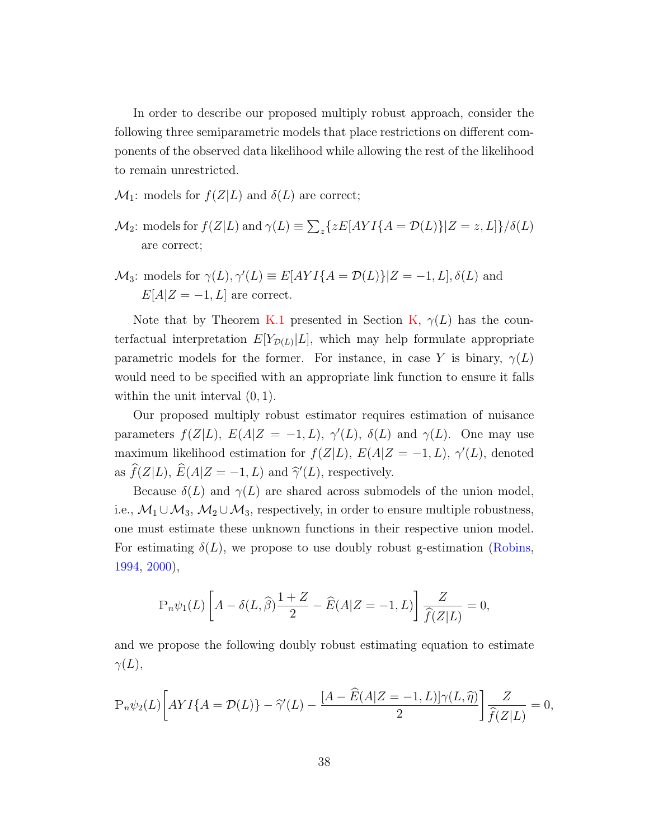In order to describe our proposed multiply robust approach, consider the following three semiparametric models that place restrictions on different components of the observed data likelihood while allowing the rest of the likelihood to remain unrestricted.

- $\mathcal{M}_1$ : models for  $f(Z|L)$  and  $\delta(L)$  are correct;
- $\mathcal{M}_2$ : models for  $f(Z|L)$  and  $\gamma(L) \equiv \sum_z \{zE[AYI\{A = \mathcal{D}(L)\}|Z = z, L]\}/\delta(L)$ are correct;
- $\mathcal{M}_3$ : models for  $\gamma(L)$ ,  $\gamma'(L) \equiv E[AYI\{A = \mathcal{D}(L)\}]Z = -1, L], \delta(L)$  and  $E[A|Z=-1, L]$  are correct.

Note that by Theorem [K.1](#page-44-0) presented in Section [K,](#page-44-1)  $\gamma(L)$  has the counterfactual interpretation  $E[Y_{\mathcal{D}(L)}|L]$ , which may help formulate appropriate parametric models for the former. For instance, in case Y is binary,  $\gamma(L)$ would need to be specified with an appropriate link function to ensure it falls within the unit interval  $(0, 1)$ .

Our proposed multiply robust estimator requires estimation of nuisance parameters  $f(Z|L)$ ,  $E(A|Z = -1, L)$ ,  $\gamma'(L)$ ,  $\delta(L)$  and  $\gamma(L)$ . One may use maximum likelihood estimation for  $f(Z|L)$ ,  $E(A|Z = -1, L)$ ,  $\gamma'(L)$ , denoted as  $\widehat{f}(Z|L)$ ,  $\widehat{E}(A|Z = -1, L)$  and  $\widehat{\gamma}'(L)$ , respectively.

Because  $\delta(L)$  and  $\gamma(L)$  are shared across submodels of the union model, i.e.,  $M_1 \cup M_3$ ,  $M_2 \cup M_3$ , respectively, in order to ensure multiple robustness, one must estimate these unknown functions in their respective union model. For estimating  $\delta(L)$ , we propose to use doubly robust g-estimation [\(Robins,](#page-54-7) [1994,](#page-54-7) [2000\)](#page-54-8),

$$
\mathbb{P}_n \psi_1(L) \left[ A - \delta(L, \widehat{\beta}) \frac{1+Z}{2} - \widehat{E}(A|Z = -1, L) \right] \frac{Z}{\widehat{f}(Z|L)} = 0,
$$

and we propose the following doubly robust estimating equation to estimate  $\gamma(L),$ 

$$
\mathbb{P}_n\psi_2(L)\bigg[AYI\{A=\mathcal{D}(L)\}-\widehat{\gamma}'(L)-\frac{[A-\widehat{E}(A|Z=-1,L)]\gamma(L,\widehat{\eta})}{2}\bigg]\frac{Z}{\widehat{f}(Z|L)}=0,
$$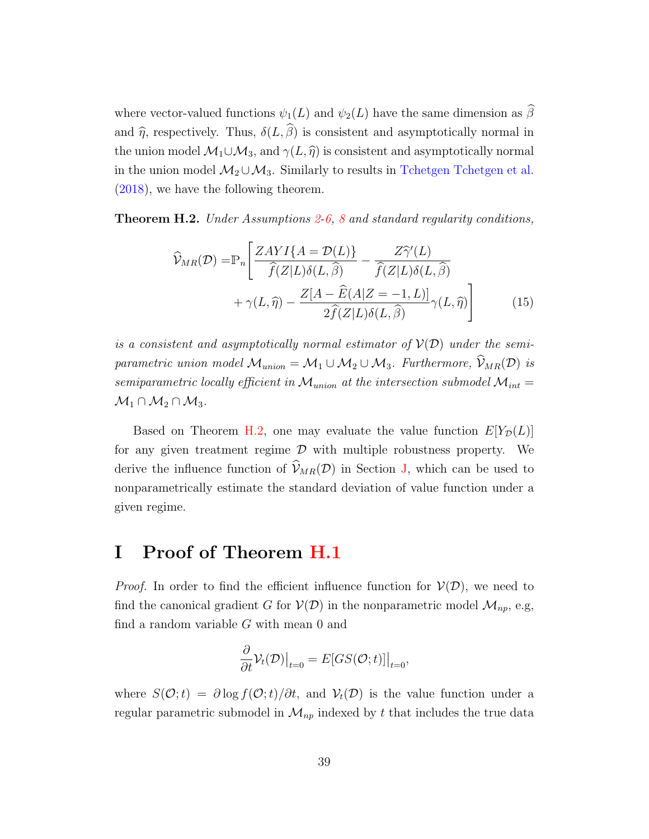where vector-valued functions  $\psi_1(L)$  and  $\psi_2(L)$  have the same dimension as  $\widehat{\beta}$ and  $\hat{\eta}$ , respectively. Thus,  $\delta(L, \hat{\beta})$  is consistent and asymptotically normal in the union model  $\mathcal{M}_1 \cup \mathcal{M}_3$ , and  $\gamma(L, \hat{\eta})$  is consistent and asymptotically normal in the union model  $\mathcal{M}_2 \cup \mathcal{M}_3$ . Similarly to results in [Tchetgen Tchetgen et al.](#page-55-8) [\(2018\)](#page-55-8), we have the following theorem.

<span id="page-38-0"></span>**Theorem H.[2](#page-7-4).** Under Assumptions  $2\n-6$ , [8](#page-8-2) and standard regularity conditions,

$$
\widehat{\mathcal{V}}_{MR}(\mathcal{D}) = \mathbb{P}_n \left[ \frac{ZAYI\{A = \mathcal{D}(L)\}}{\widehat{f}(Z|L)\delta(L,\widehat{\beta})} - \frac{Z\widehat{\gamma}'(L)}{\widehat{f}(Z|L)\delta(L,\widehat{\beta})} + \gamma(L,\widehat{\eta}) - \frac{Z[A - \widehat{E}(A|Z = -1, L)]}{2\widehat{f}(Z|L)\delta(L,\widehat{\beta})} \gamma(L,\widehat{\eta}) \right]
$$
(15)

is a consistent and asymptotically normal estimator of  $V(D)$  under the semiparametric union model  $\mathcal{M}_{union} = \mathcal{M}_1 \cup \mathcal{M}_2 \cup \mathcal{M}_3$ . Furthermore,  $\widehat{\mathcal{V}}_{MR}(\mathcal{D})$  is semiparametric locally efficient in  $\mathcal{M}_{union}$  at the intersection submodel  $\mathcal{M}_{int}$  =  $\mathcal{M}_1 \cap \mathcal{M}_2 \cap \mathcal{M}_3$ .

Based on Theorem [H.2,](#page-38-0) one may evaluate the value function  $E[Y_{\mathcal{D}}(L)]$ for any given treatment regime  $D$  with multiple robustness property. We derive the influence function of  $\hat{\mathcal{V}}_{MR}(\mathcal{D})$  in Section [J,](#page-42-0) which can be used to nonparametrically estimate the standard deviation of value function under a given regime.

### I Proof of Theorem [H.1](#page-36-0)

*Proof.* In order to find the efficient influence function for  $V(\mathcal{D})$ , we need to find the canonical gradient G for  $V(\mathcal{D})$  in the nonparametric model  $\mathcal{M}_{np}$ , e.g, find a random variable G with mean 0 and

$$
\frac{\partial}{\partial t} \mathcal{V}_t(\mathcal{D})\big|_{t=0} = E[GS(\mathcal{O};t)]\big|_{t=0},
$$

where  $S(\mathcal{O};t) = \partial \log f(\mathcal{O};t)/\partial t$ , and  $\mathcal{V}_t(\mathcal{D})$  is the value function under a regular parametric submodel in  $\mathcal{M}_{np}$  indexed by t that includes the true data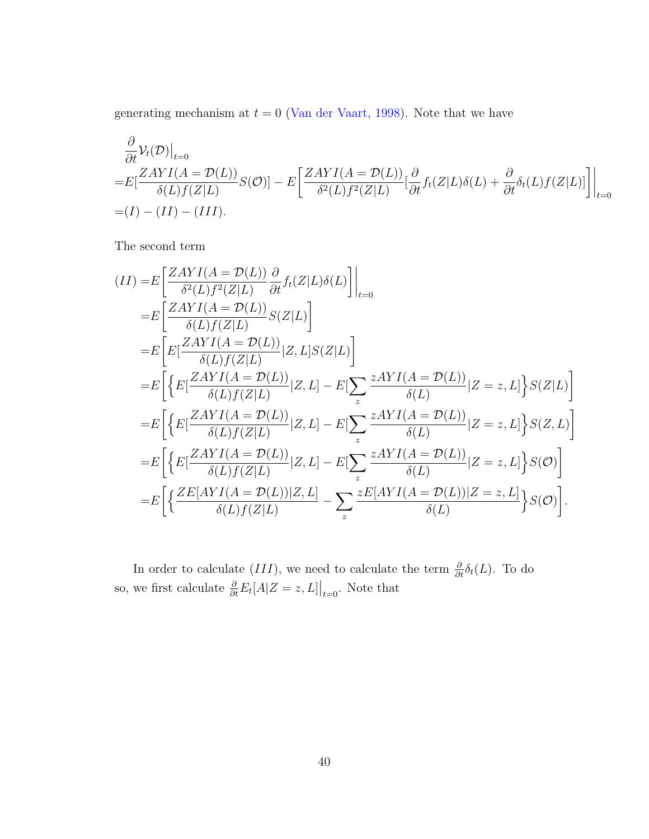generating mechanism at  $t = 0$  [\(Van der Vaart,](#page-55-9) [1998\)](#page-55-9). Note that we have

$$
\frac{\partial}{\partial t} \mathcal{V}_t(\mathcal{D})|_{t=0}
$$
\n
$$
= E\left[\frac{ZAYI(A = \mathcal{D}(L))}{\delta(L)f(Z|L)}S(\mathcal{O})\right] - E\left[\frac{ZAYI(A = \mathcal{D}(L))}{\delta^2(L)f^2(Z|L)}\left[\frac{\partial}{\partial t}f_t(Z|L)\delta(L) + \frac{\partial}{\partial t}\delta_t(L)f(Z|L)\right]\right|_{t=0}
$$
\n
$$
= (I) - (II) - (III).
$$

The second term

$$
(II) = E\left[\frac{ZAYI(A = \mathcal{D}(L))}{\delta^2(L)f^2(Z|L)}\frac{\partial}{\partial t}f_t(Z|L)\delta(L)\right]\Big|_{t=0}
$$
  
\n
$$
= E\left[\frac{ZAYI(A = \mathcal{D}(L))}{\delta(L)f(Z|L)}S(Z|L)\right]
$$
  
\n
$$
= E\left[E\left[\frac{ZAYI(A = \mathcal{D}(L))}{\delta(L)f(Z|L)}|Z, L]S(Z|L)\right]
$$
  
\n
$$
= E\left[\left\{E\left[\frac{ZAYI(A = \mathcal{D}(L))}{\delta(L)f(Z|L)}|Z, L\right] - E\left[\sum_z \frac{zAYI(A = \mathcal{D}(L))}{\delta(L)}|Z = z, L\right\}S(Z|L)\right]\right]
$$
  
\n
$$
= E\left[\left\{E\left[\frac{ZAYI(A = \mathcal{D}(L))}{\delta(L)f(Z|L)}|Z, L\right] - E\left[\sum_z \frac{zAYI(A = \mathcal{D}(L))}{\delta(L)}|Z = z, L\right\}S(Z, L)\right]\right]
$$
  
\n
$$
= E\left[\left\{E\left[\frac{ZAYI(A = \mathcal{D}(L))}{\delta(L)f(Z|L)}|Z, L\right] - E\left[\sum_z \frac{zAYI(A = \mathcal{D}(L))}{\delta(L)}|Z = z, L\right\}S(\mathcal{O})\right]
$$
  
\n
$$
= E\left[\left\{\frac{ZE[AYI(A = \mathcal{D}(L))|Z, L]}{\delta(L)f(Z|L)} - \sum_z \frac{zE[AYI(A = \mathcal{D}(L))|Z = z, L]}{\delta(L)}\right\}S(\mathcal{O})\right].
$$

In order to calculate (III), we need to calculate the term  $\frac{\partial}{\partial t}\delta_t(L)$ . To do so, we first calculate  $\frac{\partial}{\partial t} E_t[A|Z=z, L] \big|_{t=0}$ . Note that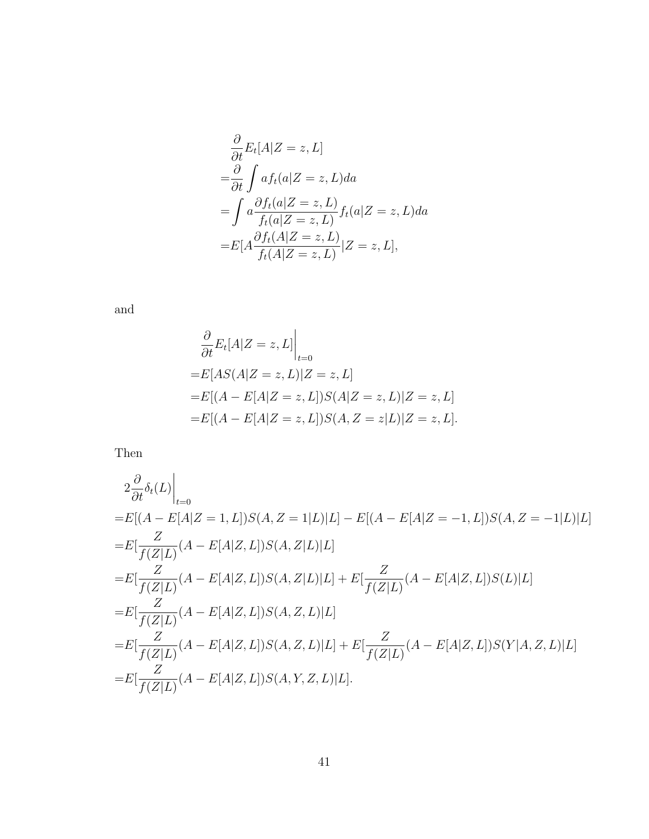$$
\frac{\partial}{\partial t} E_t[A|Z=z, L] \n= \frac{\partial}{\partial t} \int af_t(a|Z=z, L) da \n= \int a \frac{\partial f_t(a|Z=z, L)}{f_t(a|Z=z, L)} f_t(a|Z=z, L) da \n= E[A \frac{\partial f_t(A|Z=z, L)}{f_t(A|Z=z, L)} |Z=z, L],
$$

and

$$
\frac{\partial}{\partial t} E_t[A|Z=z, L]\Big|_{t=0}
$$
  
= $E[AS(A|Z=z, L)|Z=z, L]$   
= $E[(A - E[A|Z=z, L])S(A|Z=z, L)|Z=z, L]$   
= $E[(A - E[A|Z=z, L])S(A, Z=z|L)|Z=z, L].$ 

Then

$$
2\frac{\partial}{\partial t}\delta_t(L)\Big|_{t=0}
$$
  
= $E[(A - E[A|Z = 1, L])S(A, Z = 1|L)|L] - E[(A - E[A|Z = -1, L])S(A, Z = -1|L)|L]$   
= $E[\frac{Z}{f(Z|L)}(A - E[A|Z, L])S(A, Z|L)|L]$   
= $E[\frac{Z}{f(Z|L)}(A - E[A|Z, L])S(A, Z|L)|L] + E[\frac{Z}{f(Z|L)}(A - E[A|Z, L])S(L)|L]$   
= $E[\frac{Z}{f(Z|L)}(A - E[A|Z, L])S(A, Z, L)|L]$   
= $E[\frac{Z}{f(Z|L)}(A - E[A|Z, L])S(A, Z, L)|L] + E[\frac{Z}{f(Z|L)}(A - E[A|Z, L])S(Y|A, Z, L)|L]$   
= $E[\frac{Z}{f(Z|L)}(A - E[A|Z, L])S(A, Y, Z, L)|L].$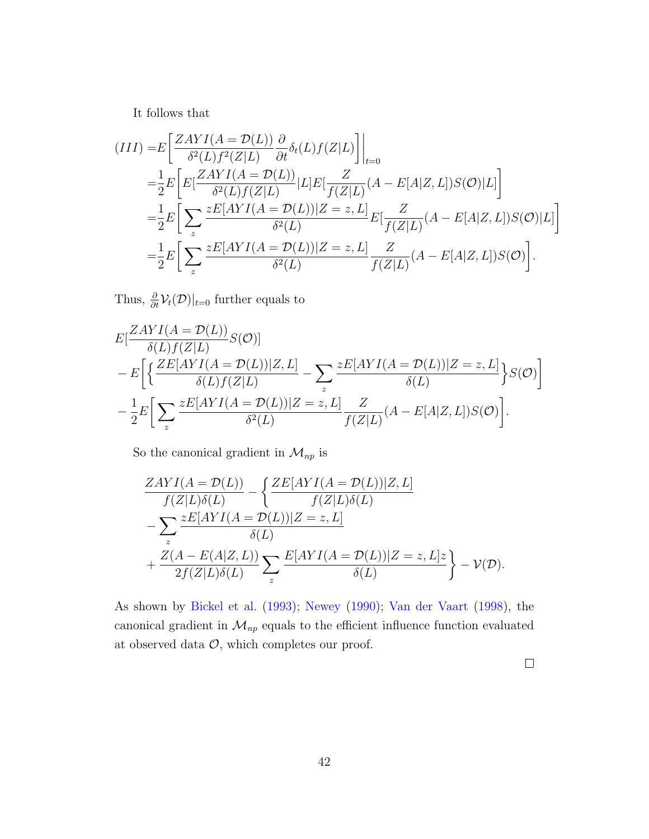It follows that

$$
(III) = E\left[\frac{ZAYI(A = \mathcal{D}(L))}{\delta^2(L)f^2(Z|L)}\frac{\partial}{\partial t}\delta_t(L)f(Z|L)\right]\Big|_{t=0}
$$
  
\n
$$
= \frac{1}{2}E\left[E\left[\frac{ZAYI(A = \mathcal{D}(L))}{\delta^2(L)f(Z|L)}|L\right]E\left[\frac{Z}{f(Z|L)}(A - E[A|Z, L])S(\mathcal{O})|L\right]\right]
$$
  
\n
$$
= \frac{1}{2}E\left[\sum_z \frac{zE[AYI(A = \mathcal{D}(L))|Z = z, L]}{\delta^2(L)}E\left[\frac{Z}{f(Z|L)}(A - E[A|Z, L])S(\mathcal{O})|L\right]\right]
$$
  
\n
$$
= \frac{1}{2}E\left[\sum_z \frac{zE[AYI(A = \mathcal{D}(L))|Z = z, L]}{\delta^2(L)}\frac{Z}{f(Z|L)}(A - E[A|Z, L])S(\mathcal{O})\right].
$$

Thus,  $\frac{\partial}{\partial t} \mathcal{V}_t(\mathcal{D})|_{t=0}$  further equals to

$$
E\left[\frac{ZAYI(A = \mathcal{D}(L))}{\delta(L)f(Z|L)}S(\mathcal{O})\right]
$$
  
-
$$
E\left[\left\{\frac{ZE[AYI(A = \mathcal{D}(L))|Z, L]}{\delta(L)f(Z|L)} - \sum_{z} \frac{zE[AYI(A = \mathcal{D}(L))|Z = z, L]}{\delta(L)}\right\}S(\mathcal{O})\right]
$$
  
-
$$
\frac{1}{2}E\left[\sum_{z} \frac{zE[AYI(A = \mathcal{D}(L))|Z = z, L]}{\delta^{2}(L)} \frac{Z}{f(Z|L)}(A - E[A|Z, L])S(\mathcal{O})\right].
$$

So the canonical gradient in  $\mathcal{M}_{np}$  is

$$
\frac{ZAYI(A = \mathcal{D}(L))}{f(Z|L)\delta(L)} - \left\{ \frac{ZE[AYI(A = \mathcal{D}(L))|Z, L]}{f(Z|L)\delta(L)} - \sum_{z} \frac{zE[AYI(A = \mathcal{D}(L))|Z = z, L]}{\delta(L)} + \frac{Z(A - E(A|Z, L))}{2f(Z|L)\delta(L)} \sum_{z} \frac{E[AYI(A = \mathcal{D}(L))|Z = z, L]z}{\delta(L)} \right\} - \mathcal{V}(\mathcal{D}).
$$

As shown by [Bickel et al.](#page-50-9) [\(1993\)](#page-50-9); [Newey](#page-53-7) [\(1990\)](#page-53-7); [Van der Vaart](#page-55-9) [\(1998\)](#page-55-9), the canonical gradient in  $\mathcal{M}_{np}$  equals to the efficient influence function evaluated at observed data  $\mathcal{O}$ , which completes our proof.

 $\Box$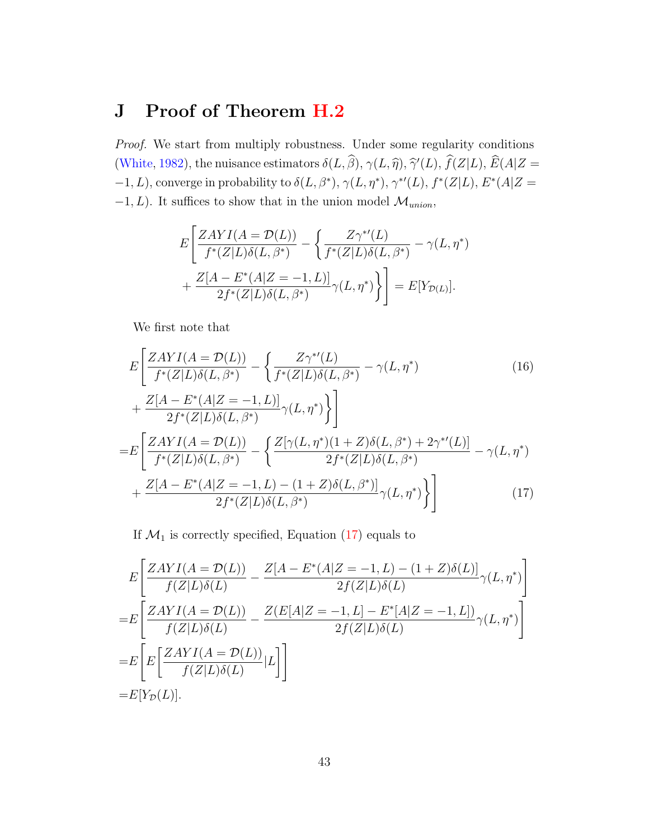### <span id="page-42-0"></span>J Proof of Theorem [H.2](#page-38-0)

Proof. We start from multiply robustness. Under some regularity conditions [\(White,](#page-56-7) [1982\)](#page-56-7), the nuisance estimators  $\delta(L, \hat{\beta}), \gamma(L, \hat{\eta}), \hat{\gamma}(L), \hat{f}(Z|L), \hat{E}(A|Z =$  $-1, L$ ), converge in probability to  $\delta(L, \beta^*)$ ,  $\gamma(L, \eta^*)$ ,  $\gamma^{*'}(L)$ ,  $f^{*}(Z|L)$ ,  $E^{*}(A|Z=$  $-1, L$ ). It suffices to show that in the union model  $\mathcal{M}_{union}$ ,

$$
E\left[\frac{ZAYI(A=\mathcal{D}(L))}{f^*(Z|L)\delta(L,\beta^*)} - \left\{\frac{Z\gamma^{*'}(L)}{f^*(Z|L)\delta(L,\beta^*)} - \gamma(L,\eta^*)\right.\right.+ \frac{Z[A-E^*(A|Z=-1,L)]}{2f^*(Z|L)\delta(L,\beta^*)}\gamma(L,\eta^*)\bigg\}\right] = E[Y_{\mathcal{D}(L)}].
$$

We first note that

$$
E\left[\frac{ZAYI(A = \mathcal{D}(L))}{f^*(Z|L)\delta(L,\beta^*)} - \left\{\frac{Z\gamma^{*'}(L)}{f^*(Z|L)\delta(L,\beta^*)} - \gamma(L,\eta^*)\right\}\right] + \frac{Z[A - E^*(A|Z = -1, L)]}{2f^*(Z|L)\delta(L,\beta^*)}\gamma(L,\eta^*)\right\}]
$$
\n
$$
= E\left[\frac{ZAYI(A = \mathcal{D}(L))}{f^*(Z|L)\delta(L,\beta^*)} - \left\{\frac{Z[\gamma(L,\eta^*)(1+Z)\delta(L,\beta^*) + 2\gamma^{*'}(L)]}{2f^*(Z|L)\delta(L,\beta^*)} - \gamma(L,\eta^*)\right\}\right] + \frac{Z[A - E^*(A|Z = -1, L) - (1+Z)\delta(L,\beta^*)]}{2f^*(Z|L)\delta(L,\beta^*)}\gamma(L,\eta^*)\bigg\}\right]
$$
\n(17)

<span id="page-42-1"></span>If  $\mathcal{M}_1$  is correctly specified, Equation [\(17\)](#page-42-1) equals to

$$
E\left[\frac{ZAYI(A = \mathcal{D}(L))}{f(Z|L)\delta(L)} - \frac{Z[A - E^*(A|Z = -1, L) - (1 + Z)\delta(L)]}{2f(Z|L)\delta(L)}\gamma(L, \eta^*)\right]
$$
  
=
$$
E\left[\frac{ZAYI(A = \mathcal{D}(L))}{f(Z|L)\delta(L)} - \frac{Z(E[A|Z = -1, L] - E^*[A|Z = -1, L])}{2f(Z|L)\delta(L)}\gamma(L, \eta^*)\right]
$$
  
=
$$
E\left[E\left[\frac{ZAYI(A = \mathcal{D}(L))}{f(Z|L)\delta(L)}|L\right]\right]
$$
  
=
$$
E[Y_{\mathcal{D}}(L)].
$$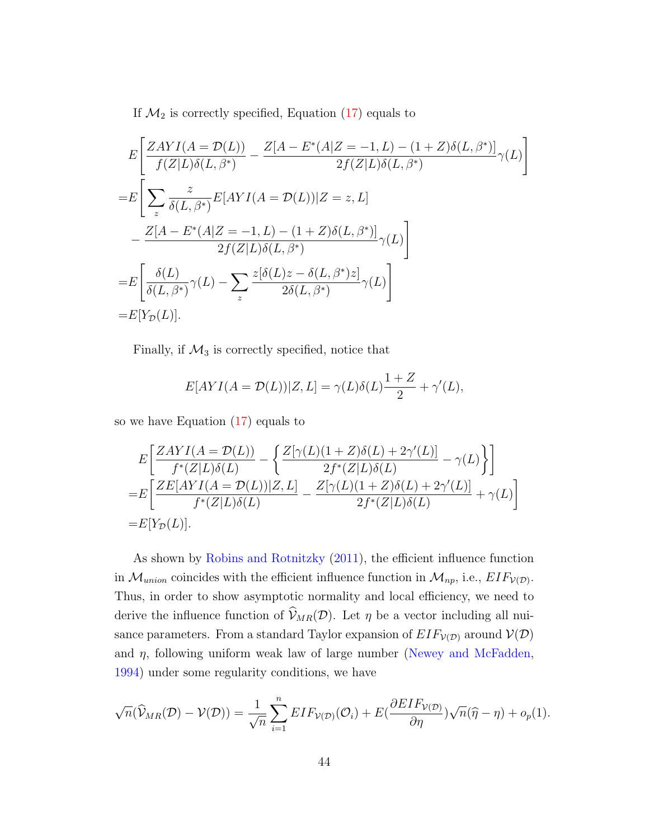If  $\mathcal{M}_2$  is correctly specified, Equation [\(17\)](#page-42-1) equals to

$$
E\left[\frac{ZAYI(A = \mathcal{D}(L))}{f(Z|L)\delta(L,\beta^{*})} - \frac{Z[A - E^{*}(A|Z = -1, L) - (1 + Z)\delta(L,\beta^{*})]}{2f(Z|L)\delta(L,\beta^{*})}\gamma(L)\right]
$$
  
\n
$$
= E\left[\sum_{z} \frac{z}{\delta(L,\beta^{*})} E[AYI(A = \mathcal{D}(L))|Z = z, L] - \frac{Z[A - E^{*}(A|Z = -1, L) - (1 + Z)\delta(L,\beta^{*})]}{2f(Z|L)\delta(L,\beta^{*})}\gamma(L)\right]
$$
  
\n
$$
= E\left[\frac{\delta(L)}{\delta(L,\beta^{*})}\gamma(L) - \sum_{z} \frac{z[\delta(L)z - \delta(L,\beta^{*})z]}{2\delta(L,\beta^{*})}\gamma(L)\right]
$$
  
\n
$$
= E[Y_{\mathcal{D}}(L)].
$$

Finally, if  $\mathcal{M}_3$  is correctly specified, notice that

$$
E[AYI(A = \mathcal{D}(L))|Z, L] = \gamma(L)\delta(L)\frac{1+Z}{2} + \gamma'(L),
$$

so we have Equation [\(17\)](#page-42-1) equals to

$$
E\left[\frac{ZAYI(A = \mathcal{D}(L))}{f^*(Z|L)\delta(L)} - \left\{\frac{Z[\gamma(L)(1+Z)\delta(L) + 2\gamma'(L)]}{2f^*(Z|L)\delta(L)} - \gamma(L)\right\}\right]
$$
  
= 
$$
E\left[\frac{ZE[AYI(A = \mathcal{D}(L))|Z, L]}{f^*(Z|L)\delta(L)} - \frac{Z[\gamma(L)(1+Z)\delta(L) + 2\gamma'(L)]}{2f^*(Z|L)\delta(L)} + \gamma(L)\right]
$$
  
= 
$$
E[Y_{\mathcal{D}}(L)].
$$

As shown by [Robins and Rotnitzky](#page-54-9) [\(2011\)](#page-54-9), the efficient influence function in  $\mathcal{M}_{union}$  coincides with the efficient influence function in  $\mathcal{M}_{np}$ , i.e.,  $EIF_{V(D)}$ . Thus, in order to show asymptotic normality and local efficiency, we need to derive the influence function of  $\hat{\mathcal{V}}_{MR}(\mathcal{D})$ . Let  $\eta$  be a vector including all nuisance parameters. From a standard Taylor expansion of  $EIF_{\mathcal{V}(D)}$  around  $\mathcal{V}(D)$ and  $\eta$ , following uniform weak law of large number [\(Newey and McFadden,](#page-53-8) [1994\)](#page-53-8) under some regularity conditions, we have

$$
\sqrt{n}(\widehat{V}_{MR}(\mathcal{D}) - \mathcal{V}(\mathcal{D})) = \frac{1}{\sqrt{n}} \sum_{i=1}^{n} EIF_{\mathcal{V}(\mathcal{D})}(\mathcal{O}_{i}) + E(\frac{\partial EIF_{\mathcal{V}(\mathcal{D})}}{\partial \eta})\sqrt{n}(\widehat{\eta} - \eta) + o_{p}(1).
$$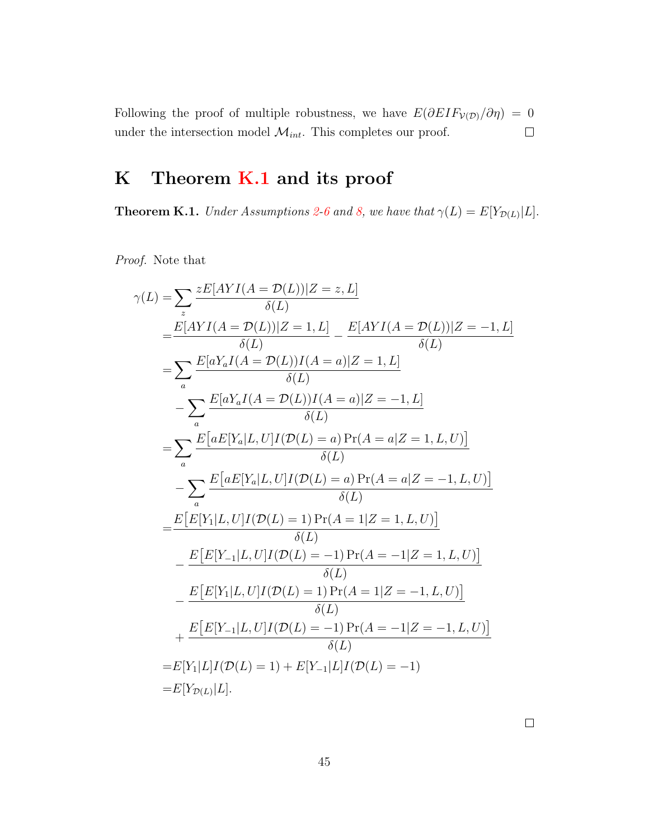Following the proof of multiple robustness, we have  $E(\partial EIF_{V(D)}/\partial \eta) = 0$ under the intersection model  $\mathcal{M}_{int}.$  This completes our proof.  $\Box$ 

## <span id="page-44-1"></span>K Theorem [K.1](#page-44-0) and its proof

<span id="page-44-0"></span>**Theorem K.1.** Under Assumptions [2-](#page-7-4)[6](#page-7-0) and [8,](#page-8-2) we have that  $\gamma(L) = E[Y_{\mathcal{D}(L)}|L]$ .

Proof. Note that

$$
\gamma(L) = \sum_{z} \frac{zE[AYI(A = \mathcal{D}(L))|Z = z, L]}{\delta(L)}
$$
  
\n
$$
= \frac{E[AYI(A = \mathcal{D}(L))|Z = 1, L]}{\delta(L)} - \frac{E[AYI(A = \mathcal{D}(L))|Z = -1, L]}{\delta(L)}
$$
  
\n
$$
= \sum_{a} \frac{E[aY_aI(A = \mathcal{D}(L))I(A = a)|Z = 1, L]}{\delta(L)}
$$
  
\n
$$
- \sum_{a} \frac{E[aY_aI(A = \mathcal{D}(L))I(A = a)|Z = -1, L]}{\delta(L)}
$$
  
\n
$$
= \sum_{a} \frac{E[aE[Y_a|L, U]I(\mathcal{D}(L) = a) Pr(A = a|Z = 1, L, U)]}{\delta(L)}
$$
  
\n
$$
- \sum_{a} \frac{E[aE[Y_a|L, U]I(\mathcal{D}(L) = a) Pr(A = a|Z = -1, L, U)]}{\delta(L)}
$$
  
\n
$$
= \frac{E[E[Y_1|L, U]I(\mathcal{D}(L) = 1) Pr(A = 1|Z = 1, L, U)]}{\delta(L)}
$$
  
\n
$$
- \frac{E[E[Y_1|L, U]I(\mathcal{D}(L) = -1) Pr(A = -1|Z = 1, L, U)]}{\delta(L)}
$$
  
\n
$$
+ \frac{E[E[Y_1|L, U]I(\mathcal{D}(L) = 1) Pr(A = 1|Z = -1, L, U)]}{\delta(L)}
$$
  
\n
$$
= E[Y_1|L]I(\mathcal{D}(L) = 1) + E[Y_{-1}|L]I(\mathcal{D}(L) = -1)
$$
  
\n
$$
= E[Y_{\mathcal{D}(L)}|L].
$$

 $\Box$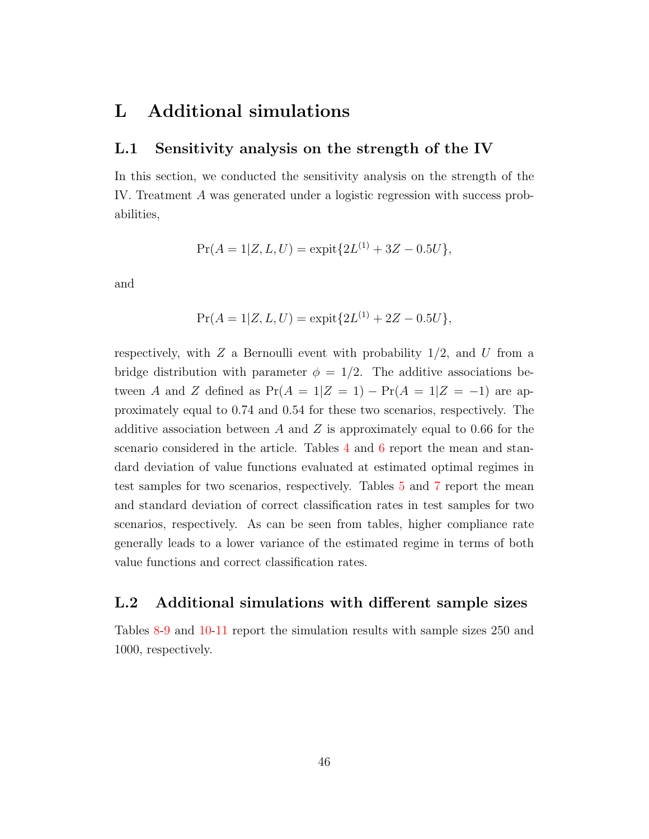### L Additional simulations

#### L.1 Sensitivity analysis on the strength of the IV

In this section, we conducted the sensitivity analysis on the strength of the IV. Treatment A was generated under a logistic regression with success probabilities,

$$
Pr(A = 1|Z, L, U) = \text{expit}\{2L^{(1)} + 3Z - 0.5U\},\
$$

and

$$
Pr(A = 1|Z, L, U) = \text{expit}\{2L^{(1)} + 2Z - 0.5U\},
$$

respectively, with  $Z$  a Bernoulli event with probability  $1/2$ , and U from a bridge distribution with parameter  $\phi = 1/2$ . The additive associations between A and Z defined as  $Pr(A = 1|Z = 1) - Pr(A = 1|Z = -1)$  are approximately equal to 0.74 and 0.54 for these two scenarios, respectively. The additive association between A and Z is approximately equal to 0.66 for the scenario considered in the article. Tables [4](#page-46-0) and [6](#page-47-1) report the mean and standard deviation of value functions evaluated at estimated optimal regimes in test samples for two scenarios, respectively. Tables [5](#page-46-1) and [7](#page-47-0) report the mean and standard deviation of correct classification rates in test samples for two scenarios, respectively. As can be seen from tables, higher compliance rate generally leads to a lower variance of the estimated regime in terms of both value functions and correct classification rates.

### L.2 Additional simulations with different sample sizes

Tables [8-](#page-48-0)[9](#page-48-1) and [10-](#page-49-1)[11](#page-49-0) report the simulation results with sample sizes 250 and 1000, respectively.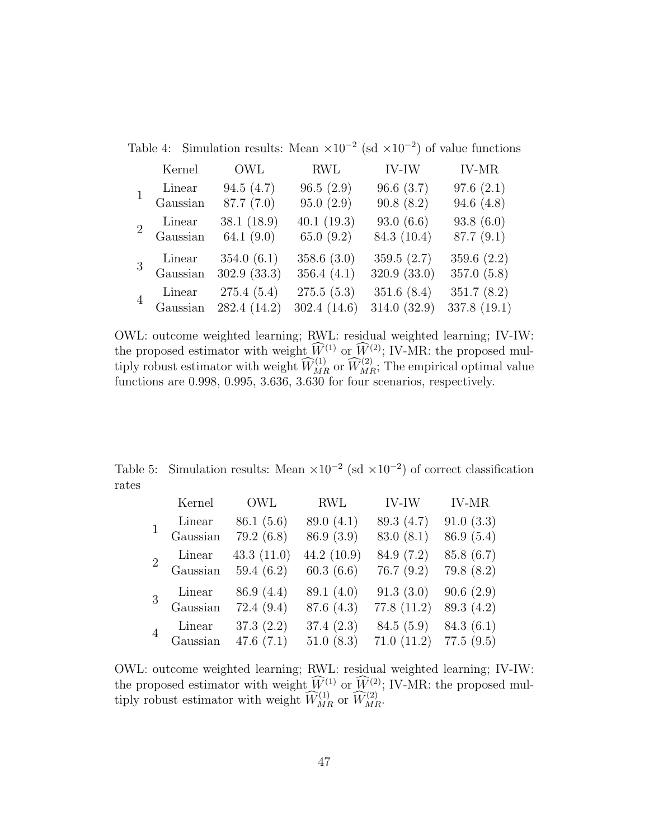<span id="page-46-0"></span>

|                |          |              |                |              | Table 4: Simulation results: Mean $\times 10^{-2}$ (sd $\times 10^{-2}$ ) of value functions |
|----------------|----------|--------------|----------------|--------------|----------------------------------------------------------------------------------------------|
|                | Kernel   | OWL          | <b>RWL</b>     | <b>IV-IW</b> | <b>IV-MR</b>                                                                                 |
|                | Linear   | 94.5(4.7)    | 96.5(2.9)      | 96.6(3.7)    | 97.6(2.1)                                                                                    |
|                | Gaussian | 87.7 (7.0)   | 95.0(2.9)      | 90.8(8.2)    | 94.6 $(4.8)$                                                                                 |
| $\overline{2}$ | Linear   | 38.1(18.9)   | 40.1(19.3)     | 93.0(6.6)    | 93.8(6.0)                                                                                    |
|                | Gaussian | 64.1 $(9.0)$ | 65.0 $(9.2)$   | 84.3 (10.4)  | 87.7(9.1)                                                                                    |
|                | Linear   | 354.0(6.1)   | 358.6 $(3.0)$  | 359.5(2.7)   | 359.6 $(2.2)$                                                                                |
|                | Gaussian | 302.9(33.3)  | 356.4 $(4.1)$  | 320.9 (33.0) | 357.0(5.8)                                                                                   |
|                | Linear   | 275.4(5.4)   | 275.5(5.3)     | 351.6(8.4)   | 351.7(8.2)                                                                                   |
|                | Gaussian | 282.4 (14.2) | 302.4 $(14.6)$ | 314.0(32.9)  | 337.8 (19.1)                                                                                 |

OWL: outcome weighted learning; RWL: residual weighted learning; IV-IW: the proposed estimator with weight  $W^{(1)}$  or  $W^{(2)}$ ; IV-MR: the proposed multiply robust estimator with weight  $\widehat{W}_{MR}^{(1)}$  or  $\widehat{W}_{MR}^{(2)}$ ; The empirical optimal value functions are 0.998, 0.995, 3.636, 3.630 for four scenarios, respectively.

Table 5: Simulation results: Mean  $\times 10^{-2}$  (sd  $\times 10^{-2}$ ) of correct classification rates

<span id="page-46-1"></span>

|                | Kernel         | OWL           | RWL           | IV-IW      | <b>IV-MR</b> |
|----------------|----------------|---------------|---------------|------------|--------------|
|                | Linear         | 86.1(5.6)     | 89.0 (4.1)    | 89.3 (4.7) | 91.0(3.3)    |
|                | Gaussian       | 79.2(6.8)     | 86.9 (3.9)    | 83.0(8.1)  | 86.9(5.4)    |
| $\overline{2}$ | Linear         | 43.3 $(11.0)$ | 44.2 $(10.9)$ | 84.9 (7.2) | 85.8(6.7)    |
|                | Gaussian       | 59.4 $(6.2)$  | 60.3(6.6)     | 76.7(9.2)  | 79.8(8.2)    |
|                | Linear         | 86.9 (4.4)    | 89.1 (4.0)    | 91.3(3.0)  | 90.6(2.9)    |
|                | Gaussian       | 72.4(9.4)     | 87.6(4.3)     | 77.8(11.2) | 89.3 (4.2)   |
|                | Linear         | 37.3(2.2)     | 37.4(2.3)     | 84.5(5.9)  | 84.3(6.1)    |
|                | $\rm Gaussian$ | 47.6 $(7.1)$  | 51.0(8.3)     | 71.0(11.2) | 77.5(9.5)    |

OWL: outcome weighted learning; RWL: residual weighted learning; IV-IW: the proposed estimator with weight  $\widetilde{W}^{(1)}$  or  $\widetilde{W}^{(2)}$ ; IV-MR: the proposed multiply robust estimator with weight  $\widehat{W}_{MR}^{(1)}$  or  $\widehat{W}_{MR}^{(2)}$ .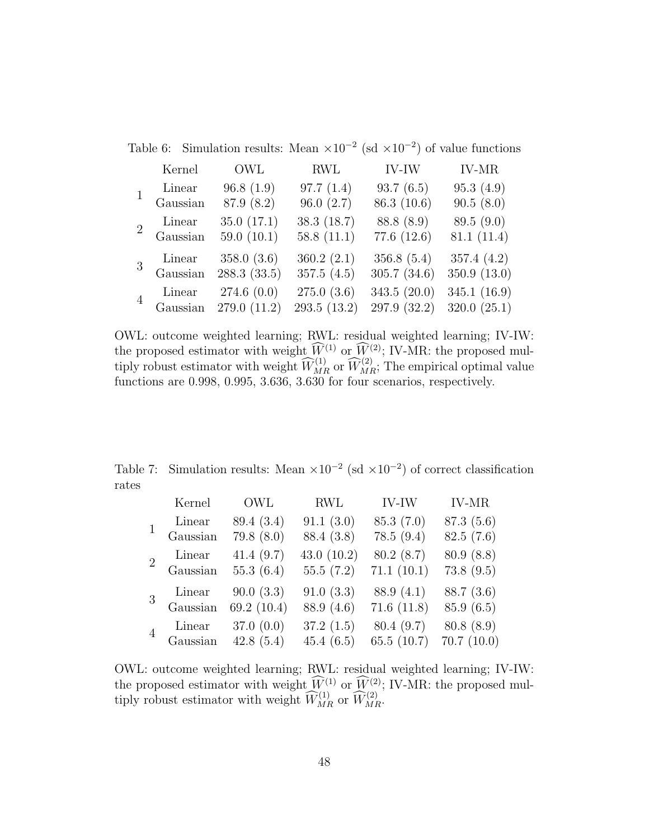<span id="page-47-1"></span>

|                |          |                                     |                            |                              | Table 6: Simulation results: Mean $\times 10^{-2}$ (sd $\times 10^{-2}$ ) of value functions |
|----------------|----------|-------------------------------------|----------------------------|------------------------------|----------------------------------------------------------------------------------------------|
|                | Kernel   | OWL                                 | <b>RWL</b>                 | IV-IW                        | <b>IV-MR</b>                                                                                 |
|                | Linear   | 96.8(1.9)                           | 97.7(1.4)                  | 93.7(6.5)                    | 95.3(4.9)                                                                                    |
|                | Gaussian | 87.9 (8.2)                          | 96.0(2.7)                  | 86.3 (10.6)                  | 90.5(8.0)                                                                                    |
| $\overline{2}$ | Linear   | 35.0(17.1)                          | 38.3(18.7)                 | 88.8 (8.9)                   | 89.5(9.0)                                                                                    |
|                | Gaussian | 59.0 $(10.1)$                       | 58.8 $(11.1)$              | 77.6 (12.6)                  | 81.1(11.4)                                                                                   |
|                | Linear   | 358.0 $(3.6)$                       | 360.2(2.1)                 | 356.8(5.4)                   | 357.4 $(4.2)$                                                                                |
|                | Gaussian | 288.3(33.5)                         | 357.5(4.5)                 | 305.7(34.6)                  | 350.9 (13.0)                                                                                 |
|                | Linear   | 274.6(0.0)<br>Gaussian 279.0 (11.2) | 275.0(3.6)<br>293.5 (13.2) | 343.5 (20.0)<br>297.9 (32.2) | 345.1 (16.9)<br>320.0(25.1)                                                                  |

OWL: outcome weighted learning; RWL: residual weighted learning; IV-IW: the proposed estimator with weight  $W^{(1)}$  or  $W^{(2)}$ ; IV-MR: the proposed multiply robust estimator with weight  $\widehat{W}_{MR}^{(1)}$  or  $\widehat{W}_{MR}^{(2)}$ ; The empirical optimal value functions are 0.998, 0.995, 3.636, 3.630 for four scenarios, respectively.

Table 7: Simulation results: Mean  $\times 10^{-2}$  (sd  $\times 10^{-2}$ ) of correct classification rates

<span id="page-47-0"></span>

|                | Kernel   | OWL         | RWL           | IV-IW         | <b>IV-MR</b> |
|----------------|----------|-------------|---------------|---------------|--------------|
|                | Linear   | 89.4 (3.4)  | 91.1(3.0)     | 85.3(7.0)     | 87.3(5.6)    |
|                | Gaussian | 79.8(8.0)   | 88.4 (3.8)    | 78.5(9.4)     | 82.5(7.6)    |
| $\overline{2}$ | Linear   | 41.4(9.7)   | 43.0 $(10.2)$ | 80.2(8.7)     | 80.9(8.8)    |
|                | Gaussian | 55.3(6.4)   | 55.5(7.2)     | 71.1(10.1)    | 73.8(9.5)    |
|                | Linear   | 90.0(3.3)   | 91.0(3.3)     | 88.9(4.1)     | 88.7(3.6)    |
|                | Gaussian | 69.2 (10.4) | 88.9 (4.6)    | 71.6(11.8)    | 85.9(6.5)    |
|                | Linear   | 37.0(0.0)   | 37.2(1.5)     | 80.4 (9.7)    | 80.8(8.9)    |
|                | Gaussian | 42.8(5.4)   | 45.4(6.5)     | 65.5 $(10.7)$ | 70.7(10.0)   |

OWL: outcome weighted learning; RWL: residual weighted learning; IV-IW: the proposed estimator with weight  $\widetilde{W}^{(1)}$  or  $\widetilde{W}^{(2)}$ ; IV-MR: the proposed multiply robust estimator with weight  $\widehat{W}_{MR}^{(1)}$  or  $\widehat{W}_{MR}^{(2)}$ .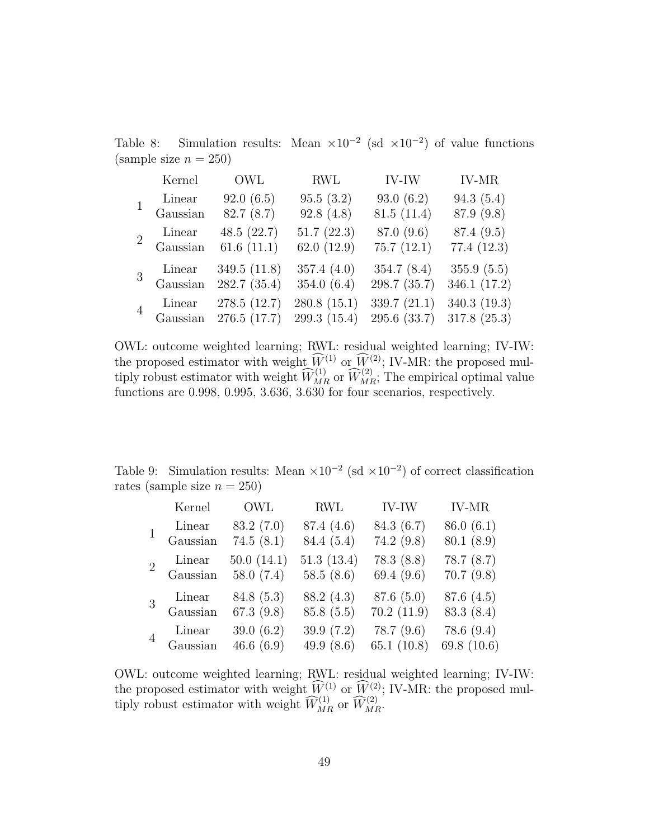Table 8: Simulation results: Mean  $\times 10^{-2}$  (sd  $\times 10^{-2}$ ) of value functions (sample size  $n = 250$ )

<span id="page-48-0"></span>

|                | Kernel             | OWL                         | <b>RWL</b>                  | IV-IW                          | <b>IV-MR</b>                |
|----------------|--------------------|-----------------------------|-----------------------------|--------------------------------|-----------------------------|
|                | Linear             | 92.0(6.5)                   | 95.5(3.2)                   | 93.0(6.2)                      | 94.3(5.4)                   |
|                | Gaussian           | 82.7(8.7)                   | 92.8(4.8)                   | 81.5(11.4)                     | 87.9 (9.8)                  |
| $\overline{2}$ | Linear             | 48.5(22.7)                  | 51.7(22.3)                  | 87.0 (9.6)                     | 87.4 (9.5)                  |
|                | Gaussian           | 61.6(11.1)                  | 62.0 $(12.9)$               | 75.7(12.1)                     | 77.4(12.3)                  |
| $\overline{3}$ | Linear             | 349.5 (11.8)                | 357.4 $(4.0)$               | 354.7(8.4)                     | 355.9(5.5)                  |
|                | Gaussian           | 282.7 (35.4)                | 354.0 $(6.4)$               | 298.7 (35.7)                   | 346.1 (17.2)                |
| $\overline{4}$ | Linear<br>Gaussian | 278.5 (12.7)<br>276.5(17.7) | 280.8(15.1)<br>299.3 (15.4) | 339.7 $(21.1)$<br>295.6 (33.7) | 340.3 (19.3)<br>317.8(25.3) |

OWL: outcome weighted learning; RWL: residual weighted learning; IV-IW: the proposed estimator with weight  $\widehat{W}^{(1)}$  or  $\widehat{W}^{(2)}$ ; IV-MR: the proposed multiply robust estimator with weight  $\widehat{W}_{MR}^{(1)}$  or  $\widehat{W}_{MR}^{(2)}$ ; The empirical optimal value functions are 0.998, 0.995, 3.636, 3.630 for four scenarios, respectively.

Table 9: Simulation results: Mean  $\times 10^{-2}$  (sd  $\times 10^{-2}$ ) of correct classification rates (sample size  $n = 250$ )

<span id="page-48-1"></span>

|                | Kernel   | OWL          | RWL          | IV-IW         | <b>IV-MR</b> |
|----------------|----------|--------------|--------------|---------------|--------------|
|                | Linear   | 83.2(7.0)    | 87.4 (4.6)   | 84.3 (6.7)    | 86.0(6.1)    |
|                | Gaussian | 74.5(8.1)    | 84.4 (5.4)   | 74.2(9.8)     | 80.1(8.9)    |
| $\overline{2}$ | Linear   | 50.0(14.1)   | 51.3(13.4)   | 78.3(8.8)     | 78.7(8.7)    |
|                | Gaussian | 58.0 $(7.4)$ | 58.5 $(8.6)$ | 69.4 $(9.6)$  | 70.7(9.8)    |
| 3              | Linear   | 84.8(5.3)    | 88.2 (4.3)   | 87.6(5.0)     | 87.6(4.5)    |
|                | Gaussian | 67.3 $(9.8)$ | 85.8(5.5)    | 70.2(11.9)    | 83.3(8.4)    |
| $\overline{4}$ | Linear   | 39.0 $(6.2)$ | 39.9 $(7.2)$ | 78.7(9.6)     | 78.6(9.4)    |
|                | Gaussian | 46.6 $(6.9)$ | 49.9 $(8.6)$ | 65.1 $(10.8)$ | 69.8 (10.6)  |

OWL: outcome weighted learning; RWL: residual weighted learning; IV-IW: the proposed estimator with weight  $W^{(1)}$  or  $W^{(2)}$ ; IV-MR: the proposed multiply robust estimator with weight  $\widehat{W}_{MR}^{(1)}$  or  $\widehat{W}_{MR}^{(2)}$ .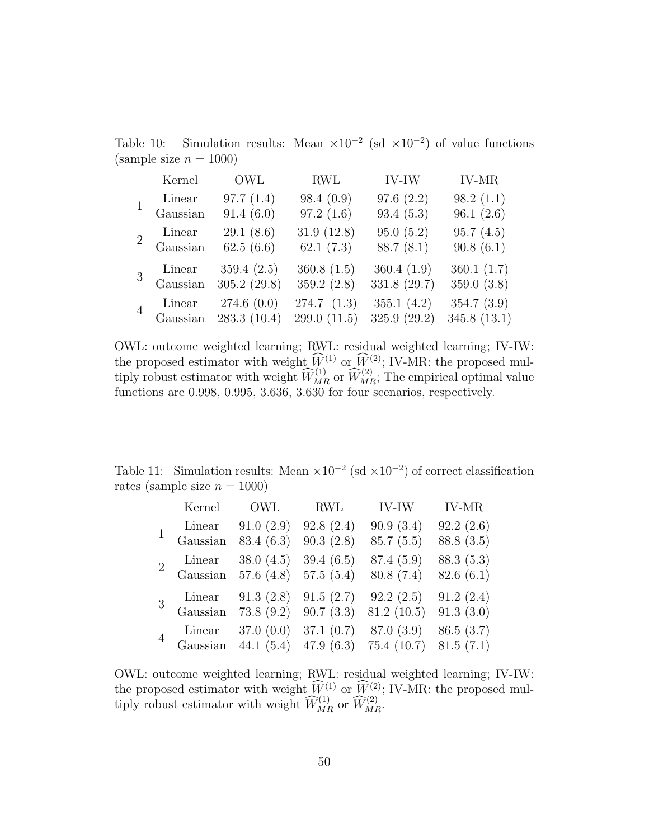Table 10: Simulation results: Mean  $\times 10^{-2}$  (sd  $\times 10^{-2}$ ) of value functions (sample size  $n = 1000$ )

<span id="page-49-1"></span>

|                | Kernel   | OWL                                 | <b>RWL</b>                   | IV-IW                        | <b>IV-MR</b>              |
|----------------|----------|-------------------------------------|------------------------------|------------------------------|---------------------------|
|                | Linear   | 97.7(1.4)                           | 98.4(0.9)                    | 97.6(2.2)                    | 98.2(1.1)                 |
|                | Gaussian | 91.4(6.0)                           | 97.2(1.6)                    | 93.4(5.3)                    | 96.1(2.6)                 |
| $\overline{2}$ | Linear   | 29.1(8.6)                           | 31.9(12.8)                   | 95.0(5.2)                    | 95.7(4.5)                 |
|                | Gaussian | 62.5 $(6.6)$                        | 62.1 $(7.3)$                 | 88.7(8.1)                    | 90.8(6.1)                 |
|                | Linear   | 359.4(2.5)                          | 360.8 $(1.5)$                | 360.4 $(1.9)$                | 360.1(1.7)                |
|                | Gaussian | 305.2(29.8)                         | 359.2 $(2.8)$                | 331.8 (29.7)                 | 359.0(3.8)                |
| $\overline{4}$ | Linear   | 274.6(0.0)<br>Gaussian 283.3 (10.4) | 274.7(1.3)<br>299.0 $(11.5)$ | 355.1 $(4.2)$<br>325.9(29.2) | 354.7(3.9)<br>345.8(13.1) |

OWL: outcome weighted learning; RWL: residual weighted learning; IV-IW: the proposed estimator with weight  $\widehat{W}^{(1)}$  or  $\widehat{W}^{(2)}$ ; IV-MR: the proposed multiply robust estimator with weight  $\widehat{W}_{MR}^{(1)}$  or  $\widehat{W}_{MR}^{(2)}$ ; The empirical optimal value functions are 0.998, 0.995, 3.636, 3.630 for four scenarios, respectively.

Table 11: Simulation results: Mean  $\times 10^{-2}$  (sd  $\times 10^{-2}$ ) of correct classification rates (sample size  $n = 1000$ )

<span id="page-49-0"></span>

|                | Kernel   | OWL          | <b>RWL</b>   | IV-IW      | <b>IV-MR</b> |
|----------------|----------|--------------|--------------|------------|--------------|
|                | Linear   | 91.0(2.9)    | 92.8(2.4)    | 90.9(3.4)  | 92.2(2.6)    |
|                | Gaussian | 83.4 (6.3)   | 90.3(2.8)    | 85.7(5.5)  | 88.8 (3.5)   |
| $\overline{2}$ | Linear   | 38.0 $(4.5)$ | 39.4 $(6.5)$ | 87.4 (5.9) | 88.3 (5.3)   |
|                | Gaussian | 57.6 $(4.8)$ | 57.5(5.4)    | 80.8(7.4)  | 82.6(6.1)    |
|                | Linear   | 91.3(2.8)    | 91.5(2.7)    | 92.2(2.5)  | 91.2(2.4)    |
|                | Gaussian | 73.8(9.2)    | 90.7(3.3)    | 81.2(10.5) | 91.3(3.0)    |
|                | Linear   | 37.0(0.0)    | 37.1(0.7)    | 87.0 (3.9) | 86.5(3.7)    |
|                | Gaussian | 44.1 $(5.4)$ | 47.9 $(6.3)$ | 75.4(10.7) | 81.5(7.1)    |

OWL: outcome weighted learning; RWL: residual weighted learning; IV-IW: the proposed estimator with weight  $W^{(1)}$  or  $W^{(2)}$ ; IV-MR: the proposed multiply robust estimator with weight  $\widehat{W}_{MR}^{(1)}$  or  $\widehat{W}_{MR}^{(2)}$ .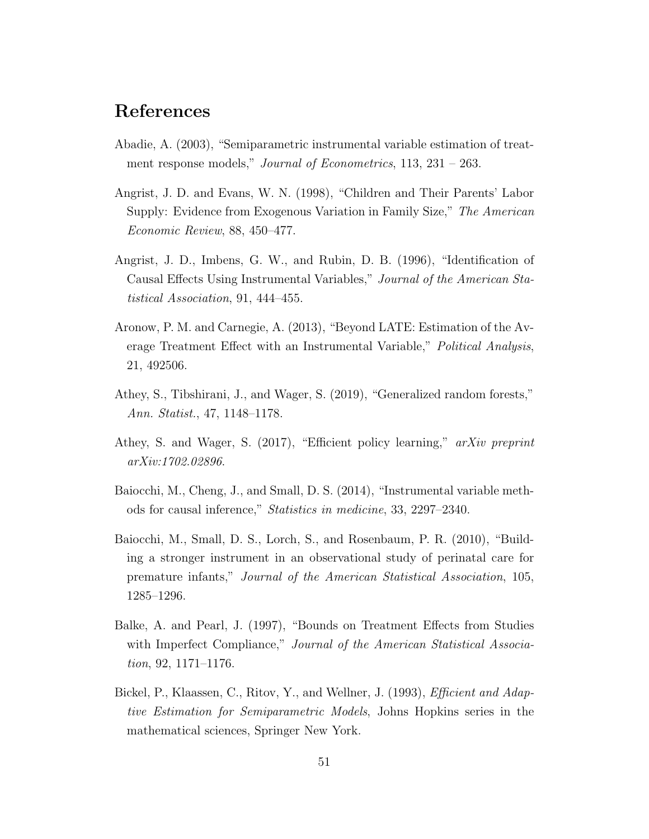### References

- <span id="page-50-2"></span>Abadie, A. (2003), "Semiparametric instrumental variable estimation of treatment response models," *Journal of Econometrics*, 113, 231 – 263.
- <span id="page-50-4"></span>Angrist, J. D. and Evans, W. N. (1998), "Children and Their Parents' Labor Supply: Evidence from Exogenous Variation in Family Size," The American Economic Review, 88, 450–477.
- <span id="page-50-1"></span>Angrist, J. D., Imbens, G. W., and Rubin, D. B. (1996), "Identification of Causal Effects Using Instrumental Variables," Journal of the American Statistical Association, 91, 444–455.
- <span id="page-50-3"></span>Aronow, P. M. and Carnegie, A. (2013), "Beyond LATE: Estimation of the Average Treatment Effect with an Instrumental Variable," Political Analysis, 21, 492506.
- <span id="page-50-5"></span>Athey, S., Tibshirani, J., and Wager, S. (2019), "Generalized random forests," Ann. Statist., 47, 1148–1178.
- <span id="page-50-0"></span>Athey, S. and Wager, S. (2017), "Efficient policy learning," arXiv preprint arXiv:1702.02896.
- <span id="page-50-7"></span>Baiocchi, M., Cheng, J., and Small, D. S. (2014), "Instrumental variable methods for causal inference," Statistics in medicine, 33, 2297–2340.
- <span id="page-50-6"></span>Baiocchi, M., Small, D. S., Lorch, S., and Rosenbaum, P. R. (2010), "Building a stronger instrument in an observational study of perinatal care for premature infants," Journal of the American Statistical Association, 105, 1285–1296.
- <span id="page-50-8"></span>Balke, A. and Pearl, J. (1997), "Bounds on Treatment Effects from Studies with Imperfect Compliance," Journal of the American Statistical Association, 92, 1171–1176.
- <span id="page-50-9"></span>Bickel, P., Klaassen, C., Ritov, Y., and Wellner, J. (1993), *Efficient and Adap*tive Estimation for Semiparametric Models, Johns Hopkins series in the mathematical sciences, Springer New York.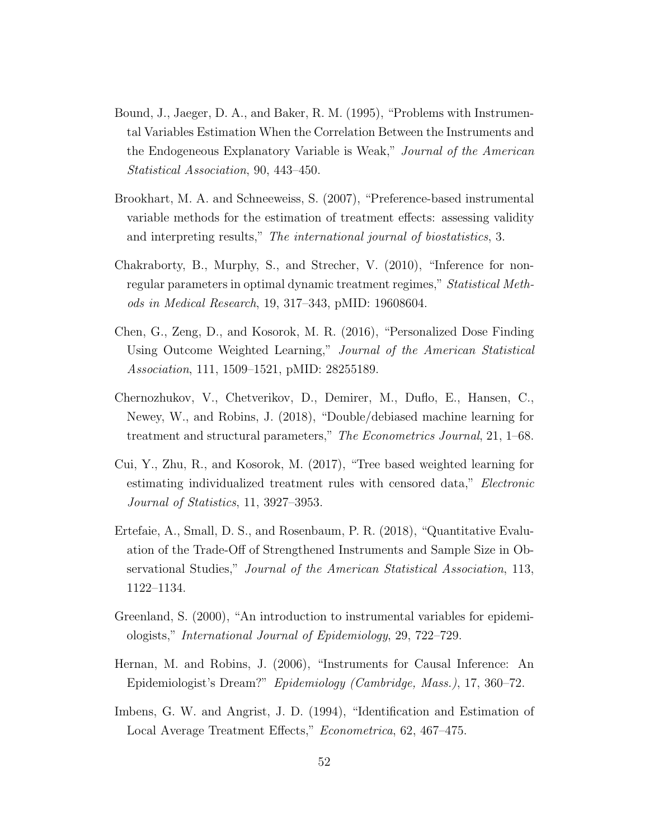- <span id="page-51-6"></span>Bound, J., Jaeger, D. A., and Baker, R. M. (1995), "Problems with Instrumental Variables Estimation When the Correlation Between the Instruments and the Endogeneous Explanatory Variable is Weak," Journal of the American Statistical Association, 90, 443–450.
- <span id="page-51-8"></span>Brookhart, M. A. and Schneeweiss, S. (2007), "Preference-based instrumental variable methods for the estimation of treatment effects: assessing validity and interpreting results," The international journal of biostatistics, 3.
- <span id="page-51-0"></span>Chakraborty, B., Murphy, S., and Strecher, V. (2010), "Inference for nonregular parameters in optimal dynamic treatment regimes," Statistical Methods in Medical Research, 19, 317–343, pMID: 19608604.
- <span id="page-51-3"></span>Chen, G., Zeng, D., and Kosorok, M. R. (2016), "Personalized Dose Finding Using Outcome Weighted Learning," Journal of the American Statistical Association, 111, 1509–1521, pMID: 28255189.
- <span id="page-51-9"></span>Chernozhukov, V., Chetverikov, D., Demirer, M., Duflo, E., Hansen, C., Newey, W., and Robins, J. (2018), "Double/debiased machine learning for treatment and structural parameters," The Econometrics Journal, 21, 1–68.
- <span id="page-51-4"></span>Cui, Y., Zhu, R., and Kosorok, M. (2017), "Tree based weighted learning for estimating individualized treatment rules with censored data," Electronic Journal of Statistics, 11, 3927–3953.
- <span id="page-51-7"></span>Ertefaie, A., Small, D. S., and Rosenbaum, P. R. (2018), "Quantitative Evaluation of the Trade-Off of Strengthened Instruments and Sample Size in Observational Studies," Journal of the American Statistical Association, 113, 1122–1134.
- <span id="page-51-5"></span>Greenland, S. (2000), "An introduction to instrumental variables for epidemiologists," International Journal of Epidemiology, 29, 722–729.
- <span id="page-51-2"></span>Hernan, M. and Robins, J. (2006), "Instruments for Causal Inference: An Epidemiologist's Dream?" Epidemiology (Cambridge, Mass.), 17, 360–72.
- <span id="page-51-1"></span>Imbens, G. W. and Angrist, J. D. (1994), "Identification and Estimation of Local Average Treatment Effects," Econometrica, 62, 467–475.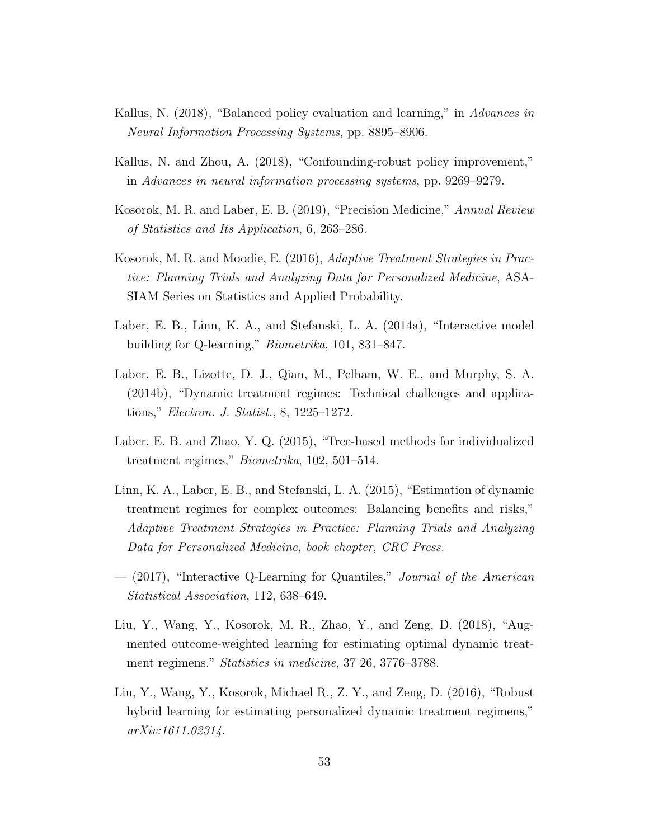- <span id="page-52-3"></span>Kallus, N. (2018), "Balanced policy evaluation and learning," in Advances in Neural Information Processing Systems, pp. 8895–8906.
- <span id="page-52-4"></span>Kallus, N. and Zhou, A. (2018), "Confounding-robust policy improvement," in Advances in neural information processing systems, pp. 9269–9279.
- <span id="page-52-2"></span>Kosorok, M. R. and Laber, E. B. (2019), "Precision Medicine," Annual Review of Statistics and Its Application, 6, 263–286.
- <span id="page-52-1"></span>Kosorok, M. R. and Moodie, E. (2016), Adaptive Treatment Strategies in Practice: Planning Trials and Analyzing Data for Personalized Medicine, ASA-SIAM Series on Statistics and Applied Probability.
- <span id="page-52-0"></span>Laber, E. B., Linn, K. A., and Stefanski, L. A. (2014a), "Interactive model building for Q-learning," Biometrika, 101, 831–847.
- <span id="page-52-10"></span>Laber, E. B., Lizotte, D. J., Qian, M., Pelham, W. E., and Murphy, S. A. (2014b), "Dynamic treatment regimes: Technical challenges and applications," Electron. J. Statist., 8, 1225–1272.
- <span id="page-52-7"></span>Laber, E. B. and Zhao, Y. Q. (2015), "Tree-based methods for individualized treatment regimes," Biometrika, 102, 501–514.
- <span id="page-52-5"></span>Linn, K. A., Laber, E. B., and Stefanski, L. A. (2015), "Estimation of dynamic treatment regimes for complex outcomes: Balancing benefits and risks," Adaptive Treatment Strategies in Practice: Planning Trials and Analyzing Data for Personalized Medicine, book chapter, CRC Press.
- <span id="page-52-6"></span>— (2017), "Interactive Q-Learning for Quantiles," Journal of the American Statistical Association, 112, 638–649.
- <span id="page-52-8"></span>Liu, Y., Wang, Y., Kosorok, M. R., Zhao, Y., and Zeng, D. (2018), "Augmented outcome-weighted learning for estimating optimal dynamic treatment regimens." Statistics in medicine, 37 26, 3776–3788.
- <span id="page-52-9"></span>Liu, Y., Wang, Y., Kosorok, Michael R., Z. Y., and Zeng, D. (2016), "Robust hybrid learning for estimating personalized dynamic treatment regimens," arXiv:1611.02314.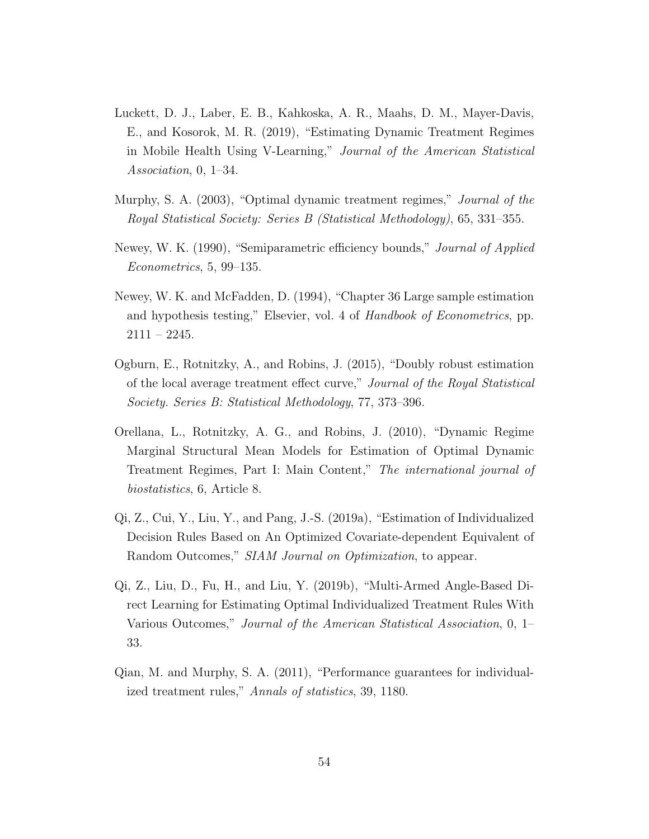- <span id="page-53-6"></span>Luckett, D. J., Laber, E. B., Kahkoska, A. R., Maahs, D. M., Mayer-Davis, E., and Kosorok, M. R. (2019), "Estimating Dynamic Treatment Regimes in Mobile Health Using V-Learning," Journal of the American Statistical Association, 0, 1–34.
- <span id="page-53-1"></span>Murphy, S. A. (2003), "Optimal dynamic treatment regimes," *Journal of the* Royal Statistical Society: Series B (Statistical Methodology), 65, 331–355.
- <span id="page-53-7"></span>Newey, W. K. (1990), "Semiparametric efficiency bounds," *Journal of Applied* Econometrics, 5, 99–135.
- <span id="page-53-8"></span>Newey, W. K. and McFadden, D. (1994), "Chapter 36 Large sample estimation and hypothesis testing," Elsevier, vol. 4 of Handbook of Econometrics, pp.  $2111 - 2245.$
- <span id="page-53-4"></span>Ogburn, E., Rotnitzky, A., and Robins, J. (2015), "Doubly robust estimation of the local average treatment effect curve," Journal of the Royal Statistical Society. Series B: Statistical Methodology, 77, 373–396.
- <span id="page-53-3"></span>Orellana, L., Rotnitzky, A. G., and Robins, J. (2010), "Dynamic Regime Marginal Structural Mean Models for Estimation of Optimal Dynamic Treatment Regimes, Part I: Main Content," The international journal of biostatistics, 6, Article 8.
- <span id="page-53-2"></span>Qi, Z., Cui, Y., Liu, Y., and Pang, J.-S. (2019a), "Estimation of Individualized Decision Rules Based on An Optimized Covariate-dependent Equivalent of Random Outcomes," SIAM Journal on Optimization, to appear.
- <span id="page-53-5"></span>Qi, Z., Liu, D., Fu, H., and Liu, Y. (2019b), "Multi-Armed Angle-Based Direct Learning for Estimating Optimal Individualized Treatment Rules With Various Outcomes," Journal of the American Statistical Association, 0, 1– 33.
- <span id="page-53-0"></span>Qian, M. and Murphy, S. A. (2011), "Performance guarantees for individualized treatment rules," Annals of statistics, 39, 1180.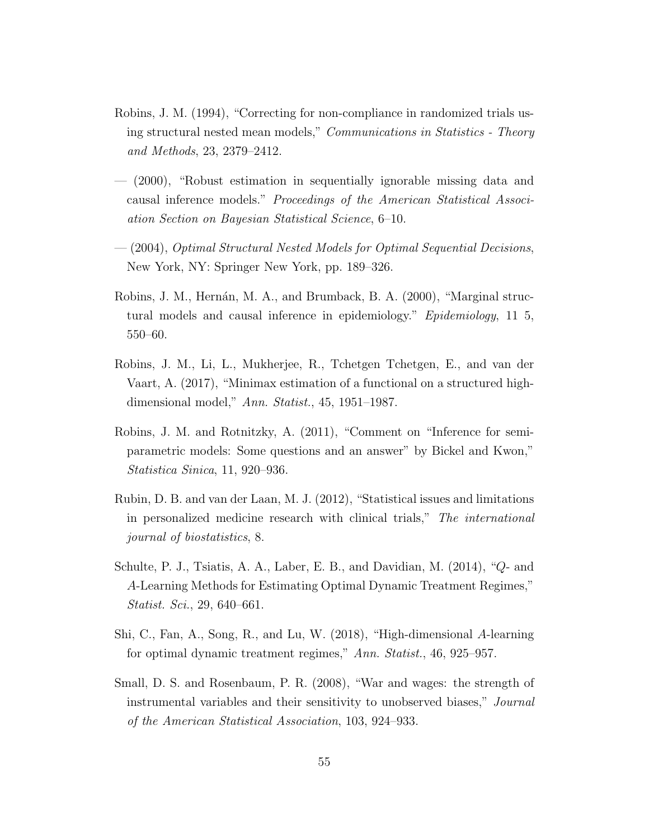- <span id="page-54-7"></span>Robins, J. M. (1994), "Correcting for non-compliance in randomized trials using structural nested mean models," Communications in Statistics - Theory and Methods, 23, 2379–2412.
- <span id="page-54-8"></span>— (2000), "Robust estimation in sequentially ignorable missing data and causal inference models." Proceedings of the American Statistical Association Section on Bayesian Statistical Science, 6–10.
- <span id="page-54-2"></span>— (2004), Optimal Structural Nested Models for Optimal Sequential Decisions, New York, NY: Springer New York, pp. 189–326.
- <span id="page-54-1"></span>Robins, J. M., Hernán, M. A., and Brumback, B. A. (2000), "Marginal structural models and causal inference in epidemiology." Epidemiology, 11 5, 550–60.
- <span id="page-54-6"></span>Robins, J. M., Li, L., Mukherjee, R., Tchetgen Tchetgen, E., and van der Vaart, A. (2017), "Minimax estimation of a functional on a structured highdimensional model," Ann. Statist., 45, 1951–1987.
- <span id="page-54-9"></span>Robins, J. M. and Rotnitzky, A. (2011), "Comment on "Inference for semiparametric models: Some questions and an answer" by Bickel and Kwon," Statistica Sinica, 11, 920–936.
- <span id="page-54-4"></span>Rubin, D. B. and van der Laan, M. J. (2012), "Statistical issues and limitations in personalized medicine research with clinical trials," The international journal of biostatistics, 8.
- <span id="page-54-0"></span>Schulte, P. J., Tsiatis, A. A., Laber, E. B., and Davidian, M. (2014), "Q- and A-Learning Methods for Estimating Optimal Dynamic Treatment Regimes," Statist. Sci., 29, 640–661.
- <span id="page-54-3"></span>Shi, C., Fan, A., Song, R., and Lu, W. (2018), "High-dimensional A-learning for optimal dynamic treatment regimes," Ann. Statist., 46, 925–957.
- <span id="page-54-5"></span>Small, D. S. and Rosenbaum, P. R. (2008), "War and wages: the strength of instrumental variables and their sensitivity to unobserved biases," Journal of the American Statistical Association, 103, 924–933.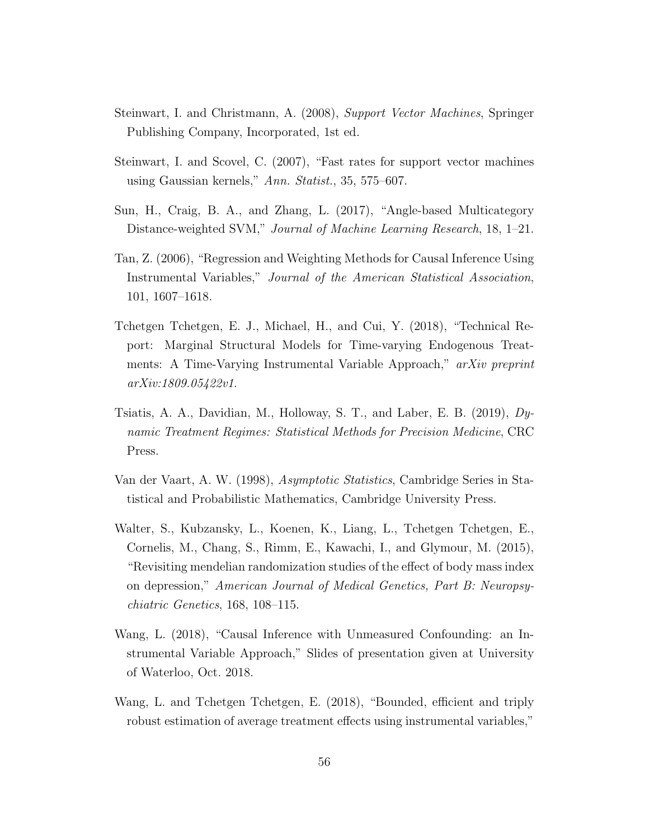- <span id="page-55-6"></span>Steinwart, I. and Christmann, A. (2008), Support Vector Machines, Springer Publishing Company, Incorporated, 1st ed.
- <span id="page-55-7"></span>Steinwart, I. and Scovel, C. (2007), "Fast rates for support vector machines using Gaussian kernels," Ann. Statist., 35, 575–607.
- <span id="page-55-5"></span>Sun, H., Craig, B. A., and Zhang, L. (2017), "Angle-based Multicategory Distance-weighted SVM," Journal of Machine Learning Research, 18, 1–21.
- <span id="page-55-2"></span>Tan, Z. (2006), "Regression and Weighting Methods for Causal Inference Using Instrumental Variables," Journal of the American Statistical Association, 101, 1607–1618.
- <span id="page-55-8"></span>Tchetgen Tchetgen, E. J., Michael, H., and Cui, Y. (2018), "Technical Report: Marginal Structural Models for Time-varying Endogenous Treatments: A Time-Varying Instrumental Variable Approach," arXiv preprint arXiv:1809.05422v1.
- <span id="page-55-0"></span>Tsiatis, A. A., Davidian, M., Holloway, S. T., and Laber, E. B. (2019), Dynamic Treatment Regimes: Statistical Methods for Precision Medicine, CRC Press.
- <span id="page-55-9"></span>Van der Vaart, A. W. (1998), Asymptotic Statistics, Cambridge Series in Statistical and Probabilistic Mathematics, Cambridge University Press.
- <span id="page-55-1"></span>Walter, S., Kubzansky, L., Koenen, K., Liang, L., Tchetgen Tchetgen, E., Cornelis, M., Chang, S., Rimm, E., Kawachi, I., and Glymour, M. (2015), "Revisiting mendelian randomization studies of the effect of body mass index on depression," American Journal of Medical Genetics, Part B: Neuropsychiatric Genetics, 168, 108–115.
- <span id="page-55-4"></span>Wang, L. (2018), "Causal Inference with Unmeasured Confounding: an Instrumental Variable Approach," Slides of presentation given at University of Waterloo, Oct. 2018.
- <span id="page-55-3"></span>Wang, L. and Tchetgen Tchetgen, E. (2018), "Bounded, efficient and triply robust estimation of average treatment effects using instrumental variables,"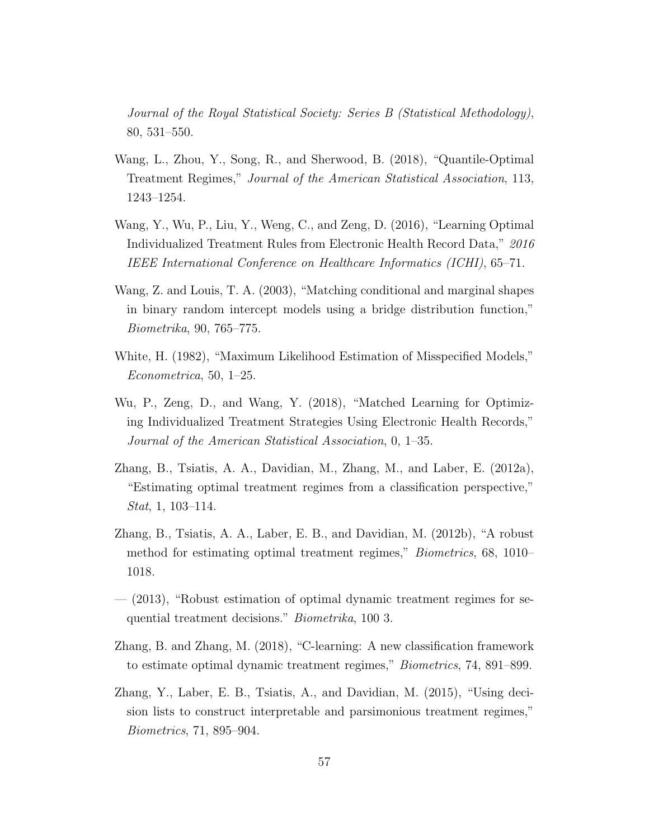Journal of the Royal Statistical Society: Series B (Statistical Methodology), 80, 531–550.

- <span id="page-56-3"></span>Wang, L., Zhou, Y., Song, R., and Sherwood, B. (2018), "Quantile-Optimal Treatment Regimes," Journal of the American Statistical Association, 113, 1243–1254.
- <span id="page-56-1"></span>Wang, Y., Wu, P., Liu, Y., Weng, C., and Zeng, D. (2016), "Learning Optimal Individualized Treatment Rules from Electronic Health Record Data," 2016 IEEE International Conference on Healthcare Informatics (ICHI), 65–71.
- <span id="page-56-8"></span>Wang, Z. and Louis, T. A. (2003), "Matching conditional and marginal shapes in binary random intercept models using a bridge distribution function," Biometrika, 90, 765–775.
- <span id="page-56-7"></span>White, H. (1982), "Maximum Likelihood Estimation of Misspecified Models," Econometrica, 50, 1–25.
- <span id="page-56-2"></span>Wu, P., Zeng, D., and Wang, Y. (2018), "Matched Learning for Optimizing Individualized Treatment Strategies Using Electronic Health Records," Journal of the American Statistical Association, 0, 1–35.
- <span id="page-56-0"></span>Zhang, B., Tsiatis, A. A., Davidian, M., Zhang, M., and Laber, E. (2012a), "Estimating optimal treatment regimes from a classification perspective," Stat, 1, 103–114.
- <span id="page-56-5"></span>Zhang, B., Tsiatis, A. A., Laber, E. B., and Davidian, M. (2012b), "A robust method for estimating optimal treatment regimes," Biometrics, 68, 1010– 1018.
- <span id="page-56-9"></span>— (2013), "Robust estimation of optimal dynamic treatment regimes for sequential treatment decisions." Biometrika, 100 3.
- <span id="page-56-6"></span>Zhang, B. and Zhang, M. (2018), "C-learning: A new classification framework to estimate optimal dynamic treatment regimes," Biometrics, 74, 891–899.
- <span id="page-56-4"></span>Zhang, Y., Laber, E. B., Tsiatis, A., and Davidian, M. (2015), "Using decision lists to construct interpretable and parsimonious treatment regimes," Biometrics, 71, 895–904.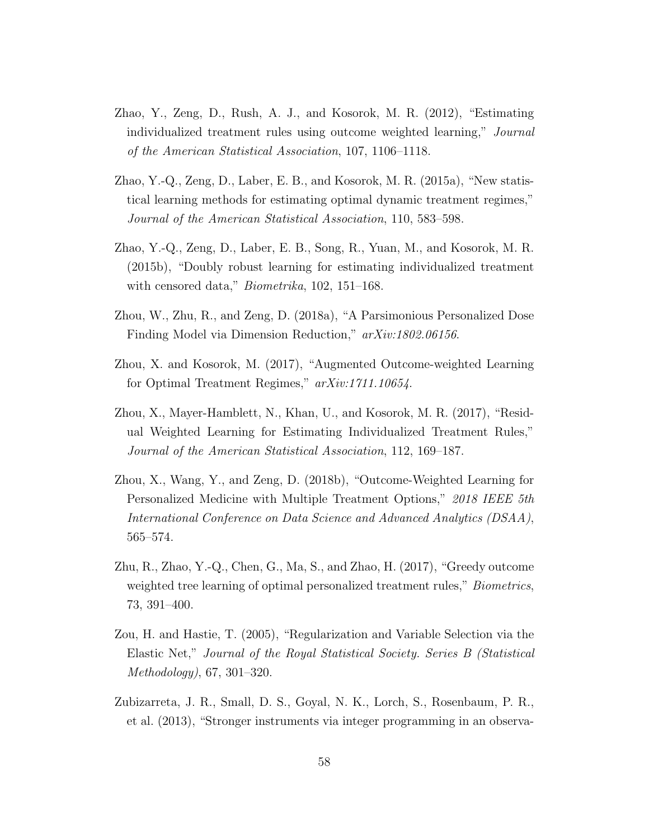- <span id="page-57-0"></span>Zhao, Y., Zeng, D., Rush, A. J., and Kosorok, M. R. (2012), "Estimating individualized treatment rules using outcome weighted learning," Journal of the American Statistical Association, 107, 1106–1118.
- <span id="page-57-1"></span>Zhao, Y.-Q., Zeng, D., Laber, E. B., and Kosorok, M. R. (2015a), "New statistical learning methods for estimating optimal dynamic treatment regimes," Journal of the American Statistical Association, 110, 583–598.
- <span id="page-57-2"></span>Zhao, Y.-Q., Zeng, D., Laber, E. B., Song, R., Yuan, M., and Kosorok, M. R. (2015b), "Doubly robust learning for estimating individualized treatment with censored data," *Biometrika*, 102, 151–168.
- <span id="page-57-9"></span>Zhou, W., Zhu, R., and Zeng, D. (2018a), "A Parsimonious Personalized Dose Finding Model via Dimension Reduction," arXiv:1802.06156.
- <span id="page-57-4"></span>Zhou, X. and Kosorok, M. (2017), "Augmented Outcome-weighted Learning for Optimal Treatment Regimes," arXiv:1711.10654.
- <span id="page-57-3"></span>Zhou, X., Mayer-Hamblett, N., Khan, U., and Kosorok, M. R. (2017), "Residual Weighted Learning for Estimating Individualized Treatment Rules," Journal of the American Statistical Association, 112, 169–187.
- <span id="page-57-8"></span>Zhou, X., Wang, Y., and Zeng, D. (2018b), "Outcome-Weighted Learning for Personalized Medicine with Multiple Treatment Options," 2018 IEEE 5th International Conference on Data Science and Advanced Analytics (DSAA), 565–574.
- <span id="page-57-5"></span>Zhu, R., Zhao, Y.-Q., Chen, G., Ma, S., and Zhao, H. (2017), "Greedy outcome weighted tree learning of optimal personalized treatment rules," *Biometrics*, 73, 391–400.
- <span id="page-57-6"></span>Zou, H. and Hastie, T. (2005), "Regularization and Variable Selection via the Elastic Net," Journal of the Royal Statistical Society. Series B (Statistical Methodology), 67, 301–320.
- <span id="page-57-7"></span>Zubizarreta, J. R., Small, D. S., Goyal, N. K., Lorch, S., Rosenbaum, P. R., et al. (2013), "Stronger instruments via integer programming in an observa-